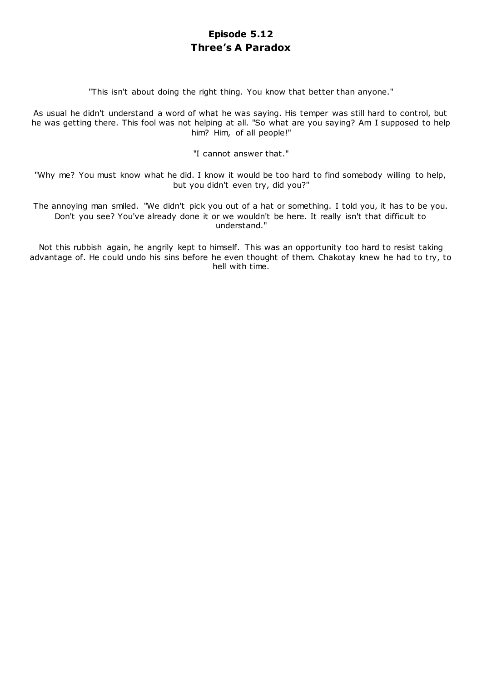# **Episode 5.12 Three's A Paradox**

"This isn't about doing the right thing. You know that better than anyone."

As usual he didn't understand a word of what he was saying. His temper was still hard to control, but he was getting there. This fool was not helping at all. "So what are you saying? Am I supposed to help him? Him, of all people!"

"I cannot answer that."

"Why me? You must know what he did. I know it would be too hard to find somebody willing to help, but you didn't even try, did you?"

The annoying man smiled. "We didn't pick you out of a hat or something. I told you, it has to be you. Don't you see? You've already done it or we wouldn't be here. It really isn't that difficult to understand."

Not this rubbish again, he angrily kept to himself. This was an opportunity too hard to resist taking advantage of. He could undo his sins before he even thought of them. Chakotay knew he had to try, to hell with time.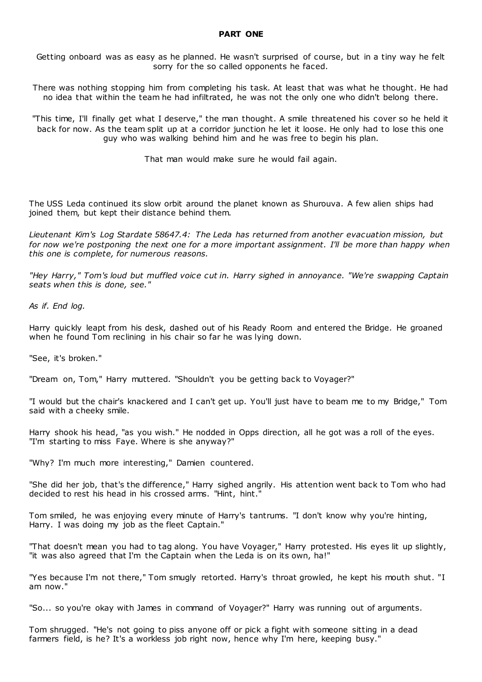### **PART ONE**

Getting onboard was as easy as he planned. He wasn't surprised of course, but in a tiny way he felt sorry for the so called opponents he faced.

There was nothing stopping him from completing his task. At least that was what he thought. He had no idea that within the team he had infiltrated, he was not the only one who didn't belong there.

"This time, I'll finally get what I deserve," the man thought. A smile threatened his cover so he held it back for now. As the team split up at a corridor junction he let it loose. He only had to lose this one guy who was walking behind him and he was free to begin his plan.

That man would make sure he would fail again.

The USS Leda continued its slow orbit around the planet known as Shurouva. A few alien ships had joined them, but kept their distance behind them.

*Lieutenant Kim's Log Stardate 58647.4: The Leda has returned from another evacuation mission, but for now we're postponing the next one for a more important assignment. I'll be more than happy when this one is complete, for numerous reasons.*

*"Hey Harry," Tom's loud but muffled voice cut in. Harry sighed in annoyance. "We're swapping Captain seats when this is done, see."*

*As if. End log.*

Harry quickly leapt from his desk, dashed out of his Ready Room and entered the Bridge. He groaned when he found Tom reclining in his chair so far he was lying down.

"See, it's broken."

"Dream on, Tom," Harry muttered. "Shouldn't you be getting back to Voyager?"

"I would but the chair's knackered and I can't get up. You'll just have to beam me to my Bridge," Tom said with a cheeky smile.

Harry shook his head, "as you wish." He nodded in Opps direction, all he got was a roll of the eyes. "I'm starting to miss Faye. Where is she anyway?"

"Why? I'm much more interesting," Damien countered.

"She did her job, that's the difference," Harry sighed angrily. His attention went back to Tom who had decided to rest his head in his crossed arms. "Hint, hint."

Tom smiled, he was enjoying every minute of Harry's tantrums. "I don't know why you're hinting, Harry. I was doing my job as the fleet Captain."

"That doesn't mean you had to tag along. You have Voyager," Harry protested. His eyes lit up slightly, "it was also agreed that I'm the Captain when the Leda is on its own, ha!"

"Yes because I'm not there," Tom smugly retorted. Harry's throat growled, he kept his mouth shut. "I am now."

"So... so you're okay with James in command of Voyager?" Harry was running out of arguments.

Tom shrugged. "He's not going to piss anyone off or pick a fight with someone sitting in a dead farmers field, is he? It's a workless job right now, hence why I'm here, keeping busy."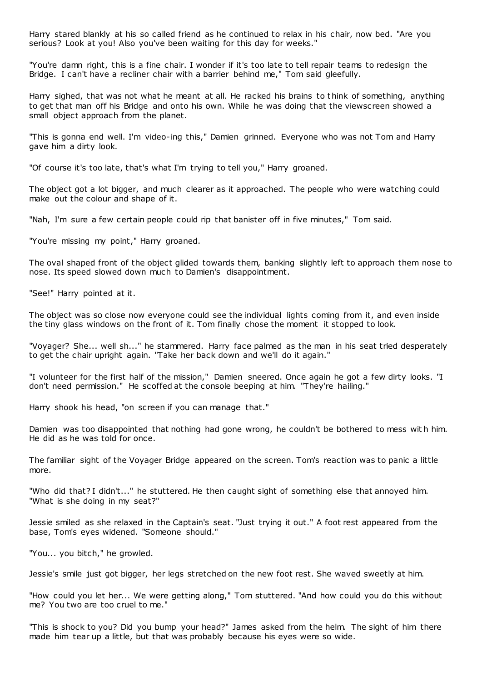Harry stared blankly at his so called friend as he continued to relax in his chair, now bed. "Are you serious? Look at you! Also you've been waiting for this day for weeks."

"You're damn right, this is a fine chair. I wonder if it's too late to tell repair teams to redesign the Bridge. I can't have a recliner chair with a barrier behind me," Tom said gleefully.

Harry sighed, that was not what he meant at all. He racked his brains to t hink of something, anything to get that man off his Bridge and onto his own. While he was doing that the viewscreen showed a small object approach from the planet.

"This is gonna end well. I'm video-ing this," Damien grinned. Everyone who was not Tom and Harry gave him a dirty look.

"Of course it's too late, that's what I'm trying to tell you," Harry groaned.

The object got a lot bigger, and much clearer as it approached. The people who were watching could make out the colour and shape of it.

"Nah, I'm sure a few certain people could rip that banister off in five minutes," Tom said.

"You're missing my point," Harry groaned.

The oval shaped front of the object glided towards them, banking slightly left to approach them nose to nose. Its speed slowed down much to Damien's disappointment.

"See!" Harry pointed at it.

The object was so close now everyone could see the individual lights coming from it, and even inside the tiny glass windows on the front of it. Tom finally chose the moment it stopped to look.

"Voyager? She... well sh..." he stammered. Harry face palmed as the man in his seat tried desperately to get the chair upright again. "Take her back down and we'll do it again."

"I volunteer for the first half of the mission," Damien sneered. Once again he got a few dirty looks. "I don't need permission." He scoffed at the console beeping at him. "They're hailing."

Harry shook his head, "on screen if you can manage that."

Damien was too disappointed that nothing had gone wrong, he couldn't be bothered to mess wit h him. He did as he was told for once.

The familiar sight of the Voyager Bridge appeared on the screen. Tom's reaction was to panic a little more.

"Who did that? I didn't..." he stuttered. He then caught sight of something else that annoyed him. "What is she doing in my seat?"

Jessie smiled as she relaxed in the Captain's seat. "Just trying it out." A foot rest appeared from the base, Tom's eyes widened. "Someone should."

"You... you bitch," he growled.

Jessie's smile just got bigger, her legs stretched on the new foot rest. She waved sweetly at him.

"How could you let her... We were getting along," Tom stuttered. "And how could you do this without me? You two are too cruel to me."

"This is shock to you? Did you bump your head?" James asked from the helm. The sight of him there made him tear up a little, but that was probably because his eyes were so wide.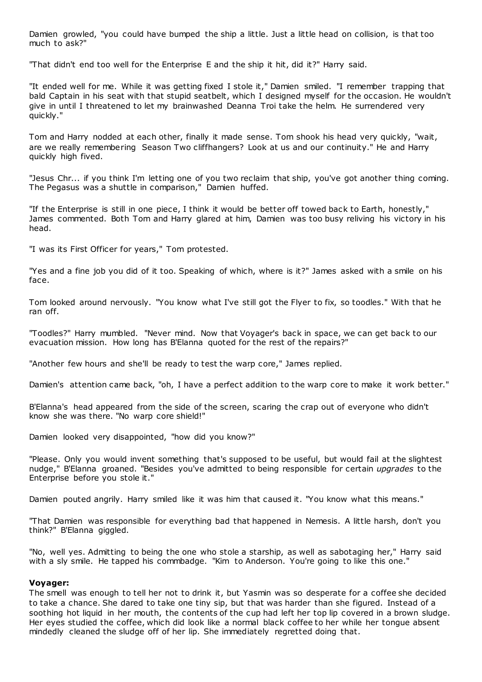Damien growled, "you could have bumped the ship a little. Just a little head on collision, is that too much to ask?"

"That didn't end too well for the Enterprise E and the ship it hit, did it?" Harry said.

"It ended well for me. While it was getting fixed I stole it," Damien smiled. "I remember trapping that bald Captain in his seat with that stupid seatbelt, which I designed myself for the occasion. He wouldn't give in until I threatened to let my brainwashed Deanna Troi take the helm. He surrendered very quickly."

Tom and Harry nodded at each other, finally it made sense. Tom shook his head very quickly, "wait, are we really remembering Season Two cliffhangers? Look at us and our continuity." He and Harry quickly high fived.

"Jesus Chr... if you think I'm letting one of you two reclaim that ship, you've got another thing coming. The Pegasus was a shuttle in comparison," Damien huffed.

"If the Enterprise is still in one piece, I think it would be better off towed back to Earth, honestly," James commented. Both Tom and Harry glared at him, Damien was too busy reliving his victory in his head.

"I was its First Officer for years," Tom protested.

"Yes and a fine job you did of it too. Speaking of which, where is it?" James asked with a smile on his face.

Tom looked around nervously. "You know what I've still got the Flyer to fix, so toodles." With that he ran off.

"Toodles?" Harry mumbled. "Never mind. Now that Voyager's back in space, we can get back to our evacuation mission. How long has B'Elanna quoted for the rest of the repairs?"

"Another few hours and she'll be ready to test the warp core," James replied.

Damien's attention came back, "oh, I have a perfect addition to the warp core to make it work better."

B'Elanna's head appeared from the side of the screen, scaring the crap out of everyone who didn't know she was there. "No warp core shield!"

Damien looked very disappointed, "how did you know?"

"Please. Only you would invent something that's supposed to be useful, but would fail at the slightest nudge," B'Elanna groaned. "Besides you've admitted to being responsible for certain *upgrades* to the Enterprise before you stole it."

Damien pouted angrily. Harry smiled like it was him that caused it. "You know what this means."

"That Damien was responsible for everything bad that happened in Nemesis. A little harsh, don't you think?" B'Elanna giggled.

"No, well yes. Admitting to being the one who stole a starship, as well as sabotaging her," Harry said with a sly smile. He tapped his commbadge. "Kim to Anderson. You're going to like this one."

### **Voyager:**

The smell was enough to tell her not to drink it, but Yasmin was so desperate for a coffee she decided to take a chance. She dared to take one tiny sip, but that was harder than she figured. Instead of a soothing hot liquid in her mouth, the contents of the cup had left her top lip covered in a brown sludge. Her eyes studied the coffee, which did look like a normal black coffee to her while her tongue absent mindedly cleaned the sludge off of her lip. She immediately regretted doing that.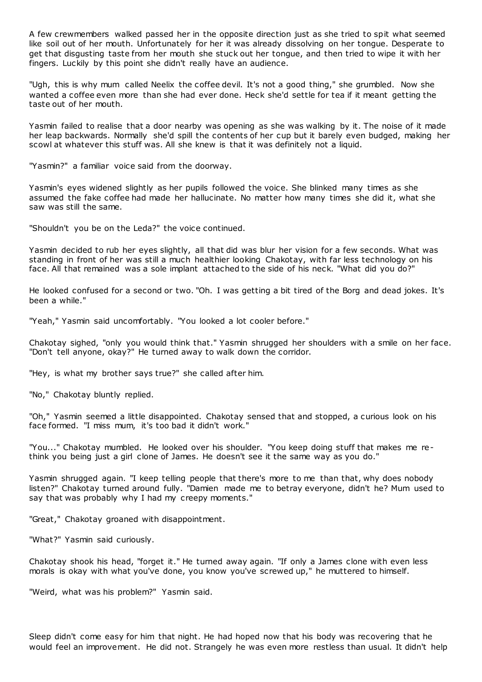A few crewmembers walked passed her in the opposite direction just as she tried to spit what seemed like soil out of her mouth. Unfortunately for her it was already dissolving on her tongue. Desperate to get that disgusting taste from her mouth she stuck out her tongue, and then tried to wipe it with her fingers. Luckily by this point she didn't really have an audience.

"Ugh, this is why mum called Neelix the coffee devil. It's not a good thing," she grumbled. Now she wanted a coffee even more than she had ever done. Heck she'd settle for tea if it meant getting the taste out of her mouth.

Yasmin failed to realise that a door nearby was opening as she was walking by it. The noise of it made her leap backwards. Normally she'd spill the contents of her cup but it barely even budged, making her scowl at whatever this stuff was. All she knew is that it was definitely not a liquid.

"Yasmin?" a familiar voice said from the doorway.

Yasmin's eyes widened slightly as her pupils followed the voice. She blinked many times as she assumed the fake coffee had made her hallucinate. No matter how many times she did it, what she saw was still the same.

"Shouldn't you be on the Leda?" the voice continued.

Yasmin decided to rub her eyes slightly, all that did was blur her vision for a few seconds. What was standing in front of her was still a much healthier looking Chakotay, with far less technology on his face. All that remained was a sole implant attached to the side of his neck. "What did you do?"

He looked confused for a second or two. "Oh. I was getting a bit tired of the Borg and dead jokes. It's been a while."

"Yeah," Yasmin said uncomfortably. "You looked a lot cooler before."

Chakotay sighed, "only you would think that." Yasmin shrugged her shoulders with a smile on her face. "Don't tell anyone, okay?" He turned away to walk down the corridor.

"Hey, is what my brother says true?" she called after him.

"No," Chakotay bluntly replied.

"Oh," Yasmin seemed a little disappointed. Chakotay sensed that and stopped, a curious look on his face formed. "I miss mum, it's too bad it didn't work."

"You..." Chakotay mumbled. He looked over his shoulder. "You keep doing stuff that makes me rethink you being just a girl clone of James. He doesn't see it the same way as you do."

Yasmin shrugged again. "I keep telling people that there's more to me than that, why does nobody listen?" Chakotay turned around fully. "Damien made me to betray everyone, didn't he? Mum used to say that was probably why I had my creepy moments."

"Great," Chakotay groaned with disappointment.

"What?" Yasmin said curiously.

Chakotay shook his head, "forget it." He turned away again. "If only a James clone with even less morals is okay with what you've done, you know you've screwed up," he muttered to himself.

"Weird, what was his problem?" Yasmin said.

Sleep didn't come easy for him that night. He had hoped now that his body was recovering that he would feel an improvement. He did not. Strangely he was even more restless than usual. It didn't help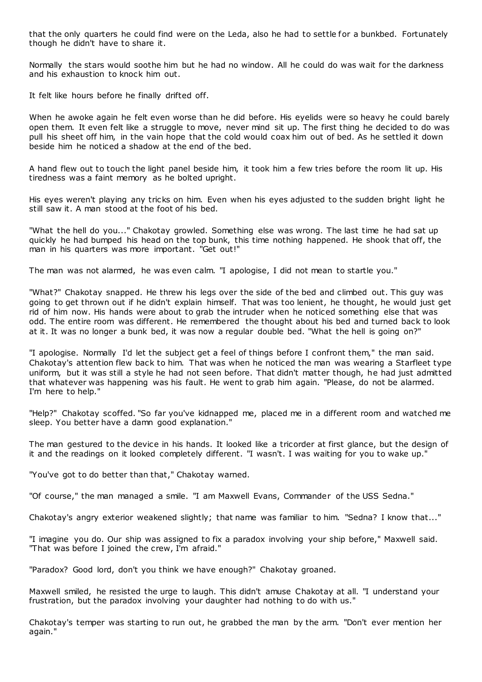that the only quarters he could find were on the Leda, also he had to settle for a bunkbed. Fortunately though he didn't have to share it.

Normally the stars would soothe him but he had no window. All he could do was wait for the darkness and his exhaustion to knock him out.

It felt like hours before he finally drifted off.

When he awoke again he felt even worse than he did before. His eyelids were so heavy he could barely open them. It even felt like a struggle to move, never mind sit up. The first thing he decided to do was pull his sheet off him, in the vain hope that the cold would coax him out of bed. As he settled it down beside him he noticed a shadow at the end of the bed.

A hand flew out to touch the light panel beside him, it took him a few tries before the room lit up. His tiredness was a faint memory as he bolted upright.

His eyes weren't playing any tricks on him. Even when his eyes adjusted to the sudden bright light he still saw it. A man stood at the foot of his bed.

"What the hell do you..." Chakotay growled. Something else was wrong. The last time he had sat up quickly he had bumped his head on the top bunk, this time nothing happened. He shook that off, the man in his quarters was more important. "Get out!"

The man was not alarmed, he was even calm. "I apologise, I did not mean to startle you."

"What?" Chakotay snapped. He threw his legs over the side of the bed and climbed out. This guy was going to get thrown out if he didn't explain himself. That was too lenient, he thought, he would just get rid of him now. His hands were about to grab the intruder when he noticed something else that was odd. The entire room was different. He remembered the thought about his bed and turned back to look at it. It was no longer a bunk bed, it was now a regular double bed. "What the hell is going on?"

"I apologise. Normally I'd let the subject get a feel of things before I confront them," the man said. Chakotay's attention flew back to him. That was when he noticed the man was wearing a Starfleet type uniform, but it was still a style he had not seen before. That didn't matter though, he had just admitted that whatever was happening was his fault. He went to grab him again. "Please, do not be alarmed. I'm here to help."

"Help?" Chakotay scoffed. "So far you've kidnapped me, placed me in a different room and watched me sleep. You better have a damn good explanation."

The man gestured to the device in his hands. It looked like a tricorder at first glance, but the design of it and the readings on it looked completely different. "I wasn't. I was waiting for you to wake up."

"You've got to do better than that," Chakotay warned.

"Of course," the man managed a smile. "I am Maxwell Evans, Commander of the USS Sedna."

Chakotay's angry exterior weakened slightly; that name was familiar to him. "Sedna? I know that..."

"I imagine you do. Our ship was assigned to fix a paradox involving your ship before," Maxwell said. "That was before I joined the crew, I'm afraid."

"Paradox? Good lord, don't you think we have enough?" Chakotay groaned.

Maxwell smiled, he resisted the urge to laugh. This didn't amuse Chakotay at all. "I understand your frustration, but the paradox involving your daughter had nothing to do with us."

Chakotay's temper was starting to run out, he grabbed the man by the arm. "Don't ever mention her again."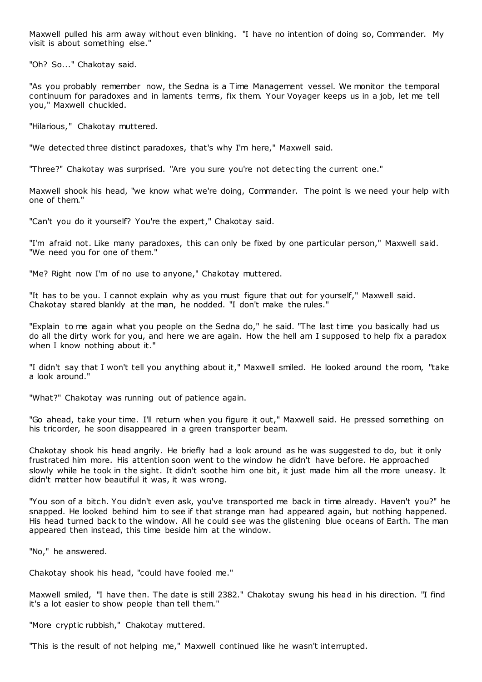Maxwell pulled his arm away without even blinking. "I have no intention of doing so, Commander. My visit is about something else."

"Oh? So..." Chakotay said.

"As you probably remember now, the Sedna is a Time Management vessel. We monitor the temporal continuum for paradoxes and in laments terms, fix them. Your Voyager keeps us in a job, let me tell you," Maxwell chuckled.

"Hilarious," Chakotay muttered.

"We detected three distinct paradoxes, that's why I'm here," Maxwell said.

"Three?" Chakotay was surprised. "Are you sure you're not detec ting the current one."

Maxwell shook his head, "we know what we're doing, Commander. The point is we need your help with one of them."

"Can't you do it yourself? You're the expert," Chakotay said.

"I'm afraid not. Like many paradoxes, this can only be fixed by one particular person," Maxwell said. "We need you for one of them."

"Me? Right now I'm of no use to anyone," Chakotay muttered.

"It has to be you. I cannot explain why as you must figure that out for yourself," Maxwell said. Chakotay stared blankly at the man, he nodded. "I don't make the rules."

"Explain to me again what you people on the Sedna do," he said. "The last time you basically had us do all the dirty work for you, and here we are again. How the hell am I supposed to help fix a paradox when I know nothing about it."

"I didn't say that I won't tell you anything about it," Maxwell smiled. He looked around the room, "take a look around."

"What?" Chakotay was running out of patience again.

"Go ahead, take your time. I'll return when you figure it out," Maxwell said. He pressed something on his tricorder, he soon disappeared in a green transporter beam.

Chakotay shook his head angrily. He briefly had a look around as he was suggested to do, but it only frustrated him more. His attention soon went to the window he didn't have before. He approached slowly while he took in the sight. It didn't soothe him one bit, it just made him all the more uneasy. It didn't matter how beautiful it was, it was wrong.

"You son of a bitch. You didn't even ask, you've transported me back in time already. Haven't you?" he snapped. He looked behind him to see if that strange man had appeared again, but nothing happened. His head turned back to the window. All he could see was the glistening blue oceans of Earth. The man appeared then instead, this time beside him at the window.

"No," he answered.

Chakotay shook his head, "could have fooled me."

Maxwell smiled, "I have then. The date is still 2382." Chakotay swung his head in his direction. "I find it's a lot easier to show people than tell them."

"More cryptic rubbish," Chakotay muttered.

"This is the result of not helping me," Maxwell continued like he wasn't interrupted.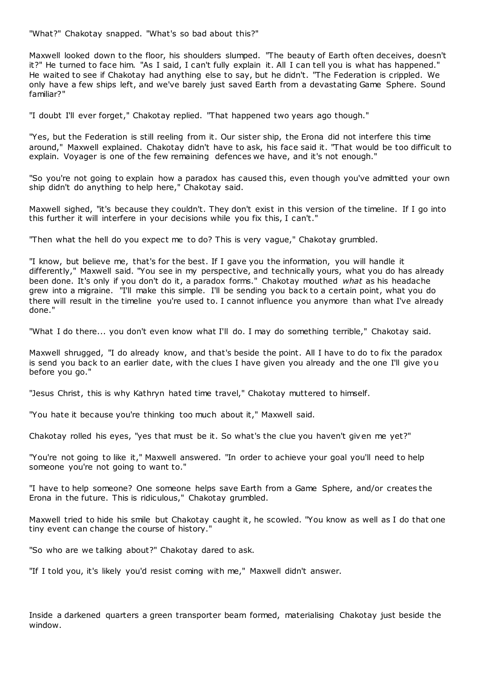"What?" Chakotay snapped. "What's so bad about this?"

Maxwell looked down to the floor, his shoulders slumped. "The beauty of Earth often deceives, doesn't it?" He turned to face him. "As I said, I can't fully explain it. All I can tell you is what has happened." He waited to see if Chakotay had anything else to say, but he didn't. "The Federation is crippled. We only have a few ships left, and we've barely just saved Earth from a devastating Game Sphere. Sound familiar?"

"I doubt I'll ever forget," Chakotay replied. "That happened two years ago though."

"Yes, but the Federation is still reeling from it. Our sister ship, the Erona did not interfere this time around," Maxwell explained. Chakotay didn't have to ask, his face said it. "That would be too difficult to explain. Voyager is one of the few remaining defences we have, and it's not enough."

"So you're not going to explain how a paradox has caused this, even though you've admitted your own ship didn't do anything to help here," Chakotay said.

Maxwell sighed, "it's because they couldn't. They don't exist in this version of the timeline. If I go into this further it will interfere in your decisions while you fix this, I can't."

"Then what the hell do you expect me to do? This is very vague," Chakotay grumbled.

"I know, but believe me, that's for the best. If I gave you the information, you will handle it differently," Maxwell said. "You see in my perspective, and technically yours, what you do has already been done. It's only if you don't do it, a paradox forms." Chakotay mouthed *what* as his headache grew into a migraine. "I'll make this simple. I'll be sending you back to a certain point, what you do there will result in the timeline you're used to. I cannot influence you anymore than what I've already done."

"What I do there... you don't even know what I'll do. I may do something terrible," Chakotay said.

Maxwell shrugged, "I do already know, and that's beside the point. All I have to do to fix the paradox is send you back to an earlier date, with the clues I have given you already and the one I'll give you before you go."

"Jesus Christ, this is why Kathryn hated time travel," Chakotay muttered to himself.

"You hate it because you're thinking too much about it," Maxwell said.

Chakotay rolled his eyes, "yes that must be it. So what's the clue you haven't given me yet?"

"You're not going to like it," Maxwell answered. "In order to achieve your goal you'll need to help someone you're not going to want to."

"I have to help someone? One someone helps save Earth from a Game Sphere, and/or creates the Erona in the future. This is ridiculous," Chakotay grumbled.

Maxwell tried to hide his smile but Chakotay caught it, he scowled. "You know as well as I do that one tiny event can change the course of history."

"So who are we talking about?" Chakotay dared to ask.

"If I told you, it's likely you'd resist coming with me," Maxwell didn't answer.

Inside a darkened quarters a green transporter beam formed, materialising Chakotay just beside the window.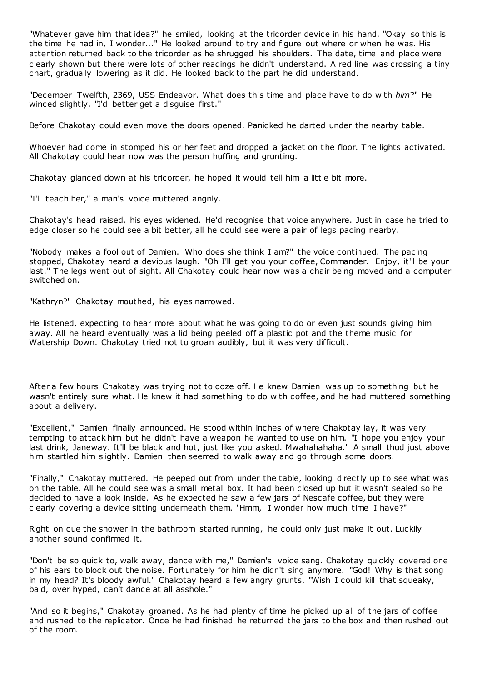"Whatever gave him that idea?" he smiled, looking at the tricorder device in his hand. "Okay so this is the time he had in, I wonder..." He looked around to try and figure out where or when he was. His attention returned back to the tricorder as he shrugged his shoulders. The date, time and place were clearly shown but there were lots of other readings he didn't understand. A red line was crossing a tiny chart, gradually lowering as it did. He looked back to the part he did understand.

"December Twelfth, 2369, USS Endeavor. What does this time and place have to do with *him*?" He winced slightly, "I'd better get a disguise first."

Before Chakotay could even move the doors opened. Panicked he darted under the nearby table.

Whoever had come in stomped his or her feet and dropped a jacket on the floor. The lights activated. All Chakotay could hear now was the person huffing and grunting.

Chakotay glanced down at his tricorder, he hoped it would tell him a little bit more.

"I'll teach her," a man's voice muttered angrily.

Chakotay's head raised, his eyes widened. He'd recognise that voice anywhere. Just in case he tried to edge closer so he could see a bit better, all he could see were a pair of legs pacing nearby.

"Nobody makes a fool out of Damien. Who does she think I am?" the voice continued. The pacing stopped, Chakotay heard a devious laugh. "Oh I'll get you your coffee, Commander. Enjoy, it'll be your last." The legs went out of sight. All Chakotay could hear now was a chair being moved and a computer switched on.

"Kathryn?" Chakotay mouthed, his eyes narrowed.

He listened, expecting to hear more about what he was going to do or even just sounds giving him away. All he heard eventually was a lid being peeled off a plastic pot and the theme music for Watership Down. Chakotay tried not to groan audibly, but it was very difficult.

After a few hours Chakotay was trying not to doze off. He knew Damien was up to something but he wasn't entirely sure what. He knew it had something to do with coffee, and he had muttered something about a delivery.

"Excellent," Damien finally announced. He stood within inches of where Chakotay lay, it was very tempting to attack him but he didn't have a weapon he wanted to use on him. "I hope you enjoy your last drink, Janeway. It'll be black and hot, just like you asked. Mwahahahaha." A small thud just above him startled him slightly. Damien then seemed to walk away and go through some doors.

"Finally," Chakotay muttered. He peeped out from under the table, looking directly up to see what was on the table. All he could see was a small metal box. It had been closed up but it wasn't sealed so he decided to have a look inside. As he expected he saw a few jars of Nescafe coffee, but they were clearly covering a device sitting underneath them. "Hmm, I wonder how much time I have?"

Right on cue the shower in the bathroom started running, he could only just make it out. Luckily another sound confirmed it.

"Don't be so quick to, walk away, dance with me," Damien's voice sang. Chakotay quickly covered one of his ears to block out the noise. Fortunately for him he didn't sing anymore. "God! Why is that song in my head? It's bloody awful." Chakotay heard a few angry grunts. "Wish I could kill that squeaky, bald, over hyped, can't dance at all asshole."

"And so it begins," Chakotay groaned. As he had plenty of time he picked up all of the jars of coffee and rushed to the replicator. Once he had finished he returned the jars to the box and then rushed out of the room.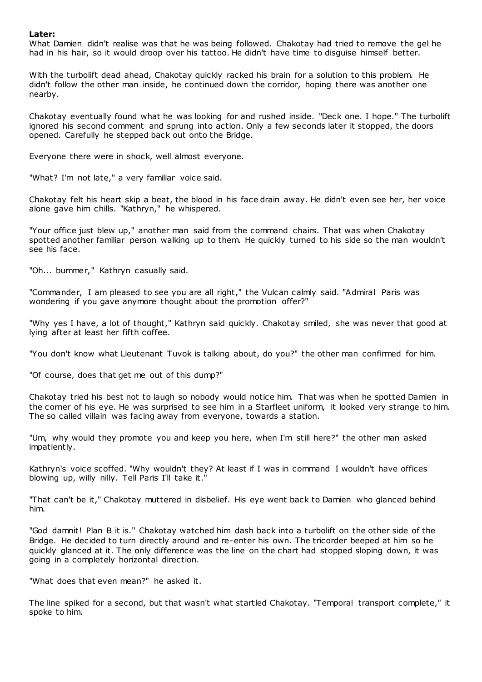## **Later:**

What Damien didn't realise was that he was being followed. Chakotay had tried to remove the gel he had in his hair, so it would droop over his tattoo. He didn't have time to disguise himself better.

With the turbolift dead ahead, Chakotay quickly racked his brain for a solution to this problem. He didn't follow the other man inside, he continued down the corridor, hoping there was another one nearby.

Chakotay eventually found what he was looking for and rushed inside. "Deck one. I hope." The turbolift ignored his second comment and sprung into action. Only a few seconds later it stopped, the doors opened. Carefully he stepped back out onto the Bridge.

Everyone there were in shock, well almost everyone.

"What? I'm not late," a very familiar voice said.

Chakotay felt his heart skip a beat, the blood in his face drain away. He didn't even see her, her voice alone gave him chills. "Kathryn," he whispered.

"Your office just blew up," another man said from the command chairs. That was when Chakotay spotted another familiar person walking up to them. He quickly turned to his side so the man wouldn't see his face.

"Oh... bummer," Kathryn casually said.

"Commander, I am pleased to see you are all right," the Vulcan calmly said. "Admiral Paris was wondering if you gave anymore thought about the promotion offer?"

"Why yes I have, a lot of thought," Kathryn said quickly. Chakotay smiled, she was never that good at lying after at least her fifth coffee.

"You don't know what Lieutenant Tuvok is talking about, do you?" the other man confirmed for him.

"Of course, does that get me out of this dump?"

Chakotay tried his best not to laugh so nobody would notice him. That was when he spotted Damien in the corner of his eye. He was surprised to see him in a Starfleet uniform, it looked very strange to him. The so called villain was facing away from everyone, towards a station.

"Um, why would they promote you and keep you here, when I'm still here?" the other man asked impatiently.

Kathryn's voice scoffed. "Why wouldn't they? At least if I was in command I wouldn't have offices blowing up, willy nilly. Tell Paris I'll take it."

"That can't be it," Chakotay muttered in disbelief. His eye went back to Damien who glanced behind him.

"God damnit! Plan B it is." Chakotay watched him dash back into a turbolift on the other side of the Bridge. He decided to turn directly around and re-enter his own. The tricorder beeped at him so he quickly glanced at it. The only difference was the line on the chart had stopped sloping down, it was going in a completely horizontal direction.

"What does that even mean?" he asked it.

The line spiked for a second, but that wasn't what startled Chakotay. "Temporal transport complete," it spoke to him.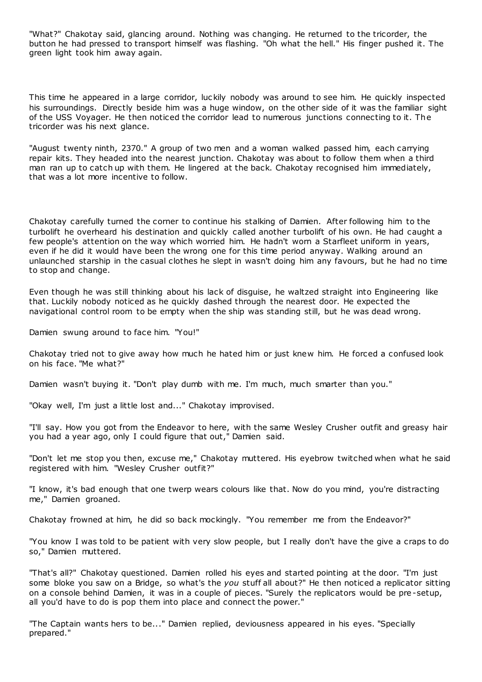"What?" Chakotay said, glancing around. Nothing was changing. He returned to the tricorder, the button he had pressed to transport himself was flashing. "Oh what the hell." His finger pushed it. The green light took him away again.

This time he appeared in a large corridor, luckily nobody was around to see him. He quickly inspected his surroundings. Directly beside him was a huge window, on the other side of it was the familiar sight of the USS Voyager. He then noticed the corridor lead to numerous junctions connecting to it. The tricorder was his next glance.

"August twenty ninth, 2370." A group of two men and a woman walked passed him, each carrying repair kits. They headed into the nearest junction. Chakotay was about to follow them when a third man ran up to catch up with them. He lingered at the back. Chakotay recognised him immediately, that was a lot more incentive to follow.

Chakotay carefully turned the corner to continue his stalking of Damien. After following him to the turbolift he overheard his destination and quickly called another turbolift of his own. He had caught a few people's attention on the way which worried him. He hadn't worn a Starfleet uniform in years, even if he did it would have been the wrong one for this time period anyway. Walking around an unlaunched starship in the casual clothes he slept in wasn't doing him any favours, but he had no time to stop and change.

Even though he was still thinking about his lack of disguise, he waltzed straight into Engineering like that. Luckily nobody noticed as he quickly dashed through the nearest door. He expected the navigational control room to be empty when the ship was standing still, but he was dead wrong.

Damien swung around to face him. "You!"

Chakotay tried not to give away how much he hated him or just knew him. He forced a confused look on his face. "Me what?"

Damien wasn't buying it. "Don't play dumb with me. I'm much, much smarter than you."

"Okay well, I'm just a little lost and..." Chakotay improvised.

"I'll say. How you got from the Endeavor to here, with the same Wesley Crusher outfit and greasy hair you had a year ago, only I could figure that out," Damien said.

"Don't let me stop you then, excuse me," Chakotay muttered. His eyebrow twitched when what he said registered with him. "Wesley Crusher outfit?"

"I know, it's bad enough that one twerp wears colours like that. Now do you mind, you're distracting me," Damien groaned.

Chakotay frowned at him, he did so back mockingly. "You remember me from the Endeavor?"

"You know I was told to be patient with very slow people, but I really don't have the give a craps to do so," Damien muttered.

"That's all?" Chakotay questioned. Damien rolled his eyes and started pointing at the door. "I'm just some bloke you saw on a Bridge, so what's the *you* stuff all about?" He then noticed a replicator sitting on a console behind Damien, it was in a couple of pieces. "Surely the replicators would be pre-setup, all you'd have to do is pop them into place and connect the power."

"The Captain wants hers to be..." Damien replied, deviousness appeared in his eyes. "Specially prepared."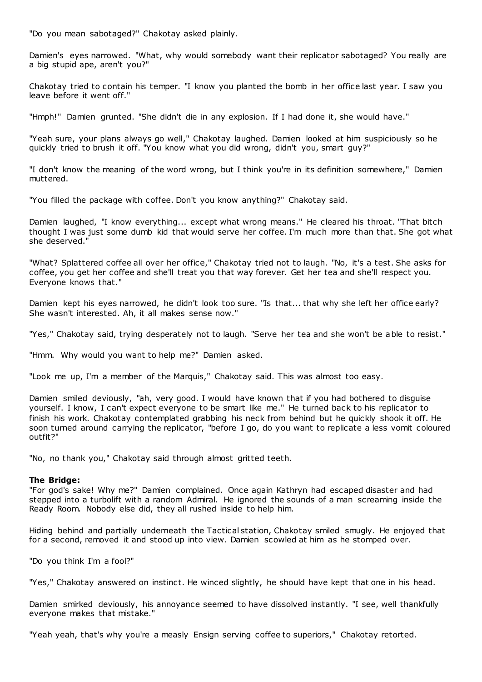"Do you mean sabotaged?" Chakotay asked plainly.

Damien's eyes narrowed. "What, why would somebody want their replicator sabotaged? You really are a big stupid ape, aren't you?"

Chakotay tried to contain his temper. "I know you planted the bomb in her office last year. I saw you leave before it went off."

"Hmph!" Damien grunted. "She didn't die in any explosion. If I had done it, she would have."

"Yeah sure, your plans always go well," Chakotay laughed. Damien looked at him suspiciously so he quickly tried to brush it off. "You know what you did wrong, didn't you, smart guy?"

"I don't know the meaning of the word wrong, but I think you're in its definition somewhere," Damien muttered.

"You filled the package with coffee. Don't you know anything?" Chakotay said.

Damien laughed, "I know everything... except what wrong means." He cleared his throat. "That bitch thought I was just some dumb kid that would serve her coffee. I'm much more than that. She got what she deserved."

"What? Splattered coffee all over her office," Chakotay tried not to laugh. "No, it's a test. She asks for coffee, you get her coffee and she'll treat you that way forever. Get her tea and she'll respect you. Everyone knows that."

Damien kept his eyes narrowed, he didn't look too sure. "Is that... that why she left her office early? She wasn't interested. Ah, it all makes sense now."

"Yes," Chakotay said, trying desperately not to laugh. "Serve her tea and she won't be able to resist."

"Hmm. Why would you want to help me?" Damien asked.

"Look me up, I'm a member of the Marquis," Chakotay said. This was almost too easy.

Damien smiled deviously, "ah, very good. I would have known that if you had bothered to disguise yourself. I know, I can't expect everyone to be smart like me." He turned back to his replicator to finish his work. Chakotay contemplated grabbing his neck from behind but he quickly shook it off. He soon turned around carrying the replicator, "before I go, do you want to replicate a less vomit coloured outfit?"

"No, no thank you," Chakotay said through almost gritted teeth.

### **The Bridge:**

"For god's sake! Why me?" Damien complained. Once again Kathryn had escaped disaster and had stepped into a turbolift with a random Admiral. He ignored the sounds of a man screaming inside the Ready Room. Nobody else did, they all rushed inside to help him.

Hiding behind and partially underneath the Tactical station, Chakotay smiled smugly. He enjoyed that for a second, removed it and stood up into view. Damien scowled at him as he stomped over.

"Do you think I'm a fool?"

"Yes," Chakotay answered on instinct. He winced slightly, he should have kept that one in his head.

Damien smirked deviously, his annoyance seemed to have dissolved instantly. "I see, well thankfully everyone makes that mistake."

"Yeah yeah, that's why you're a measly Ensign serving coffee to superiors," Chakotay retorted.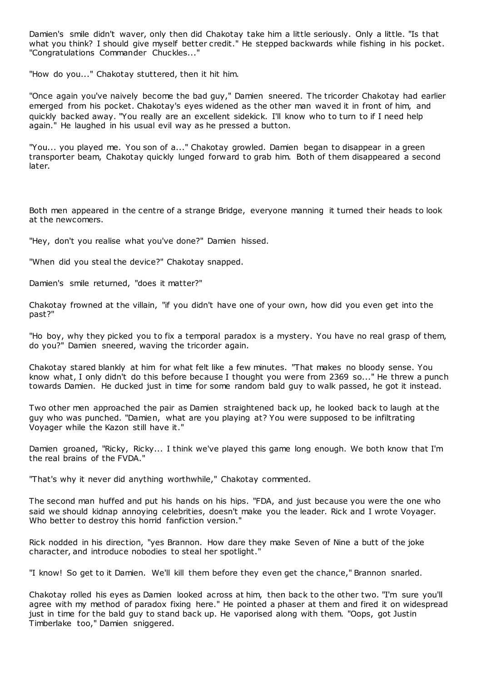Damien's smile didn't waver, only then did Chakotay take him a little seriously. Only a little. "Is that what you think? I should give myself better credit." He stepped backwards while fishing in his pocket. "Congratulations Commander Chuckles..."

"How do you..." Chakotay stuttered, then it hit him.

"Once again you've naively become the bad guy," Damien sneered. The tricorder Chakotay had earlier emerged from his pocket. Chakotay's eyes widened as the other man waved it in front of him, and quickly backed away. "You really are an excellent sidekick. I'll know who to turn to if I need help again." He laughed in his usual evil way as he pressed a button.

"You... you played me. You son of a..." Chakotay growled. Damien began to disappear in a green transporter beam, Chakotay quickly lunged forward to grab him. Both of them disappeared a second later.

Both men appeared in the centre of a strange Bridge, everyone manning it turned their heads to look at the newcomers.

"Hey, don't you realise what you've done?" Damien hissed.

"When did you steal the device?" Chakotay snapped.

Damien's smile returned, "does it matter?"

Chakotay frowned at the villain, "if you didn't have one of your own, how did you even get into the past?"

"Ho boy, why they picked you to fix a temporal paradox is a mystery. You have no real grasp of them, do you?" Damien sneered, waving the tricorder again.

Chakotay stared blankly at him for what felt like a few minutes. "That makes no bloody sense. You know what, I only didn't do this before because I thought you were from 2369 so..." He threw a punch towards Damien. He ducked just in time for some random bald guy to walk passed, he got it instead.

Two other men approached the pair as Damien straightened back up, he looked back to laugh at the guy who was punched. "Damien, what are you playing at? You were supposed to be infiltrating Voyager while the Kazon still have it."

Damien groaned, "Ricky, Ricky... I think we've played this game long enough. We both know that I'm the real brains of the FVDA."

"That's why it never did anything worthwhile," Chakotay commented.

The second man huffed and put his hands on his hips. "FDA, and just because you were the one who said we should kidnap annoying celebrities, doesn't make you the leader. Rick and I wrote Voyager. Who better to destroy this horrid fanfiction version."

Rick nodded in his direction, "yes Brannon. How dare they make Seven of Nine a butt of the joke character, and introduce nobodies to steal her spotlight."

"I know! So get to it Damien. We'll kill them before they even get the chance," Brannon snarled.

Chakotay rolled his eyes as Damien looked across at him, then back to the other two. "I'm sure you'll agree with my method of paradox fixing here." He pointed a phaser at them and fired it on widespread just in time for the bald guy to stand back up. He vaporised along with them. "Oops, got Justin Timberlake too," Damien sniggered.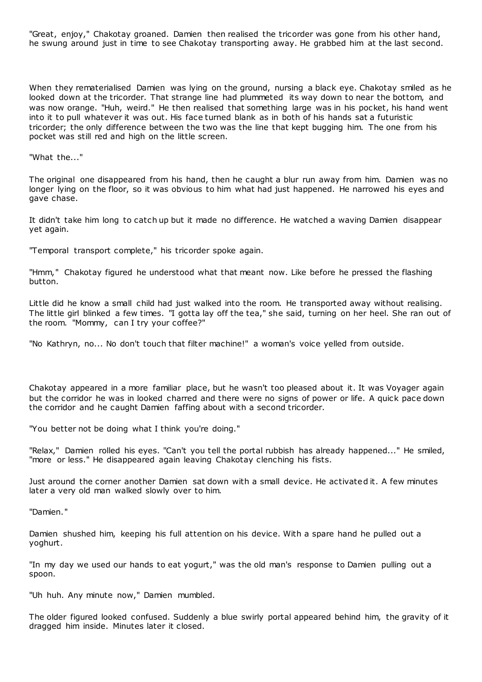"Great, enjoy," Chakotay groaned. Damien then realised the tricorder was gone from his other hand, he swung around just in time to see Chakotay transporting away. He grabbed him at the last second.

When they rematerialised Damien was lying on the ground, nursing a black eye. Chakotay smiled as he looked down at the tricorder. That strange line had plummeted its way down to near the bottom, and was now orange. "Huh, weird." He then realised that something large was in his pocket, his hand went into it to pull whatever it was out. His face turned blank as in both of his hands sat a futuristic tricorder; the only difference between the two was the line that kept bugging him. The one from his pocket was still red and high on the little screen.

"What the..."

The original one disappeared from his hand, then he caught a blur run away from him. Damien was no longer lying on the floor, so it was obvious to him what had just happened. He narrowed his eyes and gave chase.

It didn't take him long to catch up but it made no difference. He watched a waving Damien disappear yet again.

"Temporal transport complete," his tricorder spoke again.

"Hmm," Chakotay figured he understood what that meant now. Like before he pressed the flashing button.

Little did he know a small child had just walked into the room. He transported away without realising. The little girl blinked a few times. "I gotta lay off the tea," she said, turning on her heel. She ran out of the room. "Mommy, can I try your coffee?"

"No Kathryn, no... No don't touch that filter machine!" a woman's voice yelled from outside.

Chakotay appeared in a more familiar place, but he wasn't too pleased about it. It was Voyager again but the corridor he was in looked charred and there were no signs of power or life. A quick pace down the corridor and he caught Damien faffing about with a second tricorder.

"You better not be doing what I think you're doing."

"Relax," Damien rolled his eyes. "Can't you tell the portal rubbish has already happened..." He smiled, "more or less." He disappeared again leaving Chakotay clenching his fists.

Just around the corner another Damien sat down with a small device. He activated it. A few minutes later a very old man walked slowly over to him.

"Damien."

Damien shushed him, keeping his full attention on his device. With a spare hand he pulled out a yoghurt.

"In my day we used our hands to eat yogurt," was the old man's response to Damien pulling out a spoon.

"Uh huh. Any minute now," Damien mumbled.

The older figured looked confused. Suddenly a blue swirly portal appeared behind him, the gravity of it dragged him inside. Minutes later it closed.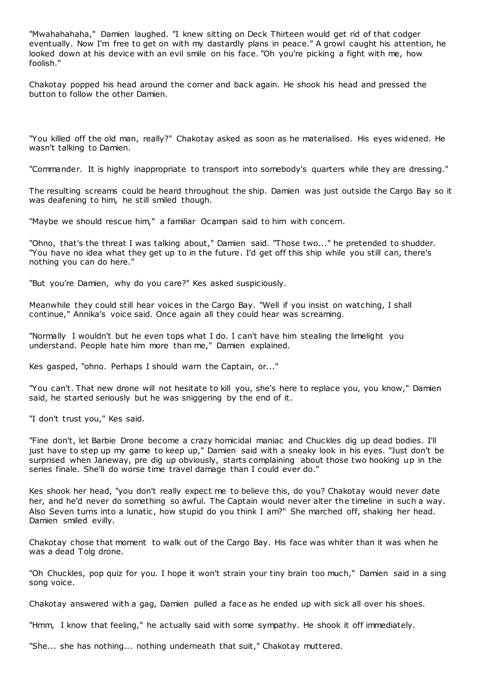"Mwahahahaha," Damien laughed. "I knew sitting on Deck Thirteen would get rid of that codger eventually. Now I'm free to get on with my dastardly plans in peace." A growl caught his attention, he looked down at his device with an evil smile on his face. "Oh you're picking a fight with me, how foolish."

Chakotay popped his head around the corner and back again. He shook his head and pressed the button to follow the other Damien.

"You killed off the old man, really?" Chakotay asked as soon as he materialised. His eyes widened. He wasn't talking to Damien.

"Commander. It is highly inappropriate to transport into somebody's quarters while they are dressing."

The resulting screams could be heard throughout the ship. Damien was just outside the Cargo Bay so it was deafening to him, he still smiled though.

"Maybe we should rescue him," a familiar Ocampan said to him with concern.

"Ohno, that's the threat I was talking about," Damien said. "Those two..." he pretended to shudder. "You have no idea what they get up to in the future. I'd get off this ship while you still can, there's nothing you can do here."

"But you're Damien, why do you care?" Kes asked suspiciously.

Meanwhile they could still hear voices in the Cargo Bay. "Well if you insist on watching, I shall continue," Annika's voice said. Once again all they could hear was screaming.

"Normally I wouldn't but he even tops what I do. I can't have him stealing the limelight you understand. People hate him more than me," Damien explained.

Kes gasped, "ohno. Perhaps I should warn the Captain, or..."

"You can't. That new drone will not hesitate to kill you, she's here to replace you, you know," Damien said, he started seriously but he was sniggering by the end of it.

"I don't trust you," Kes said.

"Fine don't, let Barbie Drone become a crazy homicidal maniac and Chuckles dig up dead bodies. I'll just have to step up my game to keep up," Damien said with a sneaky look in his eyes. "Just don't be surprised when Janeway, pre dig up obviously, starts complaining about those two hooking up in the series finale. She'll do worse time travel damage than I could ever do."

Kes shook her head, "you don't really expect me to believe this, do you? Chakotay would never date her, and he'd never do something so awful. The Captain would never alter the timeline in such a way. Also Seven turns into a lunatic , how stupid do you think I am?" She marched off, shaking her head. Damien smiled evilly.

Chakotay chose that moment to walk out of the Cargo Bay. His face was whiter than it was when he was a dead Tolg drone.

"Oh Chuckles, pop quiz for you. I hope it won't strain your tiny brain too much," Damien said in a sing song voice.

Chakotay answered with a gag, Damien pulled a face as he ended up with sick all over his shoes.

"Hmm, I know that feeling," he actually said with some sympathy. He shook it off immediately.

"She... she has nothing... nothing underneath that suit," Chakotay muttered.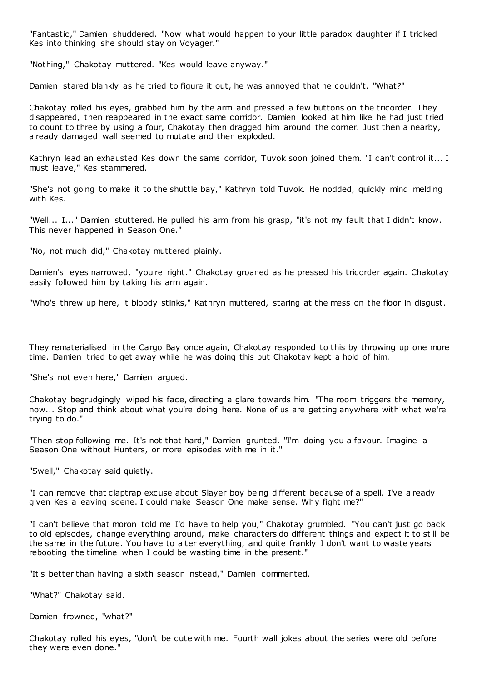"Fantastic ," Damien shuddered. "Now what would happen to your little paradox daughter if I tricked Kes into thinking she should stay on Voyager."

"Nothing," Chakotay muttered. "Kes would leave anyway."

Damien stared blankly as he tried to figure it out, he was annoyed that he couldn't. "What?"

Chakotay rolled his eyes, grabbed him by the arm and pressed a few buttons on t he tricorder. They disappeared, then reappeared in the exact same corridor. Damien looked at him like he had just tried to count to three by using a four, Chakotay then dragged him around the corner. Just then a nearby, already damaged wall seemed to mutate and then exploded.

Kathryn lead an exhausted Kes down the same corridor, Tuvok soon joined them. "I can't control it... I must leave," Kes stammered.

"She's not going to make it to the shuttle bay," Kathryn told Tuvok. He nodded, quickly mind melding with Kes.

"Well... I..." Damien stuttered. He pulled his arm from his grasp, "it's not my fault that I didn't know. This never happened in Season One."

"No, not much did," Chakotay muttered plainly.

Damien's eyes narrowed, "you're right." Chakotay groaned as he pressed his tricorder again. Chakotay easily followed him by taking his arm again.

"Who's threw up here, it bloody stinks," Kathryn muttered, staring at the mess on the floor in disgust.

They rematerialised in the Cargo Bay once again, Chakotay responded to this by throwing up one more time. Damien tried to get away while he was doing this but Chakotay kept a hold of him.

"She's not even here," Damien argued.

Chakotay begrudgingly wiped his face, directing a glare towards him. "The room triggers the memory, now... Stop and think about what you're doing here. None of us are getting anywhere with what we're trying to do."

"Then stop following me. It's not that hard," Damien grunted. "I'm doing you a favour. Imagine a Season One without Hunters, or more episodes with me in it."

"Swell," Chakotay said quietly.

"I can remove that claptrap excuse about Slayer boy being different because of a spell. I've already given Kes a leaving scene. I could make Season One make sense. Why fight me?"

"I can't believe that moron told me I'd have to help you," Chakotay grumbled. "You can't just go back to old episodes, change everything around, make characters do different things and expect it to still be the same in the future. You have to alter everything, and quite frankly I don't want to waste years rebooting the timeline when I could be wasting time in the present."

"It's better than having a sixth season instead," Damien commented.

"What?" Chakotay said.

Damien frowned, "what?"

Chakotay rolled his eyes, "don't be cute with me. Fourth wall jokes about the series were old before they were even done."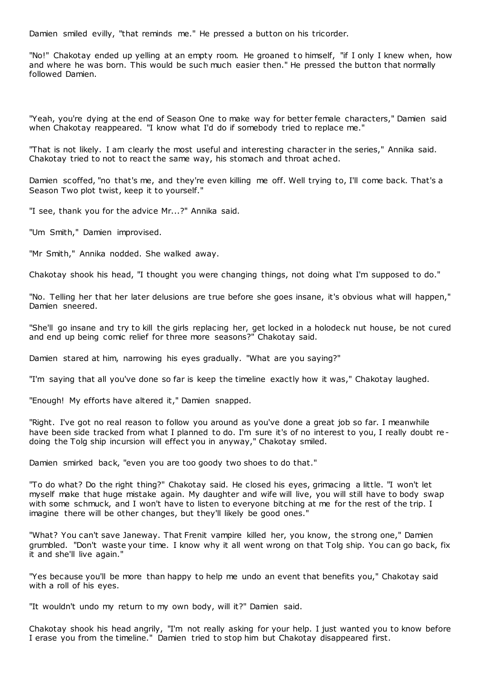Damien smiled evilly, "that reminds me." He pressed a button on his tricorder.

"No!" Chakotay ended up yelling at an empty room. He groaned to himself, "if I only I knew when, how and where he was born. This would be such much easier then." He pressed the button that normally followed Damien.

"Yeah, you're dying at the end of Season One to make way for better female characters," Damien said when Chakotay reappeared. "I know what I'd do if somebody tried to replace me."

"That is not likely. I am clearly the most useful and interesting character in the series," Annika said. Chakotay tried to not to react the same way, his stomach and throat ached.

Damien scoffed, "no that's me, and they're even killing me off. Well trying to, I'll come back. That's a Season Two plot twist, keep it to yourself."

"I see, thank you for the advice Mr...?" Annika said.

"Um Smith," Damien improvised.

"Mr Smith," Annika nodded. She walked away.

Chakotay shook his head, "I thought you were changing things, not doing what I'm supposed to do."

"No. Telling her that her later delusions are true before she goes insane, it's obvious what will happen," Damien sneered.

"She'll go insane and try to kill the girls replacing her, get locked in a holodeck nut house, be not cured and end up being comic relief for three more seasons?" Chakotay said.

Damien stared at him, narrowing his eyes gradually. "What are you saying?"

"I'm saying that all you've done so far is keep the timeline exactly how it was," Chakotay laughed.

"Enough! My efforts have altered it," Damien snapped.

"Right. I've got no real reason to follow you around as you've done a great job so far. I meanwhile have been side tracked from what I planned to do. I'm sure it's of no interest to you, I really doubt redoing the Tolg ship incursion will effect you in anyway," Chakotay smiled.

Damien smirked back, "even you are too goody two shoes to do that."

"To do what? Do the right thing?" Chakotay said. He closed his eyes, grimacing a little. "I won't let myself make that huge mistake again. My daughter and wife will live, you will still have to body swap with some schmuck, and I won't have to listen to everyone bitching at me for the rest of the trip. I imagine there will be other changes, but they'll likely be good ones."

"What? You can't save Janeway. That Frenit vampire killed her, you know, the strong one," Damien grumbled. "Don't waste your time. I know why it all went wrong on that Tolg ship. You can go back, fix it and she'll live again."

"Yes because you'll be more than happy to help me undo an event that benefits you," Chakotay said with a roll of his eyes.

"It wouldn't undo my return to my own body, will it?" Damien said.

Chakotay shook his head angrily, "I'm not really asking for your help. I just wanted you to know before I erase you from the timeline." Damien tried to stop him but Chakotay disappeared first.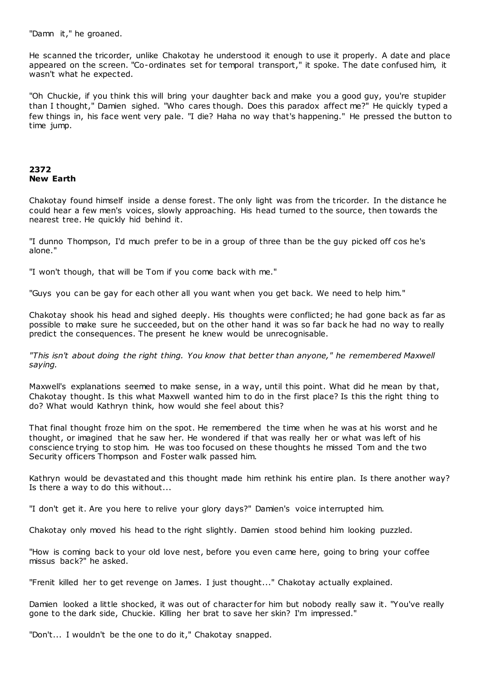"Damn it," he groaned.

He scanned the tricorder, unlike Chakotay he understood it enough to use it properly. A date and place appeared on the screen. "Co-ordinates set for temporal transport," it spoke. The date confused him, it wasn't what he expected.

"Oh Chuckie, if you think this will bring your daughter back and make you a good guy, you're stupider than I thought," Damien sighed. "Who cares though. Does this paradox affect me?" He quickly typed a few things in, his face went very pale. "I die? Haha no way that's happening." He pressed the button to time jump.

## **2372 New Earth**

Chakotay found himself inside a dense forest. The only light was from the tricorder. In the distance he could hear a few men's voices, slowly approaching. His head turned to the source, then towards the nearest tree. He quickly hid behind it.

"I dunno Thompson, I'd much prefer to be in a group of three than be the guy picked off cos he's alone."

"I won't though, that will be Tom if you come back with me."

"Guys you can be gay for each other all you want when you get back. We need to help him."

Chakotay shook his head and sighed deeply. His thoughts were conflicted; he had gone back as far as possible to make sure he succeeded, but on the other hand it was so far back he had no way to really predict the consequences. The present he knew would be unrecognisable.

*"This isn't about doing the right thing. You know that better than anyone," he remembered Maxwell saying.*

Maxwell's explanations seemed to make sense, in a way, until this point. What did he mean by that, Chakotay thought. Is this what Maxwell wanted him to do in the first place? Is this the right thing to do? What would Kathryn think, how would she feel about this?

That final thought froze him on the spot. He remembered the time when he was at his worst and he thought, or imagined that he saw her. He wondered if that was really her or what was left of his conscience trying to stop him. He was too focused on these thoughts he missed Tom and the two Security officers Thompson and Foster walk passed him.

Kathryn would be devastated and this thought made him rethink his entire plan. Is there another way? Is there a way to do this without...

"I don't get it. Are you here to relive your glory days?" Damien's voice interrupted him.

Chakotay only moved his head to the right slightly. Damien stood behind him looking puzzled.

"How is coming back to your old love nest, before you even came here, going to bring your coffee missus back?" he asked.

"Frenit killed her to get revenge on James. I just thought..." Chakotay actually explained.

Damien looked a little shocked, it was out of character for him but nobody really saw it. "You've really gone to the dark side, Chuckie. Killing her brat to save her skin? I'm impressed."

"Don't... I wouldn't be the one to do it," Chakotay snapped.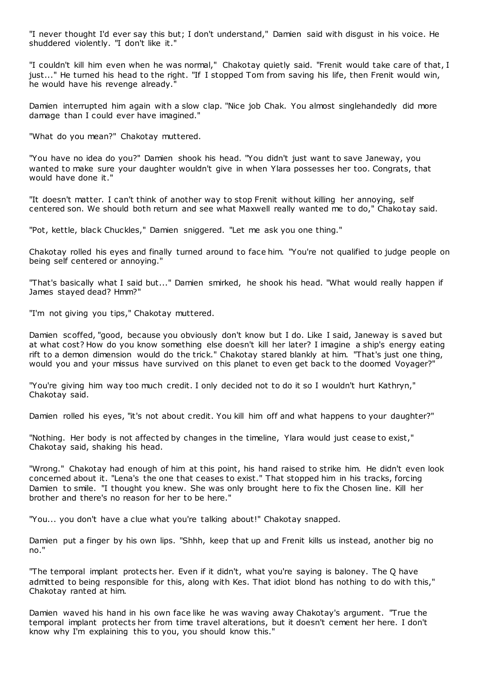"I never thought I'd ever say this but; I don't understand," Damien said with disgust in his voice. He shuddered violently. "I don't like it."

"I couldn't kill him even when he was normal," Chakotay quietly said. "Frenit would take care of that, I just..." He turned his head to the right. "If I stopped Tom from saving his life, then Frenit would win, he would have his revenge already."

Damien interrupted him again with a slow clap. "Nice job Chak. You almost singlehandedly did more damage than I could ever have imagined."

"What do you mean?" Chakotay muttered.

"You have no idea do you?" Damien shook his head. "You didn't just want to save Janeway, you wanted to make sure your daughter wouldn't give in when Ylara possesses her too. Congrats, that would have done it."

"It doesn't matter. I can't think of another way to stop Frenit without killing her annoying, self centered son. We should both return and see what Maxwell really wanted me to do," Chakotay said.

"Pot, kettle, black Chuckles," Damien sniggered. "Let me ask you one thing."

Chakotay rolled his eyes and finally turned around to face him. "You're not qualified to judge people on being self centered or annoying."

"That's basically what I said but..." Damien smirked, he shook his head. "What would really happen if James stayed dead? Hmm?"

"I'm not giving you tips," Chakotay muttered.

Damien scoffed, "good, because you obviously don't know but I do. Like I said, Janeway is saved but at what cost? How do you know something else doesn't kill her later? I imagine a ship's energy eating rift to a demon dimension would do the trick." Chakotay stared blankly at him. "That's just one thing, would you and your missus have survived on this planet to even get back to the doomed Voyager?"

"You're giving him way too much credit. I only decided not to do it so I wouldn't hurt Kathryn," Chakotay said.

Damien rolled his eyes, "it's not about credit. You kill him off and what happens to your daughter?"

"Nothing. Her body is not affected by changes in the timeline, Ylara would just cease to exist," Chakotay said, shaking his head.

"Wrong." Chakotay had enough of him at this point, his hand raised to strike him. He didn't even look concerned about it. "Lena's the one that ceases to exist." That stopped him in his tracks, forcing Damien to smile. "I thought you knew. She was only brought here to fix the Chosen line. Kill her brother and there's no reason for her to be here."

"You... you don't have a clue what you're talking about!" Chakotay snapped.

Damien put a finger by his own lips. "Shhh, keep that up and Frenit kills us instead, another big no no."

"The temporal implant protects her. Even if it didn't, what you're saying is baloney. The Q have admitted to being responsible for this, along with Kes. That idiot blond has nothing to do with this," Chakotay ranted at him.

Damien waved his hand in his own face like he was waving away Chakotay's argument. "True the temporal implant protects her from time travel alterations, but it doesn't cement her here. I don't know why I'm explaining this to you, you should know this."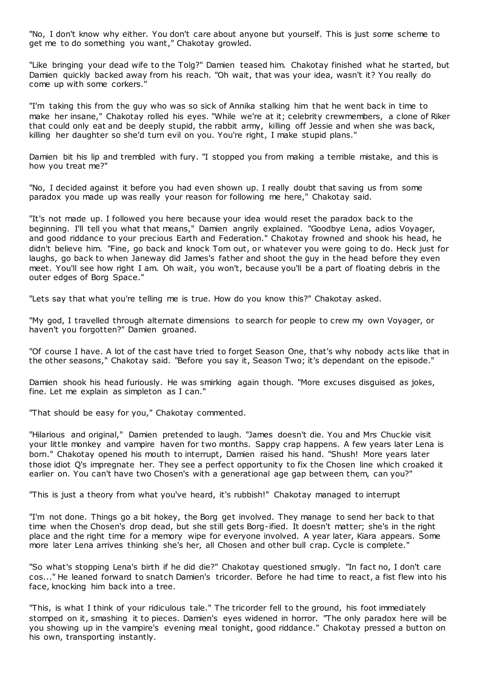"No, I don't know why either. You don't care about anyone but yourself. This is just some scheme to get me to do something you want," Chakotay growled.

"Like bringing your dead wife to the Tolg?" Damien teased him. Chakotay finished what he started, but Damien quickly backed away from his reach. "Oh wait, that was your idea, wasn't it? You really do come up with some corkers."

"I'm taking this from the guy who was so sick of Annika stalking him that he went back in time to make her insane," Chakotay rolled his eyes. "While we're at it; celebrity crewmembers, a clone of Riker that could only eat and be deeply stupid, the rabbit army, killing off Jessie and when she was back, killing her daughter so she'd turn evil on you. You're right, I make stupid plans."

Damien bit his lip and trembled with fury. "I stopped you from making a terrible mistake, and this is how you treat me?"

"No, I decided against it before you had even shown up. I really doubt that saving us from some paradox you made up was really your reason for following me here," Chakotay said.

"It's not made up. I followed you here because your idea would reset the paradox back to the beginning. I'll tell you what that means," Damien angrily explained. "Goodbye Lena, adios Voyager, and good riddance to your precious Earth and Federation." Chakotay frowned and shook his head, he didn't believe him. "Fine, go back and knock Tom out, or whatever you were going to do. Heck just for laughs, go back to when Janeway did James's father and shoot the guy in the head before they even meet. You'll see how right I am. Oh wait, you won't, because you'll be a part of floating debris in the outer edges of Borg Space."

"Lets say that what you're telling me is true. How do you know this?" Chakotay asked.

"My god, I travelled through alternate dimensions to search for people to crew my own Voyager, or haven't you forgotten?" Damien groaned.

"Of course I have. A lot of the cast have tried to forget Season One, that's why nobody acts like that in the other seasons," Chakotay said. "Before you say it, Season Two; it's dependant on the episode."

Damien shook his head furiously. He was smirking again though. "More excuses disguised as jokes, fine. Let me explain as simpleton as I can."

"That should be easy for you," Chakotay commented.

"Hilarious and original," Damien pretended to laugh. "James doesn't die. You and Mrs Chuckie visit your little monkey and vampire haven for two months. Sappy crap happens. A few years later Lena is born." Chakotay opened his mouth to interrupt, Damien raised his hand. "Shush! More years later those idiot Q's impregnate her. They see a perfect opportunity to fix the Chosen line which croaked it earlier on. You can't have two Chosen's with a generational age gap between them, can you?"

"This is just a theory from what you've heard, it's rubbish!" Chakotay managed to interrupt

"I'm not done. Things go a bit hokey, the Borg get involved. They manage to send her back to that time when the Chosen's drop dead, but she still gets Borg-ified. It doesn't matter; she's in the right place and the right time for a memory wipe for everyone involved. A year later, Kiara appears. Some more later Lena arrives thinking she's her, all Chosen and other bull crap. Cycle is complete."

"So what's stopping Lena's birth if he did die?" Chakotay questioned smugly. "In fact no, I don't care cos..." He leaned forward to snatch Damien's tricorder. Before he had time to react, a fist flew into his face, knocking him back into a tree.

"This, is what I think of your ridiculous tale." The tricorder fell to the ground, his foot immediately stomped on it, smashing it to pieces. Damien's eyes widened in horror. "The only paradox here will be you showing up in the vampire's evening meal tonight, good riddance." Chakotay pressed a button on his own, transporting instantly.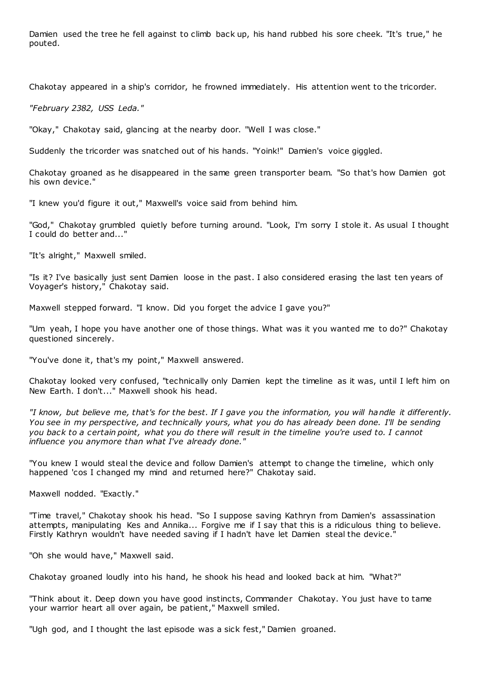Damien used the tree he fell against to climb back up, his hand rubbed his sore cheek. "It's true," he pouted.

Chakotay appeared in a ship's corridor, he frowned immediately. His attention went to the tricorder.

*"February 2382, USS Leda."*

"Okay," Chakotay said, glancing at the nearby door. "Well I was close."

Suddenly the tricorder was snatched out of his hands. "Yoink!" Damien's voice giggled.

Chakotay groaned as he disappeared in the same green transporter beam. "So that's how Damien got his own device."

"I knew you'd figure it out," Maxwell's voice said from behind him.

"God," Chakotay grumbled quietly before turning around. "Look, I'm sorry I stole it. As usual I thought I could do better and..."

"It's alright," Maxwell smiled.

"Is it? I've basically just sent Damien loose in the past. I also considered erasing the last ten years of Voyager's history," Chakotay said.

Maxwell stepped forward. "I know. Did you forget the advice I gave you?"

"Um yeah, I hope you have another one of those things. What was it you wanted me to do?" Chakotay questioned sincerely.

"You've done it, that's my point," Maxwell answered.

Chakotay looked very confused, "technically only Damien kept the timeline as it was, until I left him on New Earth. I don't..." Maxwell shook his head.

*"I know, but believe me, that's for the best. If I gave you the information, you will handle it differently. You see in my perspective, and technically yours, what you do has already been done. I'll be sending you back to a certain point, what you do there will result in the timeline you're used to. I cannot influence you anymore than what I've already done."*

"You knew I would steal the device and follow Damien's attempt to change the timeline, which only happened 'cos I changed my mind and returned here?" Chakotay said.

Maxwell nodded. "Exactly."

"Time travel," Chakotay shook his head. "So I suppose saving Kathryn from Damien's assassination attempts, manipulating Kes and Annika... Forgive me if I say that this is a ridiculous thing to believe. Firstly Kathryn wouldn't have needed saving if I hadn't have let Damien steal the device."

"Oh she would have," Maxwell said.

Chakotay groaned loudly into his hand, he shook his head and looked back at him. "What?"

"Think about it. Deep down you have good instincts, Commander Chakotay. You just have to tame your warrior heart all over again, be patient," Maxwell smiled.

"Ugh god, and I thought the last episode was a sick fest," Damien groaned.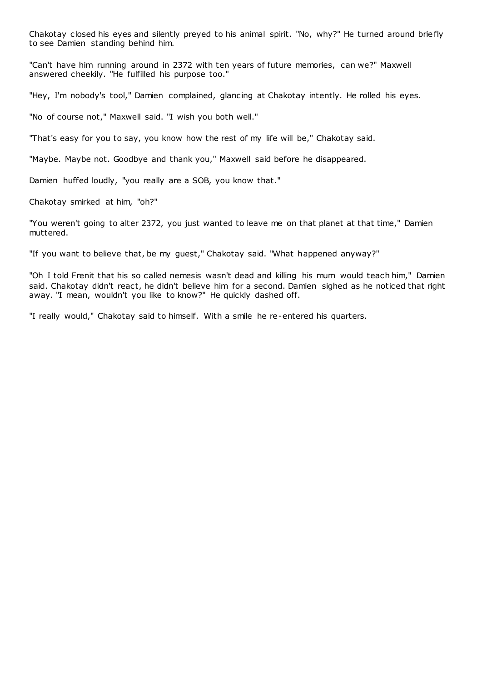Chakotay closed his eyes and silently preyed to his animal spirit. "No, why?" He turned around briefly to see Damien standing behind him.

"Can't have him running around in 2372 with ten years of future memories, can we?" Maxwell answered cheekily. "He fulfilled his purpose too."

"Hey, I'm nobody's tool," Damien complained, glancing at Chakotay intently. He rolled his eyes.

"No of course not," Maxwell said. "I wish you both well."

"That's easy for you to say, you know how the rest of my life will be," Chakotay said.

"Maybe. Maybe not. Goodbye and thank you," Maxwell said before he disappeared.

Damien huffed loudly, "you really are a SOB, you know that."

Chakotay smirked at him, "oh?"

"You weren't going to alter 2372, you just wanted to leave me on that planet at that time," Damien muttered.

"If you want to believe that, be my guest," Chakotay said. "What happened anyway?"

"Oh I told Frenit that his so called nemesis wasn't dead and killing his mum would teach him," Damien said. Chakotay didn't react, he didn't believe him for a second. Damien sighed as he noticed that right away. "I mean, wouldn't you like to know?" He quickly dashed off.

"I really would," Chakotay said to himself. With a smile he re-entered his quarters.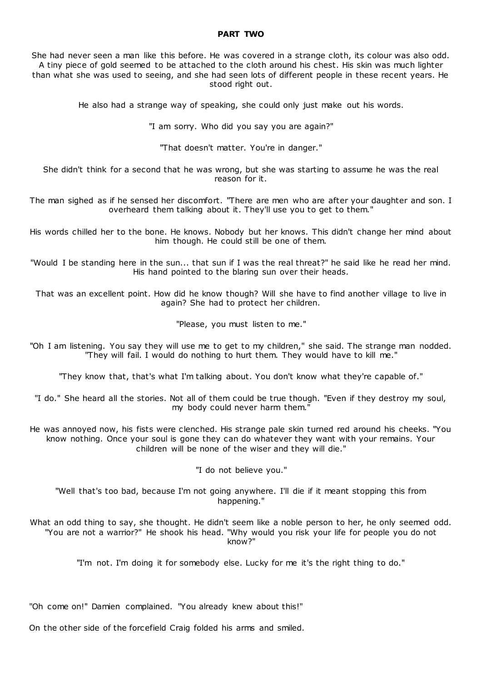## **PART TWO**

She had never seen a man like this before. He was covered in a strange cloth, its colour was also odd. A tiny piece of gold seemed to be attached to the cloth around his chest. His skin was much lighter than what she was used to seeing, and she had seen lots of different people in these recent years. He stood right out.

He also had a strange way of speaking, she could only just make out his words.

"I am sorry. Who did you say you are again?"

"That doesn't matter. You're in danger."

She didn't think for a second that he was wrong, but she was starting to assume he was the real reason for it.

The man sighed as if he sensed her discomfort. "There are men who are after your daughter and son. I overheard them talking about it. They'll use you to get to them."

His words chilled her to the bone. He knows. Nobody but her knows. This didn't change her mind about him though. He could still be one of them.

"Would I be standing here in the sun... that sun if I was the real threat?" he said like he read her mind. His hand pointed to the blaring sun over their heads.

That was an excellent point. How did he know though? Will she have to find another village to live in again? She had to protect her children.

"Please, you must listen to me."

"Oh I am listening. You say they will use me to get to my children," she said. The strange man nodded. "They will fail. I would do nothing to hurt them. They would have to kill me."

"They know that, that's what I'm talking about. You don't know what they're capable of."

"I do." She heard all the stories. Not all of them could be true though. "Even if they destroy my soul, my body could never harm them."

He was annoyed now, his fists were clenched. His strange pale skin turned red around his cheeks. "You know nothing. Once your soul is gone they can do whatever they want with your remains. Your children will be none of the wiser and they will die."

"I do not believe you."

"Well that's too bad, because I'm not going anywhere. I'll die if it meant stopping this from happening."

What an odd thing to say, she thought. He didn't seem like a noble person to her, he only seemed odd. "You are not a warrior?" He shook his head. "Why would you risk your life for people you do not know?"

"I'm not. I'm doing it for somebody else. Lucky for me it's the right thing to do."

"Oh come on!" Damien complained. "You already knew about this!"

On the other side of the forcefield Craig folded his arms and smiled.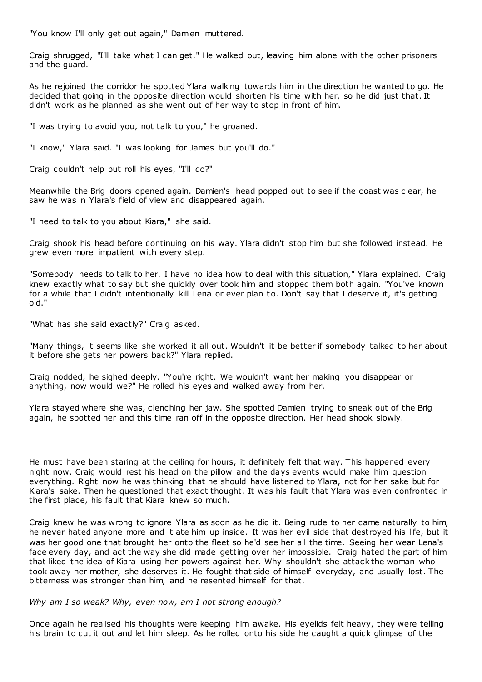"You know I'll only get out again," Damien muttered.

Craig shrugged, "I'll take what I can get." He walked out, leaving him alone with the other prisoners and the guard.

As he rejoined the corridor he spotted Ylara walking towards him in the direction he wanted to go. He decided that going in the opposite direction would shorten his time with her, so he did just that. It didn't work as he planned as she went out of her way to stop in front of him.

"I was trying to avoid you, not talk to you," he groaned.

"I know," Ylara said. "I was looking for James but you'll do."

Craig couldn't help but roll his eyes, "I'll do?"

Meanwhile the Brig doors opened again. Damien's head popped out to see if the coast was clear, he saw he was in Ylara's field of view and disappeared again.

"I need to talk to you about Kiara," she said.

Craig shook his head before continuing on his way. Ylara didn't stop him but she followed instead. He grew even more impatient with every step.

"Somebody needs to talk to her. I have no idea how to deal with this situation," Ylara explained. Craig knew exactly what to say but she quickly over took him and stopped them both again. "You've known for a while that I didn't intentionally kill Lena or ever plan to. Don't say that I deserve it, it's getting old."

"What has she said exactly?" Craig asked.

"Many things, it seems like she worked it all out. Wouldn't it be better if somebody talked to her about it before she gets her powers back?" Ylara replied.

Craig nodded, he sighed deeply. "You're right. We wouldn't want her making you disappear or anything, now would we?" He rolled his eyes and walked away from her.

Ylara stayed where she was, clenching her jaw. She spotted Damien trying to sneak out of the Brig again, he spotted her and this time ran off in the opposite direction. Her head shook slowly.

He must have been staring at the ceiling for hours, it definitely felt that way. This happened every night now. Craig would rest his head on the pillow and the days events would make him question everything. Right now he was thinking that he should have listened to Ylara, not for her sake but for Kiara's sake. Then he questioned that exact thought. It was his fault that Ylara was even confronted in the first place, his fault that Kiara knew so much.

Craig knew he was wrong to ignore Ylara as soon as he did it. Being rude to her came naturally to him, he never hated anyone more and it ate him up inside. It was her evil side that destroyed his life, but it was her good one that brought her onto the fleet so he'd see her all the time. Seeing her wear Lena's face every day, and act the way she did made getting over her impossible. Craig hated the part of him that liked the idea of Kiara using her powers against her. Why shouldn't she attack the woman who took away her mother, she deserves it. He fought that side of himself everyday, and usually lost. The bitterness was stronger than him, and he resented himself for that.

*Why am I so weak? Why, even now, am I not strong enough?*

Once again he realised his thoughts were keeping him awake. His eyelids felt heavy, they were telling his brain to cut it out and let him sleep. As he rolled onto his side he caught a quick glimpse of the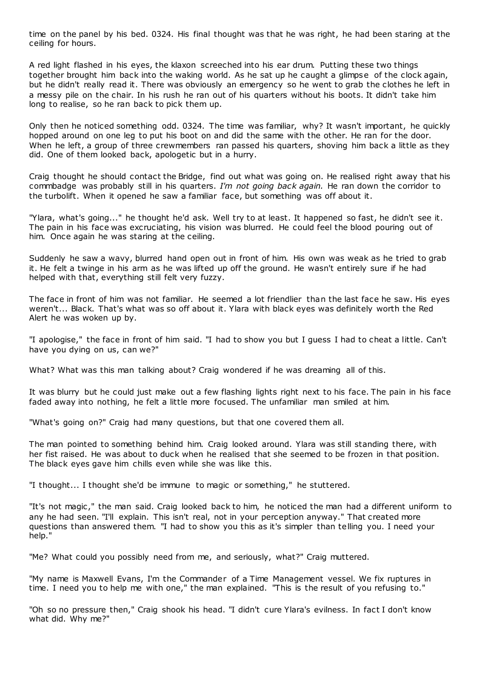time on the panel by his bed. 0324. His final thought was that he was right, he had been staring at the ceiling for hours.

A red light flashed in his eyes, the klaxon screeched into his ear drum. Putting these two things together brought him back into the waking world. As he sat up he caught a glimpse of the clock again, but he didn't really read it. There was obviously an emergency so he went to grab the clothes he left in a messy pile on the chair. In his rush he ran out of his quarters without his boots. It didn't take him long to realise, so he ran back to pick them up.

Only then he noticed something odd. 0324. The time was familiar, why? It wasn't important, he quickly hopped around on one leg to put his boot on and did the same with the other. He ran for the door. When he left, a group of three crewmembers ran passed his quarters, shoving him back a little as they did. One of them looked back, apologetic but in a hurry.

Craig thought he should contact the Bridge, find out what was going on. He realised right away that his commbadge was probably still in his quarters. *I'm not going back again.* He ran down the corridor to the turbolift. When it opened he saw a familiar face, but something was off about it.

"Ylara, what's going..." he thought he'd ask. Well try to at least. It happened so fast, he didn't see it. The pain in his face was excruciating, his vision was blurred. He could feel the blood pouring out of him. Once again he was staring at the ceiling.

Suddenly he saw a wavy, blurred hand open out in front of him. His own was weak as he tried to grab it. He felt a twinge in his arm as he was lifted up off the ground. He wasn't entirely sure if he had helped with that, everything still felt very fuzzy.

The face in front of him was not familiar. He seemed a lot friendlier than the last face he saw. His eyes weren't... Black. That's what was so off about it. Ylara with black eyes was definitely worth the Red Alert he was woken up by.

"I apologise," the face in front of him said. "I had to show you but I guess I had to cheat a little. Can't have you dying on us, can we?"

What? What was this man talking about? Craig wondered if he was dreaming all of this.

It was blurry but he could just make out a few flashing lights right next to his face. The pain in his face faded away into nothing, he felt a little more focused. The unfamiliar man smiled at him.

"What's going on?" Craig had many questions, but that one covered them all.

The man pointed to something behind him. Craig looked around. Ylara was still standing there, with her fist raised. He was about to duck when he realised that she seemed to be frozen in that position. The black eyes gave him chills even while she was like this.

"I thought... I thought she'd be immune to magic or something," he stuttered.

"It's not magic ," the man said. Craig looked back to him, he noticed the man had a different uniform to any he had seen. "I'll explain. This isn't real, not in your perception anyway." That created more questions than answered them. "I had to show you this as it's simpler than telling you. I need your help."

"Me? What could you possibly need from me, and seriously, what?" Craig muttered.

"My name is Maxwell Evans, I'm the Commander of a Time Management vessel. We fix ruptures in time. I need you to help me with one," the man explained. "This is the result of you refusing to."

"Oh so no pressure then," Craig shook his head. "I didn't cure Ylara's evilness. In fact I don't know what did. Why me?"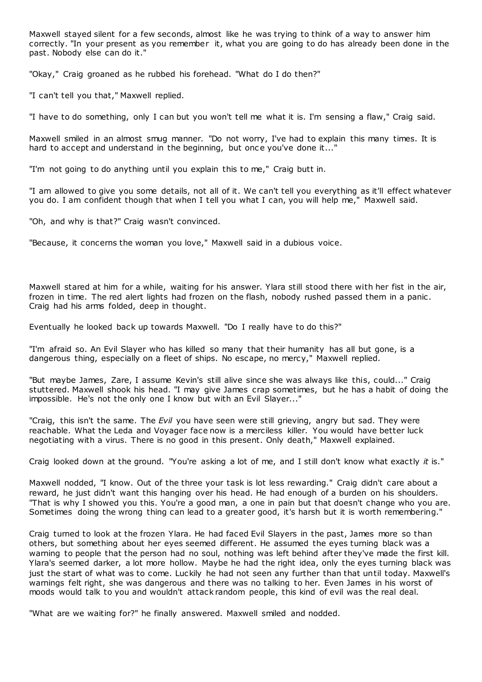Maxwell stayed silent for a few seconds, almost like he was trying to think of a way to answer him correctly. "In your present as you remember it, what you are going to do has already been done in the past. Nobody else can do it."

"Okay," Craig groaned as he rubbed his forehead. "What do I do then?"

"I can't tell you that," Maxwell replied.

"I have to do something, only I can but you won't tell me what it is. I'm sensing a flaw," Craig said.

Maxwell smiled in an almost smug manner. "Do not worry, I've had to explain this many times. It is hard to accept and understand in the beginning, but once you've done it..."

"I'm not going to do anything until you explain this to me," Craig butt in.

"I am allowed to give you some details, not all of it. We can't tell you everything as it'll effect whatever you do. I am confident though that when I tell you what I can, you will help me," Maxwell said.

"Oh, and why is that?" Craig wasn't convinced.

"Because, it concerns the woman you love," Maxwell said in a dubious voice.

Maxwell stared at him for a while, waiting for his answer. Ylara still stood there with her fist in the air, frozen in time. The red alert lights had frozen on the flash, nobody rushed passed them in a panic . Craig had his arms folded, deep in thought.

Eventually he looked back up towards Maxwell. "Do I really have to do this?"

"I'm afraid so. An Evil Slayer who has killed so many that their humanity has all but gone, is a dangerous thing, especially on a fleet of ships. No escape, no mercy," Maxwell replied.

"But maybe James, Zare, I assume Kevin's still alive since she was always like this, could..." Craig stuttered. Maxwell shook his head. "I may give James crap sometimes, but he has a habit of doing the impossible. He's not the only one I know but with an Evil Slayer..."

"Craig, this isn't the same. The *Evil* you have seen were still grieving, angry but sad. They were reachable. What the Leda and Voyager face now is a merciless killer. You would have better luck negotiating with a virus. There is no good in this present. Only death," Maxwell explained.

Craig looked down at the ground. "You're asking a lot of me, and I still don't know what exactly *it* is."

Maxwell nodded, "I know. Out of the three your task is lot less rewarding." Craig didn't care about a reward, he just didn't want this hanging over his head. He had enough of a burden on his shoulders. "That is why I showed you this. You're a good man, a one in pain but that doesn't change who you are. Sometimes doing the wrong thing can lead to a greater good, it's harsh but it is worth remembering."

Craig turned to look at the frozen Ylara. He had faced Evil Slayers in the past, James more so than others, but something about her eyes seemed different. He assumed the eyes turning black was a warning to people that the person had no soul, nothing was left behind after they've made the first kill. Ylara's seemed darker, a lot more hollow. Maybe he had the right idea, only the eyes turning black was just the start of what was to come. Luckily he had not seen any further than that until today. Maxwell's warnings felt right, she was dangerous and there was no talking to her. Even James in his worst of moods would talk to you and wouldn't attack random people, this kind of evil was the real deal.

"What are we waiting for?" he finally answered. Maxwell smiled and nodded.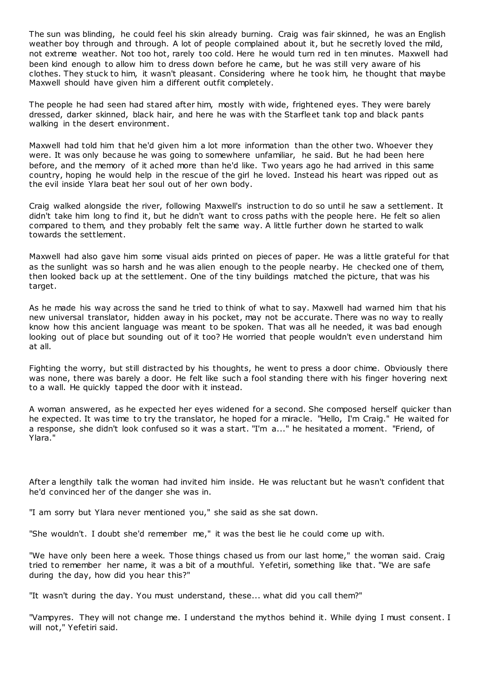The sun was blinding, he could feel his skin already burning. Craig was fair skinned, he was an English weather boy through and through. A lot of people complained about it, but he secretly loved the mild, not extreme weather. Not too hot, rarely too cold. Here he would turn red in ten minutes. Maxwell had been kind enough to allow him to dress down before he came, but he was still very aware of his clothes. They stuck to him, it wasn't pleasant. Considering where he took him, he thought that maybe Maxwell should have given him a different outfit completely.

The people he had seen had stared after him, mostly with wide, frightened eyes. They were barely dressed, darker skinned, black hair, and here he was with the Starfleet tank top and black pants walking in the desert environment.

Maxwell had told him that he'd given him a lot more information than the other two. Whoever they were. It was only because he was going to somewhere unfamiliar, he said. But he had been here before, and the memory of it ached more than he'd like. Two years ago he had arrived in this same country, hoping he would help in the rescue of the girl he loved. Instead his heart was ripped out as the evil inside Ylara beat her soul out of her own body.

Craig walked alongside the river, following Maxwell's instruction to do so until he saw a settlement. It didn't take him long to find it, but he didn't want to cross paths with the people here. He felt so alien compared to them, and they probably felt the same way. A little further down he started to walk towards the settlement.

Maxwell had also gave him some visual aids printed on pieces of paper. He was a little grateful for that as the sunlight was so harsh and he was alien enough to the people nearby. He checked one of them, then looked back up at the settlement. One of the tiny buildings matched the picture, that was his target.

As he made his way across the sand he tried to think of what to say. Maxwell had warned him that his new universal translator, hidden away in his pocket, may not be accurate. There was no way to really know how this ancient language was meant to be spoken. That was all he needed, it was bad enough looking out of place but sounding out of it too? He worried that people wouldn't even understand him at all.

Fighting the worry, but still distracted by his thoughts, he went to press a door chime. Obviously there was none, there was barely a door. He felt like such a fool standing there with his finger hovering next to a wall. He quickly tapped the door with it instead.

A woman answered, as he expected her eyes widened for a second. She composed herself quicker than he expected. It was time to try the translator, he hoped for a miracle. "Hello, I'm Craig." He waited for a response, she didn't look confused so it was a start. "I'm a..." he hesitated a moment. "Friend, of Ylara."

After a lengthily talk the woman had invited him inside. He was reluctant but he wasn't confident that he'd convinced her of the danger she was in.

"I am sorry but Ylara never mentioned you," she said as she sat down.

"She wouldn't. I doubt she'd remember me," it was the best lie he could come up with.

"We have only been here a week. Those things chased us from our last home," the woman said. Craig tried to remember her name, it was a bit of a mouthful. Yefetiri, something like that. "We are safe during the day, how did you hear this?"

"It wasn't during the day. You must understand, these... what did you call them?"

"Vampyres. They will not change me. I understand the mythos behind it. While dying I must consent. I will not," Yefetiri said.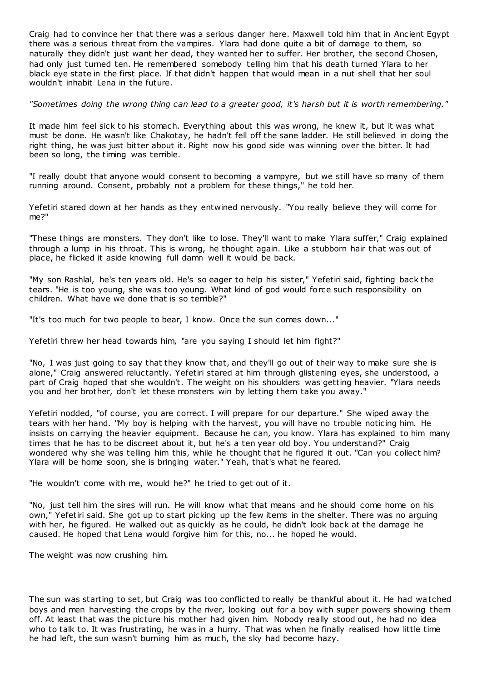Craig had to convince her that there was a serious danger here. Maxwell told him that in Ancient Egypt there was a serious threat from the vampires. Ylara had done quite a bit of damage to them, so naturally they didn't just want her dead, they wanted her to suffer. Her brother, the second Chosen, had only just turned ten. He remembered somebody telling him that his death turned Ylara to her black eye state in the first place. If that didn't happen that would mean in a nut shell that her soul wouldn't inhabit Lena in the future.

*"Sometimes doing the wrong thing can lead to a greater good, it's harsh but it is worth remembering."*

It made him feel sick to his stomach. Everything about this was wrong, he knew it, but it was what must be done. He wasn't like Chakotay, he hadn't fell off the sane ladder. He still believed in doing the right thing, he was just bitter about it. Right now his good side was winning over the bitter. It had been so long, the timing was terrible.

"I really doubt that anyone would consent to becoming a vampyre, but we still have so many of them running around. Consent, probably not a problem for these things," he told her.

Yefetiri stared down at her hands as they entwined nervously. "You really believe they will come for me?"

"These things are monsters. They don't like to lose. They'll want to make Ylara suffer," Craig explained through a lump in his throat. This is wrong, he thought again. Like a stubborn hair that was out of place, he flicked it aside knowing full damn well it would be back.

"My son Rashlal, he's ten years old. He's so eager to help his sister," Yefetiri said, fighting back the tears. "He is too young, she was too young. What kind of god would force such responsibility on children. What have we done that is so terrible?"

"It's too much for two people to bear, I know. Once the sun comes down..."

Yefetiri threw her head towards him, "are you saying I should let him fight?"

"No, I was just going to say that they know that, and they'll go out of their way to make sure she is alone," Craig answered reluctantly. Yefetiri stared at him through glistening eyes, she understood, a part of Craig hoped that she wouldn't. The weight on his shoulders was getting heavier. "Ylara needs you and her brother, don't let these monsters win by letting them take you away."

Yefetiri nodded, "of course, you are correct. I will prepare for our departure." She wiped away the tears with her hand. "My boy is helping with the harvest, you will have no trouble noticing him. He insists on carrying the heavier equipment. Because he can, you know. Ylara has explained to him many times that he has to be discreet about it, but he's a ten year old boy. You understand?" Craig wondered why she was telling him this, while he thought that he figured it out. "Can you collect him? Ylara will be home soon, she is bringing water." Yeah, that's what he feared.

"He wouldn't come with me, would he?" he tried to get out of it.

"No, just tell him the sires will run. He will know what that means and he should come home on his own," Yefetiri said. She got up to start picking up the few items in the shelter. There was no arguing with her, he figured. He walked out as quickly as he could, he didn't look back at the damage he caused. He hoped that Lena would forgive him for this, no... he hoped he would.

The weight was now crushing him.

The sun was starting to set, but Craig was too conflicted to really be thankful about it. He had watched boys and men harvesting the crops by the river, looking out for a boy with super powers showing them off. At least that was the picture his mother had given him. Nobody really stood out, he had no idea who to talk to. It was frustrating, he was in a hurry. That was when he finally realised how little time he had left, the sun wasn't burning him as much, the sky had become hazy.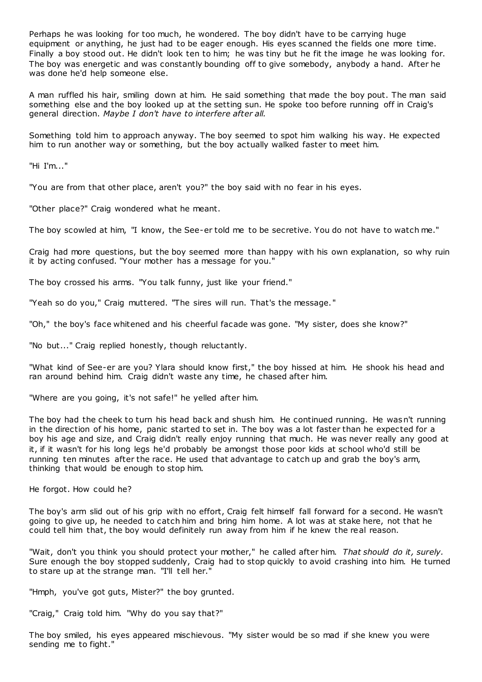Perhaps he was looking for too much, he wondered. The boy didn't have to be carrying huge equipment or anything, he just had to be eager enough. His eyes scanned the fields one more time. Finally a boy stood out. He didn't look ten to him; he was tiny but he fit the image he was looking for. The boy was energetic and was constantly bounding off to give somebody, anybody a hand. After he was done he'd help someone else.

A man ruffled his hair, smiling down at him. He said something that made the boy pout. The man said something else and the boy looked up at the setting sun. He spoke too before running off in Craig's general direction. *Maybe I don't have to interfere after all.*

Something told him to approach anyway. The boy seemed to spot him walking his way. He expected him to run another way or something, but the boy actually walked faster to meet him.

"Hi I'm..."

"You are from that other place, aren't you?" the boy said with no fear in his eyes.

"Other place?" Craig wondered what he meant.

The boy scowled at him, "I know, the See-er told me to be secretive. You do not have to watch me."

Craig had more questions, but the boy seemed more than happy with his own explanation, so why ruin it by acting confused. "Your mother has a message for you."

The boy crossed his arms. "You talk funny, just like your friend."

"Yeah so do you," Craig muttered. "The sires will run. That's the message. "

"Oh," the boy's face whitened and his cheerful facade was gone. "My sister, does she know?"

"No but..." Craig replied honestly, though reluctantly.

"What kind of See-er are you? Ylara should know first," the boy hissed at him. He shook his head and ran around behind him. Craig didn't waste any time, he chased after him.

"Where are you going, it's not safe!" he yelled after him.

The boy had the cheek to turn his head back and shush him. He continued running. He wasn't running in the direction of his home, panic started to set in. The boy was a lot faster than he expected for a boy his age and size, and Craig didn't really enjoy running that much. He was never really any good at it, if it wasn't for his long legs he'd probably be amongst those poor kids at school who'd still be running ten minutes after the race. He used that advantage to catch up and grab the boy's arm, thinking that would be enough to stop him.

He forgot. How could he?

The boy's arm slid out of his grip with no effort, Craig felt himself fall forward for a second. He wasn't going to give up, he needed to catch him and bring him home. A lot was at stake here, not that he could tell him that, the boy would definitely run away from him if he knew the real reason.

"Wait, don't you think you should protect your mother," he called after him. *That should do it, surely.* Sure enough the boy stopped suddenly, Craig had to stop quickly to avoid crashing into him. He turned to stare up at the strange man. "I'll tell her."

"Hmph, you've got guts, Mister?" the boy grunted.

"Craig," Craig told him. "Why do you say that?"

The boy smiled, his eyes appeared mischievous. "My sister would be so mad if she knew you were sending me to fight."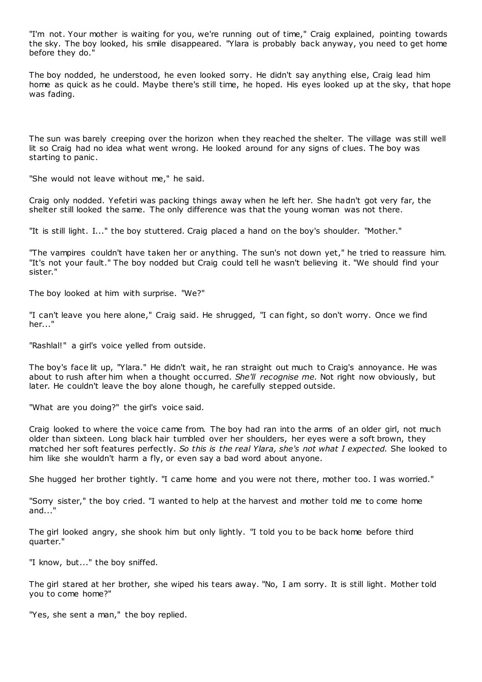"I'm not. Your mother is waiting for you, we're running out of time," Craig explained, pointing towards the sky. The boy looked, his smile disappeared. "Ylara is probably back anyway, you need to get home before they do."

The boy nodded, he understood, he even looked sorry. He didn't say anything else, Craig lead him home as quick as he could. Maybe there's still time, he hoped. His eyes looked up at the sky, that hope was fading.

The sun was barely creeping over the horizon when they reached the shelter. The village was still well lit so Craig had no idea what went wrong. He looked around for any signs of clues. The boy was starting to panic .

"She would not leave without me," he said.

Craig only nodded. Yefetiri was packing things away when he left her. She hadn't got very far, the shelter still looked the same. The only difference was that the young woman was not there.

"It is still light. I..." the boy stuttered. Craig placed a hand on the boy's shoulder. "Mother."

"The vampires couldn't have taken her or anything. The sun's not down yet," he tried to reassure him. "It's not your fault." The boy nodded but Craig could tell he wasn't believing it. "We should find your sister."

The boy looked at him with surprise. "We?"

"I can't leave you here alone," Craig said. He shrugged, "I can fight, so don't worry. Once we find her..."

"Rashlal!" a girl's voice yelled from outside.

The boy's face lit up, "Ylara." He didn't wait, he ran straight out much to Craig's annoyance. He was about to rush after him when a thought oc curred. *She'll recognise me.* Not right now obviously, but later. He couldn't leave the boy alone though, he carefully stepped outside.

"What are you doing?" the girl's voice said.

Craig looked to where the voice came from. The boy had ran into the arms of an older girl, not much older than sixteen. Long black hair tumbled over her shoulders, her eyes were a soft brown, they matched her soft features perfectly. *So this is the real Ylara, she's not what I expected.* She looked to him like she wouldn't harm a fly, or even say a bad word about anyone.

She hugged her brother tightly. "I came home and you were not there, mother too. I was worried."

"Sorry sister," the boy cried. "I wanted to help at the harvest and mother told me to come home and..."

The girl looked angry, she shook him but only lightly. "I told you to be back home before third quarter."

"I know, but..." the boy sniffed.

The girl stared at her brother, she wiped his tears away. "No, I am sorry. It is still light. Mother told you to come home?"

"Yes, she sent a man," the boy replied.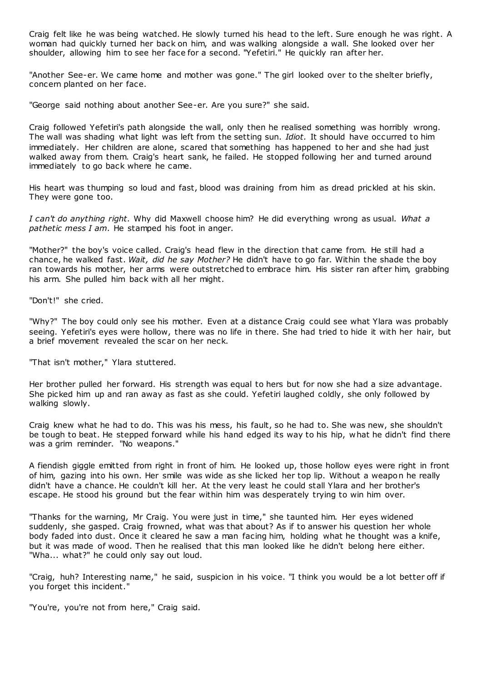Craig felt like he was being watched. He slowly turned his head to the left. Sure enough he was right. A woman had quickly turned her back on him, and was walking alongside a wall. She looked over her shoulder, allowing him to see her face for a second. "Yefetiri." He quickly ran after her.

"Another See-er. We came home and mother was gone." The girl looked over to the shelter briefly, concern planted on her face.

"George said nothing about another See-er. Are you sure?" she said.

Craig followed Yefetiri's path alongside the wall, only then he realised something was horribly wrong. The wall was shading what light was left from the setting sun. *Idiot.* It should have occurred to him immediately. Her children are alone, scared that something has happened to her and she had just walked away from them. Craig's heart sank, he failed. He stopped following her and turned around immediately to go back where he came.

His heart was thumping so loud and fast, blood was draining from him as dread prickled at his skin. They were gone too.

*I can't do anything right.* Why did Maxwell choose him? He did everything wrong as usual. *What a pathetic mess I am.* He stamped his foot in anger.

"Mother?" the boy's voice called. Craig's head flew in the direction that came from. He still had a chance, he walked fast. *Wait, did he say Mother?* He didn't have to go far. Within the shade the boy ran towards his mother, her arms were outstretched to embrace him. His sister ran after him, grabbing his arm. She pulled him back with all her might.

"Don't!" she cried.

"Why?" The boy could only see his mother. Even at a distance Craig could see what Ylara was probably seeing. Yefetiri's eyes were hollow, there was no life in there. She had tried to hide it with her hair, but a brief movement revealed the scar on her neck.

"That isn't mother," Ylara stuttered.

Her brother pulled her forward. His strength was equal to hers but for now she had a size advantage. She picked him up and ran away as fast as she could. Yefetiri laughed coldly, she only followed by walking slowly.

Craig knew what he had to do. This was his mess, his fault, so he had to. She was new, she shouldn't be tough to beat. He stepped forward while his hand edged its way to his hip, what he didn't find there was a grim reminder. "No weapons."

A fiendish giggle emitted from right in front of him. He looked up, those hollow eyes were right in front of him, gazing into his own. Her smile was wide as she licked her top lip. Without a weapon he really didn't have a chance. He couldn't kill her. At the very least he could stall Ylara and her brother's escape. He stood his ground but the fear within him was desperately trying to win him over.

"Thanks for the warning, Mr Craig. You were just in time," she taunted him. Her eyes widened suddenly, she gasped. Craig frowned, what was that about? As if to answer his question her whole body faded into dust. Once it cleared he saw a man facing him, holding what he thought was a knife, but it was made of wood. Then he realised that this man looked like he didn't belong here either. "Wha... what?" he could only say out loud.

"Craig, huh? Interesting name," he said, suspicion in his voice. "I think you would be a lot better off if you forget this incident."

"You're, you're not from here," Craig said.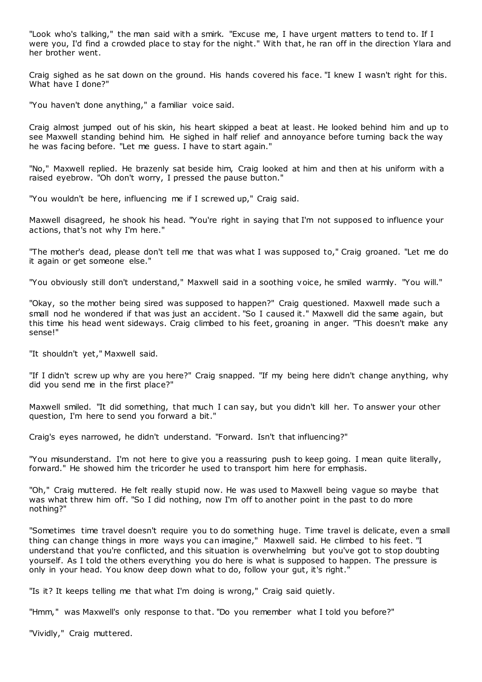"Look who's talking," the man said with a smirk. "Excuse me, I have urgent matters to tend to. If I were you, I'd find a crowded place to stay for the night." With that, he ran off in the direction Ylara and her brother went.

Craig sighed as he sat down on the ground. His hands covered his face. "I knew I wasn't right for this. What have I done?"

"You haven't done anything," a familiar voice said.

Craig almost jumped out of his skin, his heart skipped a beat at least. He looked behind him and up to see Maxwell standing behind him. He sighed in half relief and annoyance before turning back the way he was facing before. "Let me guess. I have to start again."

"No," Maxwell replied. He brazenly sat beside him, Craig looked at him and then at his uniform with a raised eyebrow. "Oh don't worry, I pressed the pause button."

"You wouldn't be here, influencing me if I screwed up," Craig said.

Maxwell disagreed, he shook his head. "You're right in saying that I'm not supposed to influence your actions, that's not why I'm here."

"The mother's dead, please don't tell me that was what I was supposed to," Craig groaned. "Let me do it again or get someone else."

"You obviously still don't understand," Maxwell said in a soothing voice, he smiled warmly. "You will."

"Okay, so the mother being sired was supposed to happen?" Craig questioned. Maxwell made such a small nod he wondered if that was just an accident. "So I caused it." Maxwell did the same again, but this time his head went sideways. Craig climbed to his feet, groaning in anger. "This doesn't make any sense!"

"It shouldn't yet," Maxwell said.

"If I didn't screw up why are you here?" Craig snapped. "If my being here didn't change anything, why did you send me in the first place?"

Maxwell smiled. "It did something, that much I can say, but you didn't kill her. To answer your other question, I'm here to send you forward a bit."

Craig's eyes narrowed, he didn't understand. "Forward. Isn't that influencing?"

"You misunderstand. I'm not here to give you a reassuring push to keep going. I mean quite literally, forward." He showed him the tricorder he used to transport him here for emphasis.

"Oh," Craig muttered. He felt really stupid now. He was used to Maxwell being vague so maybe that was what threw him off. "So I did nothing, now I'm off to another point in the past to do more nothing?"

"Sometimes time travel doesn't require you to do something huge. Time travel is delicate, even a small thing can change things in more ways you can imagine," Maxwell said. He climbed to his feet. "I understand that you're conflicted, and this situation is overwhelming but you've got to stop doubting yourself. As I told the others everything you do here is what is supposed to happen. The pressure is only in your head. You know deep down what to do, follow your gut, it's right."

"Is it? It keeps telling me that what I'm doing is wrong," Craig said quietly.

"Hmm," was Maxwell's only response to that. "Do you remember what I told you before?"

"Vividly," Craig muttered.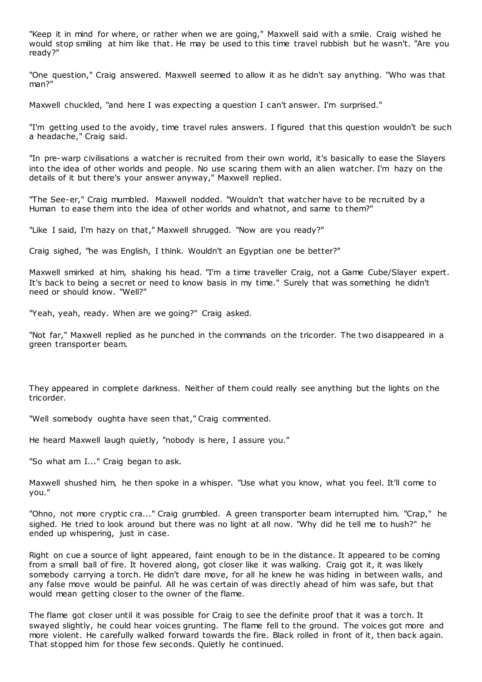"Keep it in mind for where, or rather when we are going," Maxwell said with a smile. Craig wished he would stop smiling at him like that. He may be used to this time travel rubbish but he wasn't. "Are you ready?"

"One question," Craig answered. Maxwell seemed to allow it as he didn't say anything. "Who was that man?"

Maxwell chuckled, "and here I was expecting a question I can't answer. I'm surprised."

"I'm getting used to the avoidy, time travel rules answers. I figured that this question wouldn't be such a headache," Craig said.

"In pre-warp civilisations a watcher is recruited from their own world, it's basically to ease the Slayers into the idea of other worlds and people. No use scaring them with an alien watcher. I'm hazy on the details of it but there's your answer anyway," Maxwell replied.

"The See-er," Craig mumbled. Maxwell nodded. "Wouldn't that watcher have to be recruited by a Human to ease them into the idea of other worlds and whatnot, and same to them?"

"Like I said, I'm hazy on that," Maxwell shrugged. "Now are you ready?"

Craig sighed, "he was English, I think. Wouldn't an Egyptian one be better?"

Maxwell smirked at him, shaking his head. "I'm a time traveller Craig, not a Game Cube/Slayer expert. It's back to being a secret or need to know basis in my time." Surely that was something he didn't need or should know. "Well?"

"Yeah, yeah, ready. When are we going?" Craig asked.

"Not far," Maxwell replied as he punched in the commands on the tricorder. The two disappeared in a green transporter beam.

They appeared in complete darkness. Neither of them could really see anything but the lights on the tricorder.

"Well somebody oughta have seen that," Craig commented.

He heard Maxwell laugh quietly, "nobody is here, I assure you."

"So what am I..." Craig began to ask.

Maxwell shushed him, he then spoke in a whisper. "Use what you know, what you feel. It'll come to you."

"Ohno, not more cryptic cra..." Craig grumbled. A green transporter beam interrupted him. "Crap," he sighed. He tried to look around but there was no light at all now. "Why did he tell me to hush?" he ended up whispering, just in case.

Right on cue a source of light appeared, faint enough to be in the distance. It appeared to be coming from a small ball of fire. It hovered along, got closer like it was walking. Craig got it, it was likely somebody carrying a torch. He didn't dare move, for all he knew he was hiding in between walls, and any false move would be painful. All he was certain of was directly ahead of him was safe, but that would mean getting closer to the owner of the flame.

The flame got closer until it was possible for Craig to see the definite proof that it was a torch. It swayed slightly, he could hear voices grunting. The flame fell to the ground. The voices got more and more violent. He carefully walked forward towards the fire. Black rolled in front of it, then back again. That stopped him for those few seconds. Quietly he continued.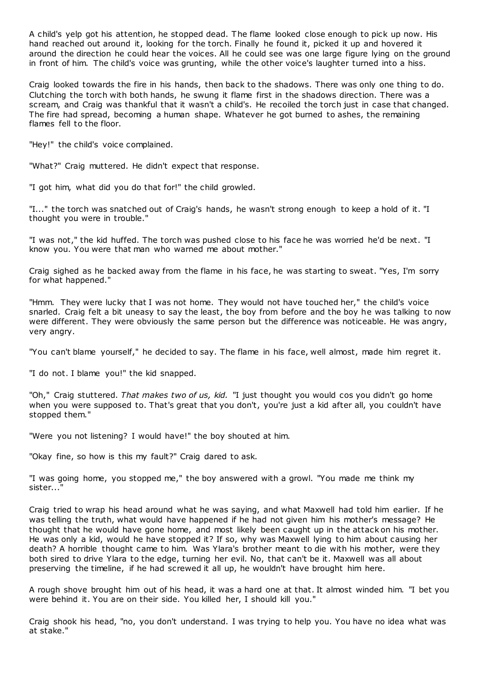A child's yelp got his attention, he stopped dead. The flame looked close enough to pick up now. His hand reached out around it, looking for the torch. Finally he found it, picked it up and hovered it around the direction he could hear the voices. All he could see was one large figure lying on the ground in front of him. The child's voice was grunting, while the other voice's laughter turned into a hiss.

Craig looked towards the fire in his hands, then back to the shadows. There was only one thing to do. Clutching the torch with both hands, he swung it flame first in the shadows direction. There was a scream, and Craig was thankful that it wasn't a child's. He recoiled the torch just in case that changed. The fire had spread, becoming a human shape. Whatever he got burned to ashes, the remaining flames fell to the floor.

"Hey!" the child's voice complained.

"What?" Craig muttered. He didn't expect that response.

"I got him, what did you do that for!" the child growled.

"I..." the torch was snatched out of Craig's hands, he wasn't strong enough to keep a hold of it. "I thought you were in trouble."

"I was not," the kid huffed. The torch was pushed close to his face he was worried he'd be next. "I know you. You were that man who warned me about mother."

Craig sighed as he backed away from the flame in his face, he was starting to sweat. "Yes, I'm sorry for what happened."

"Hmm. They were lucky that I was not home. They would not have touched her," the child's voice snarled. Craig felt a bit uneasy to say the least, the boy from before and the boy he was talking to now were different. They were obviously the same person but the difference was noticeable. He was angry, very angry.

"You can't blame yourself," he decided to say. The flame in his face, well almost, made him regret it.

"I do not. I blame you!" the kid snapped.

"Oh," Craig stuttered. *That makes two of us, kid.* "I just thought you would cos you didn't go home when you were supposed to. That's great that you don't, you're just a kid after all, you couldn't have stopped them."

"Were you not listening? I would have!" the boy shouted at him.

"Okay fine, so how is this my fault?" Craig dared to ask.

"I was going home, you stopped me," the boy answered with a growl. "You made me think my sister..."

Craig tried to wrap his head around what he was saying, and what Maxwell had told him earlier. If he was telling the truth, what would have happened if he had not given him his mother's message? He thought that he would have gone home, and most likely been caught up in the attack on his mother. He was only a kid, would he have stopped it? If so, why was Maxwell lying to him about causing her death? A horrible thought came to him. Was Ylara's brother meant to die with his mother, were they both sired to drive Ylara to the edge, turning her evil. No, that can't be it. Maxwell was all about preserving the timeline, if he had screwed it all up, he wouldn't have brought him here.

A rough shove brought him out of his head, it was a hard one at that. It almost winded him. "I bet you were behind it. You are on their side. You killed her, I should kill you."

Craig shook his head, "no, you don't understand. I was trying to help you. You have no idea what was at stake."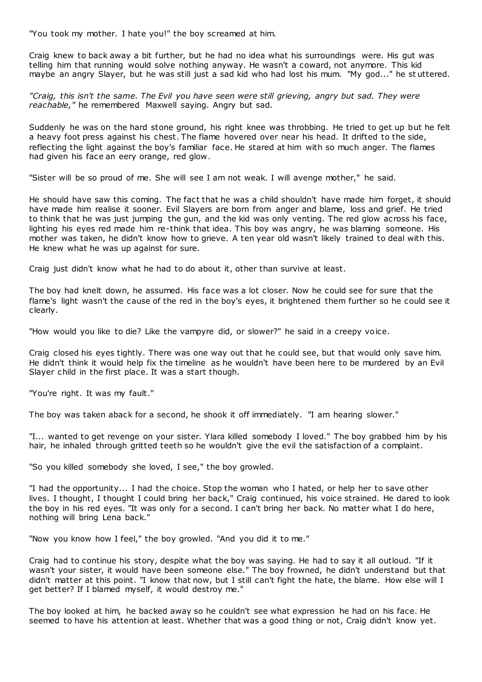"You took my mother. I hate you!" the boy screamed at him.

Craig knew to back away a bit further, but he had no idea what his surroundings were. His gut was telling him that running would solve nothing anyway. He wasn't a coward, not anymore. This kid maybe an angry Slayer, but he was still just a sad kid who had lost his mum. "My god..." he st uttered.

*"Craig, this isn't the same. The Evil you have seen were still grieving, angry but sad. They were reachable,"* he remembered Maxwell saying. Angry but sad.

Suddenly he was on the hard stone ground, his right knee was throbbing. He tried to get up but he felt a heavy foot press against his chest. The flame hovered over near his head. It drifted to the side, reflecting the light against the boy's familiar face. He stared at him with so much anger. The flames had given his face an eery orange, red glow.

"Sister will be so proud of me. She will see I am not weak. I will avenge mother," he said.

He should have saw this coming. The fact that he was a child shouldn't have made him forget, it should have made him realise it sooner. Evil Slayers are born from anger and blame, loss and grief. He tried to think that he was just jumping the gun, and the kid was only venting. The red glow across his face, lighting his eyes red made him re-think that idea. This boy was angry, he was blaming someone. His mother was taken, he didn't know how to grieve. A ten year old wasn't likely trained to deal with this. He knew what he was up against for sure.

Craig just didn't know what he had to do about it, other than survive at least.

The boy had knelt down, he assumed. His face was a lot closer. Now he could see for sure that the flame's light wasn't the cause of the red in the boy's eyes, it brightened them further so he could see it clearly.

"How would you like to die? Like the vampyre did, or slower?" he said in a creepy voice.

Craig closed his eyes tightly. There was one way out that he could see, but that would only save him. He didn't think it would help fix the timeline as he wouldn't have been here to be murdered by an Evil Slayer child in the first place. It was a start though.

"You're right. It was my fault."

The boy was taken aback for a second, he shook it off immediately. "I am hearing slower."

"I... wanted to get revenge on your sister. Ylara killed somebody I loved." The boy grabbed him by his hair, he inhaled through gritted teeth so he wouldn't give the evil the satisfaction of a complaint.

"So you killed somebody she loved, I see," the boy growled.

"I had the opportunity... I had the choice. Stop the woman who I hated, or help her to save other lives. I thought, I thought I could bring her back," Craig continued, his voice strained. He dared to look the boy in his red eyes. "It was only for a second. I can't bring her back. No matter what I do here, nothing will bring Lena back."

"Now you know how I feel," the boy growled. "And you did it to me."

Craig had to continue his story, despite what the boy was saying. He had to say it all outloud. "If it wasn't your sister, it would have been someone else." The boy frowned, he didn't understand but that didn't matter at this point. "I know that now, but I still can't fight the hate, the blame. How else will I get better? If I blamed myself, it would destroy me."

The boy looked at him, he backed away so he couldn't see what expression he had on his face. He seemed to have his attention at least. Whether that was a good thing or not, Craig didn't know yet.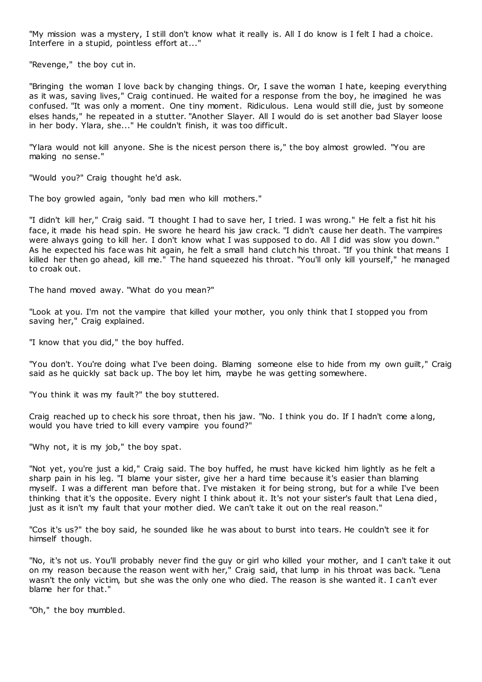"My mission was a mystery, I still don't know what it really is. All I do know is I felt I had a choice. Interfere in a stupid, pointless effort at..."

"Revenge," the boy cut in.

"Bringing the woman I love back by changing things. Or, I save the woman I hate, keeping everything as it was, saving lives," Craig continued. He waited for a response from the boy, he imagined he was confused. "It was only a moment. One tiny moment. Ridiculous. Lena would still die, just by someone elses hands," he repeated in a stutter. "Another Slayer. All I would do is set another bad Slayer loose in her body. Ylara, she..." He couldn't finish, it was too difficult.

"Ylara would not kill anyone. She is the nicest person there is," the boy almost growled. "You are making no sense."

"Would you?" Craig thought he'd ask.

The boy growled again, "only bad men who kill mothers."

"I didn't kill her," Craig said. "I thought I had to save her, I tried. I was wrong." He felt a fist hit his face, it made his head spin. He swore he heard his jaw crack. "I didn't cause her death. The vampires were always going to kill her. I don't know what I was supposed to do. All I did was slow you down." As he expected his face was hit again, he felt a small hand clutch his throat. "If you think that means I killed her then go ahead, kill me." The hand squeezed his throat. "You'll only kill yourself," he managed to croak out.

The hand moved away. "What do you mean?"

"Look at you. I'm not the vampire that killed your mother, you only think that I stopped you from saving her," Craig explained.

"I know that you did," the boy huffed.

"You don't. You're doing what I've been doing. Blaming someone else to hide from my own guilt," Craig said as he quickly sat back up. The boy let him, maybe he was getting somewhere.

"You think it was my fault?" the boy stuttered.

Craig reached up to check his sore throat, then his jaw. "No. I think you do. If I hadn't come along, would you have tried to kill every vampire you found?"

"Why not, it is my job," the boy spat.

"Not yet, you're just a kid," Craig said. The boy huffed, he must have kicked him lightly as he felt a sharp pain in his leg. "I blame your sister, give her a hard time because it's easier than blaming myself. I was a different man before that. I've mistaken it for being strong, but for a while I've been thinking that it's the opposite. Every night I think about it. It's not your sister's fault that Lena died, just as it isn't my fault that your mother died. We can't take it out on the real reason."

"Cos it's us?" the boy said, he sounded like he was about to burst into tears. He couldn't see it for himself though.

"No, it's not us. You'll probably never find the guy or girl who killed your mother, and I can't take it out on my reason because the reason went with her," Craig said, that lump in his throat was back. "Lena wasn't the only victim, but she was the only one who died. The reason is she wanted it. I can't ever blame her for that."

"Oh," the boy mumbled.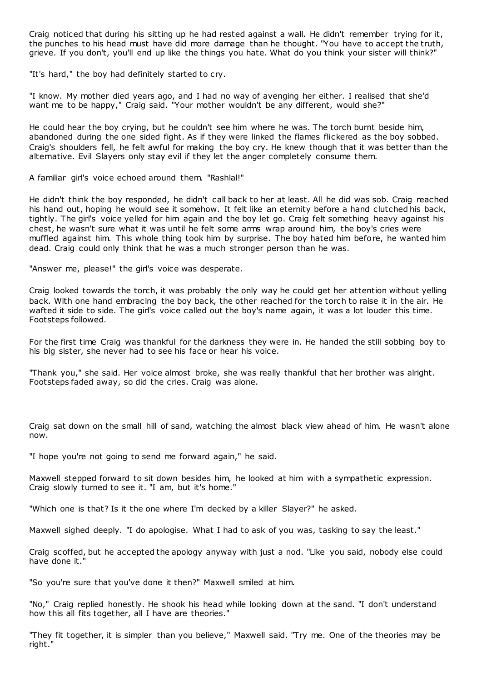Craig noticed that during his sitting up he had rested against a wall. He didn't remember trying for it, the punches to his head must have did more damage than he thought. "You have to accept the truth, grieve. If you don't, you'll end up like the things you hate. What do you think your sister will think?"

"It's hard," the boy had definitely started to cry.

"I know. My mother died years ago, and I had no way of avenging her either. I realised that she'd want me to be happy," Craig said. "Your mother wouldn't be any different, would she?"

He could hear the boy crying, but he couldn't see him where he was. The torch burnt beside him, abandoned during the one sided fight. As if they were linked the flames flickered as the boy sobbed. Craig's shoulders fell, he felt awful for making the boy cry. He knew though that it was better than the alternative. Evil Slayers only stay evil if they let the anger completely consume them.

A familiar girl's voice echoed around them. "Rashlal!"

He didn't think the boy responded, he didn't call back to her at least. All he did was sob. Craig reached his hand out, hoping he would see it somehow. It felt like an eternity before a hand clutched his back, tightly. The girl's voice yelled for him again and the boy let go. Craig felt something heavy against his chest, he wasn't sure what it was until he felt some arms wrap around him, the boy's cries were muffled against him. This whole thing took him by surprise. The boy hated him before, he wanted him dead. Craig could only think that he was a much stronger person than he was.

"Answer me, please!" the girl's voice was desperate.

Craig looked towards the torch, it was probably the only way he could get her attention without yelling back. With one hand embracing the boy back, the other reached for the torch to raise it in the air. He wafted it side to side. The girl's voice called out the boy's name again, it was a lot louder this time. Footsteps followed.

For the first time Craig was thankful for the darkness they were in. He handed the still sobbing boy to his big sister, she never had to see his face or hear his voice.

"Thank you," she said. Her voice almost broke, she was really thankful that her brother was alright. Footsteps faded away, so did the cries. Craig was alone.

Craig sat down on the small hill of sand, watching the almost black view ahead of him. He wasn't alone now.

"I hope you're not going to send me forward again," he said.

Maxwell stepped forward to sit down besides him, he looked at him with a sympathetic expression. Craig slowly turned to see it. "I am, but it's home."

"Which one is that? Is it the one where I'm decked by a killer Slayer?" he asked.

Maxwell sighed deeply. "I do apologise. What I had to ask of you was, tasking to say the least."

Craig scoffed, but he accepted the apology anyway with just a nod. "Like you said, nobody else could have done it."

"So you're sure that you've done it then?" Maxwell smiled at him.

"No," Craig replied honestly. He shook his head while looking down at the sand. "I don't understand how this all fits together, all I have are theories."

"They fit together, it is simpler than you believe," Maxwell said. "Try me. One of the theories may be right."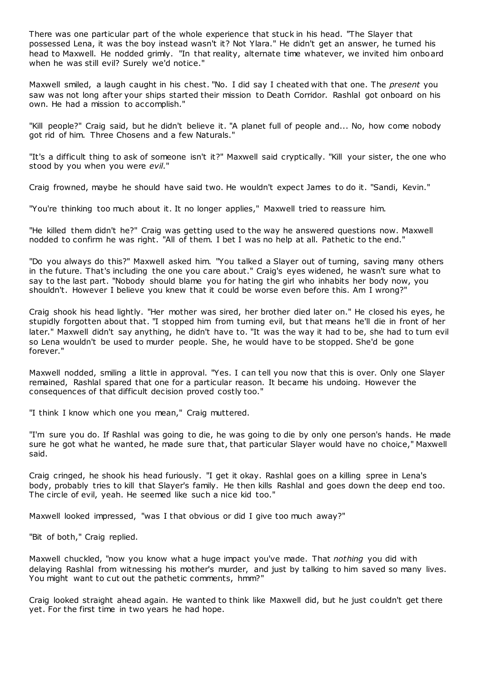There was one particular part of the whole experience that stuck in his head. "The Slayer that possessed Lena, it was the boy instead wasn't it? Not Ylara." He didn't get an answer, he turned his head to Maxwell. He nodded grimly. "In that reality, alternate time whatever, we invited him onboard when he was still evil? Surely we'd notice."

Maxwell smiled, a laugh caught in his chest. "No. I did say I cheated with that one. The *present* you saw was not long after your ships started their mission to Death Corridor. Rashlal got onboard on his own. He had a mission to accomplish."

"Kill people?" Craig said, but he didn't believe it. "A planet full of people and... No, how come nobody got rid of him. Three Chosens and a few Naturals."

"It's a difficult thing to ask of someone isn't it?" Maxwell said cryptically. "Kill your sister, the one who stood by you when you were *evil*."

Craig frowned, maybe he should have said two. He wouldn't expect James to do it. "Sandi, Kevin."

"You're thinking too much about it. It no longer applies," Maxwell tried to reassure him.

"He killed them didn't he?" Craig was getting used to the way he answered questions now. Maxwell nodded to confirm he was right. "All of them. I bet I was no help at all. Pathetic to the end."

"Do you always do this?" Maxwell asked him. "You talked a Slayer out of turning, saving many others in the future. That's including the one you care about." Craig's eyes widened, he wasn't sure what to say to the last part. "Nobody should blame you for hating the girl who inhabits her body now, you shouldn't. However I believe you knew that it could be worse even before this. Am I wrong?"

Craig shook his head lightly. "Her mother was sired, her brother died later on." He closed his eyes, he stupidly forgotten about that. "I stopped him from turning evil, but that means he'll die in front of her later." Maxwell didn't say anything, he didn't have to. "It was the way it had to be, she had to turn evil so Lena wouldn't be used to murder people. She, he would have to be stopped. She'd be gone forever."

Maxwell nodded, smiling a little in approval. "Yes. I can tell you now that this is over. Only one Slayer remained, Rashlal spared that one for a particular reason. It became his undoing. However the consequences of that difficult decision proved costly too."

"I think I know which one you mean," Craig muttered.

"I'm sure you do. If Rashlal was going to die, he was going to die by only one person's hands. He made sure he got what he wanted, he made sure that, that particular Slayer would have no choice," Maxwell said.

Craig cringed, he shook his head furiously. "I get it okay. Rashlal goes on a killing spree in Lena's body, probably tries to kill that Slayer's family. He then kills Rashlal and goes down the deep end too. The circle of evil, yeah. He seemed like such a nice kid too."

Maxwell looked impressed, "was I that obvious or did I give too much away?"

"Bit of both," Craig replied.

Maxwell chuckled, "now you know what a huge impact you've made. That *nothing* you did with delaying Rashlal from witnessing his mother's murder, and just by talking to him saved so many lives. You might want to cut out the pathetic comments, hmm?"

Craig looked straight ahead again. He wanted to think like Maxwell did, but he just couldn't get there yet. For the first time in two years he had hope.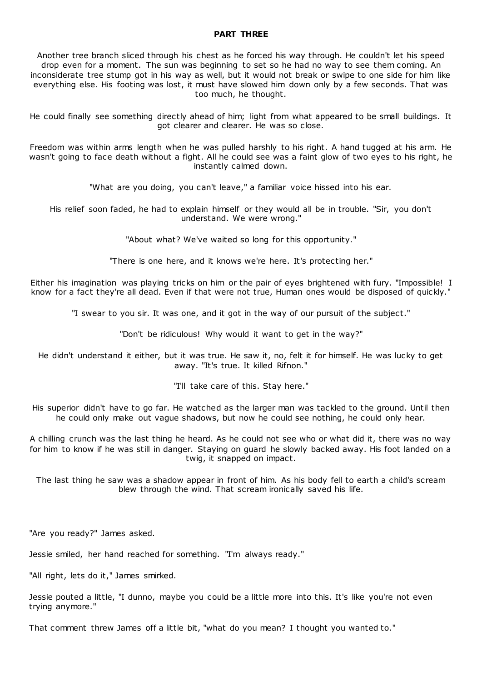## **PART THREE**

Another tree branch sliced through his chest as he forced his way through. He couldn't let his speed drop even for a moment. The sun was beginning to set so he had no way to see them coming. An inconsiderate tree stump got in his way as well, but it would not break or swipe to one side for him like everything else. His footing was lost, it must have slowed him down only by a few seconds. That was too much, he thought.

He could finally see something directly ahead of him; light from what appeared to be small buildings. It got clearer and clearer. He was so close.

Freedom was within arms length when he was pulled harshly to his right. A hand tugged at his arm. He wasn't going to face death without a fight. All he could see was a faint glow of two eyes to his right, he instantly calmed down.

"What are you doing, you can't leave," a familiar voice hissed into his ear.

His relief soon faded, he had to explain himself or they would all be in trouble. "Sir, you don't understand. We were wrong."

"About what? We've waited so long for this opportunity."

"There is one here, and it knows we're here. It's protecting her."

Either his imagination was playing tricks on him or the pair of eyes brightened with fury. "Impossible! I know for a fact they're all dead. Even if that were not true, Human ones would be disposed of quickly."

"I swear to you sir. It was one, and it got in the way of our pursuit of the subject."

"Don't be ridiculous! Why would it want to get in the way?"

He didn't understand it either, but it was true. He saw it, no, felt it for himself. He was lucky to get away. "It's true. It killed Rifnon."

"I'll take care of this. Stay here."

His superior didn't have to go far. He watched as the larger man was tackled to the ground. Until then he could only make out vague shadows, but now he could see nothing, he could only hear.

A chilling crunch was the last thing he heard. As he could not see who or what did it, there was no way for him to know if he was still in danger. Staying on guard he slowly backed away. His foot landed on a twig, it snapped on impact.

The last thing he saw was a shadow appear in front of him. As his body fell to earth a child's scream blew through the wind. That scream ironically saved his life.

"Are you ready?" James asked.

Jessie smiled, her hand reached for something. "I'm always ready."

"All right, lets do it," James smirked.

Jessie pouted a little, "I dunno, maybe you could be a little more into this. It's like you're not even trying anymore."

That comment threw James off a little bit, "what do you mean? I thought you wanted to."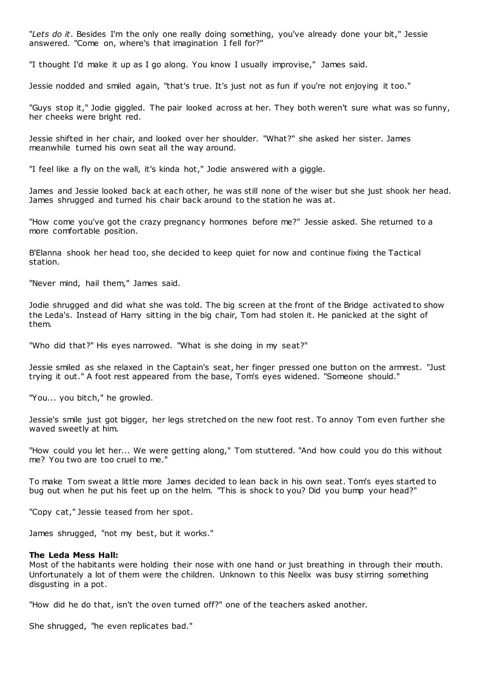"*Lets do it*. Besides I'm the only one really doing something, you've already done your bit," Jessie answered. "Come on, where's that imagination I fell for?"

"I thought I'd make it up as I go along. You know I usually improvise," James said.

Jessie nodded and smiled again, "that's true. It's just not as fun if you're not enjoying it too."

"Guys stop it," Jodie giggled. The pair looked across at her. They both weren't sure what was so funny, her cheeks were bright red.

Jessie shifted in her chair, and looked over her shoulder. "What?" she asked her sister. James meanwhile turned his own seat all the way around.

"I feel like a fly on the wall, it's kinda hot," Jodie answered with a giggle.

James and Jessie looked back at each other, he was still none of the wiser but she just shook her head. James shrugged and turned his chair back around to the station he was at.

"How come you've got the crazy pregnancy hormones before me?" Jessie asked. She returned to a more comfortable position.

B'Elanna shook her head too, she decided to keep quiet for now and continue fixing the Tactical station.

"Never mind, hail them," James said.

Jodie shrugged and did what she was told. The big screen at the front of the Bridge activated to show the Leda's. Instead of Harry sitting in the big chair, Tom had stolen it. He panicked at the sight of them.

"Who did that?" His eyes narrowed. "What is she doing in my seat?"

Jessie smiled as she relaxed in the Captain's seat, her finger pressed one button on the armrest. "Just trying it out." A foot rest appeared from the base, Tom's eyes widened. "Someone should."

"You... you bitch," he growled.

Jessie's smile just got bigger, her legs stretched on the new foot rest. To annoy Tom even further she waved sweetly at him.

"How could you let her... We were getting along," Tom stuttered. "And how could you do this without me? You two are too cruel to me."

To make Tom sweat a little more James decided to lean back in his own seat. Tom's eyes started to bug out when he put his feet up on the helm. "This is shock to you? Did you bump your head?"

"Copy cat," Jessie teased from her spot.

James shrugged, "not my best, but it works."

## **The Leda Mess Hall:**

Most of the habitants were holding their nose with one hand or just breathing in through their mouth. Unfortunately a lot of them were the children. Unknown to this Neelix was busy stirring something disgusting in a pot.

"How did he do that, isn't the oven turned off?" one of the teachers asked another.

She shrugged, "he even replicates bad."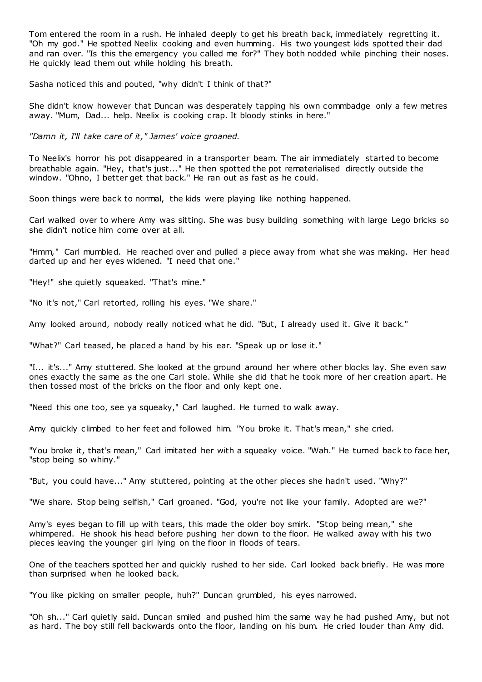Tom entered the room in a rush. He inhaled deeply to get his breath back, immediately regretting it. "Oh my god." He spotted Neelix cooking and even humming. His two youngest kids spotted their dad and ran over. "Is this the emergency you called me for?" They both nodded while pinching their noses. He quickly lead them out while holding his breath.

Sasha noticed this and pouted, "why didn't I think of that?"

She didn't know however that Duncan was desperately tapping his own commbadge only a few metres away. "Mum, Dad... help. Neelix is cooking crap. It bloody stinks in here."

*"Damn it, I'll take care of it," James' voice groaned.*

To Neelix's horror his pot disappeared in a transporter beam. The air immediately started to become breathable again. "Hey, that's just..." He then spotted the pot rematerialised directly outside the window. "Ohno, I better get that back." He ran out as fast as he could.

Soon things were back to normal, the kids were playing like nothing happened.

Carl walked over to where Amy was sitting. She was busy building something with large Lego bricks so she didn't notice him come over at all.

"Hmm," Carl mumbled. He reached over and pulled a piece away from what she was making. Her head darted up and her eyes widened. "I need that one."

"Hey!" she quietly squeaked. "That's mine."

"No it's not," Carl retorted, rolling his eyes. "We share."

Amy looked around, nobody really noticed what he did. "But, I already used it. Give it back."

"What?" Carl teased, he placed a hand by his ear. "Speak up or lose it."

"I... it's..." Amy stuttered. She looked at the ground around her where other blocks lay. She even saw ones exactly the same as the one Carl stole. While she did that he took more of her creation apart. He then tossed most of the bricks on the floor and only kept one.

"Need this one too, see ya squeaky," Carl laughed. He turned to walk away.

Amy quickly climbed to her feet and followed him. "You broke it. That's mean," she cried.

"You broke it, that's mean," Carl imitated her with a squeaky voice. "Wah." He turned back to face her, "stop being so whiny."

"But, you could have..." Amy stuttered, pointing at the other pieces she hadn't used. "Why?"

"We share. Stop being selfish," Carl groaned. "God, you're not like your family. Adopted are we?"

Amy's eyes began to fill up with tears, this made the older boy smirk. "Stop being mean," she whimpered. He shook his head before pushing her down to the floor. He walked away with his two pieces leaving the younger girl lying on the floor in floods of tears.

One of the teachers spotted her and quickly rushed to her side. Carl looked back briefly. He was more than surprised when he looked back.

"You like picking on smaller people, huh?" Duncan grumbled, his eyes narrowed.

"Oh sh..." Carl quietly said. Duncan smiled and pushed him the same way he had pushed Amy, but not as hard. The boy still fell backwards onto the floor, landing on his bum. He cried louder than Amy did.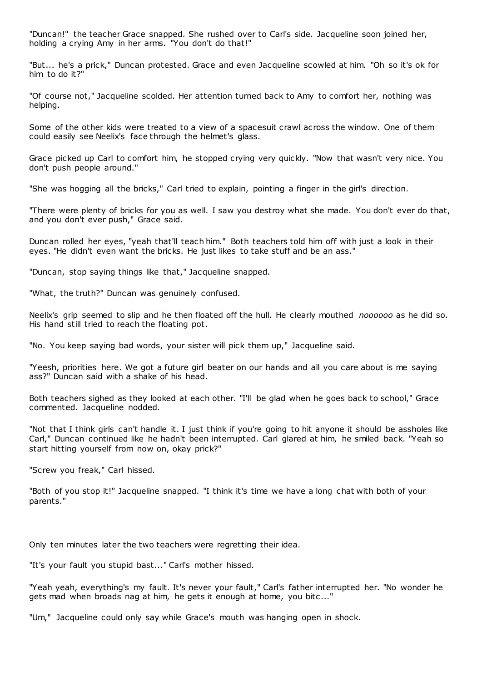"Duncan!" the teacher Grace snapped. She rushed over to Carl's side. Jacqueline soon joined her, holding a crying Amy in her arms. "You don't do that!"

"But... he's a prick," Duncan protested. Grace and even Jacqueline scowled at him. "Oh so it's ok for him to do it?"

"Of course not," Jacqueline scolded. Her attention turned back to Amy to comfort her, nothing was helping.

Some of the other kids were treated to a view of a spacesuit crawl across the window. One of them could easily see Neelix's face through the helmet's glass.

Grace picked up Carl to comfort him, he stopped crying very quickly. "Now that wasn't very nice. You don't push people around."

"She was hogging all the bricks," Carl tried to explain, pointing a finger in the girl's direction.

"There were plenty of bricks for you as well. I saw you destroy what she made. You don't ever do that, and you don't ever push," Grace said.

Duncan rolled her eyes, "yeah that'll teach him." Both teachers told him off with just a look in their eyes. "He didn't even want the bricks. He just likes to take stuff and be an ass."

"Duncan, stop saying things like that," Jacqueline snapped.

"What, the truth?" Duncan was genuinely confused.

Neelix's grip seemed to slip and he then floated off the hull. He clearly mouthed *noooooo* as he did so. His hand still tried to reach the floating pot.

"No. You keep saying bad words, your sister will pick them up," Jacqueline said.

"Yeesh, priorities here. We got a future girl beater on our hands and all you care about is me saying ass?" Duncan said with a shake of his head.

Both teachers sighed as they looked at each other. "I'll be glad when he goes back to school," Grace commented. Jacqueline nodded.

"Not that I think girls can't handle it. I just think if you're going to hit anyone it should be assholes like Carl," Duncan continued like he hadn't been interrupted. Carl glared at him, he smiled back. "Yeah so start hitting yourself from now on, okay prick?"

"Screw you freak," Carl hissed.

"Both of you stop it!" Jacqueline snapped. "I think it's time we have a long chat with both of your parents."

Only ten minutes later the two teachers were regretting their idea.

"It's your fault you stupid bast..." Carl's mother hissed.

"Yeah yeah, everything's my fault. It's never your fault," Carl's father interrupted her. "No wonder he gets mad when broads nag at him, he gets it enough at home, you bitc..."

"Um," Jacqueline could only say while Grace's mouth was hanging open in shock.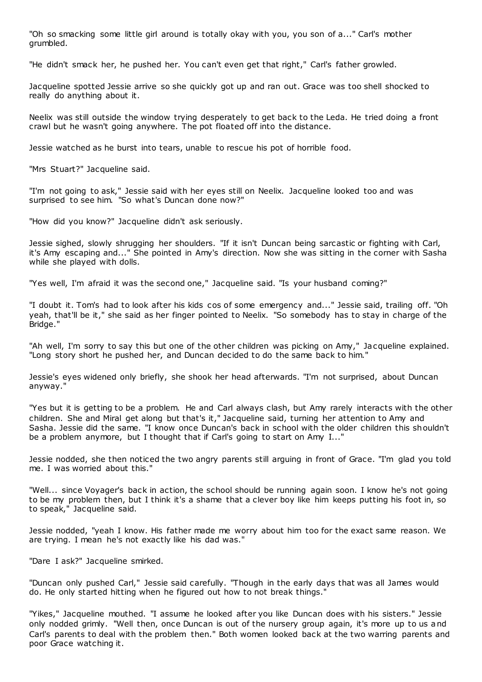"Oh so smacking some little girl around is totally okay with you, you son of a..." Carl's mother grumbled.

"He didn't smack her, he pushed her. You can't even get that right," Carl's father growled.

Jacqueline spotted Jessie arrive so she quickly got up and ran out. Grace was too shell shocked to really do anything about it.

Neelix was still outside the window trying desperately to get back to the Leda. He tried doing a front crawl but he wasn't going anywhere. The pot floated off into the distance.

Jessie watched as he burst into tears, unable to rescue his pot of horrible food.

"Mrs Stuart?" Jacqueline said.

"I'm not going to ask," Jessie said with her eyes still on Neelix. Jacqueline looked too and was surprised to see him. "So what's Duncan done now?"

"How did you know?" Jacqueline didn't ask seriously.

Jessie sighed, slowly shrugging her shoulders. "If it isn't Duncan being sarcastic or fighting with Carl, it's Amy escaping and..." She pointed in Amy's direction. Now she was sitting in the corner with Sasha while she played with dolls.

"Yes well, I'm afraid it was the second one," Jacqueline said. "Is your husband coming?"

"I doubt it. Tom's had to look after his kids cos of some emergency and..." Jessie said, trailing off. "Oh yeah, that'll be it," she said as her finger pointed to Neelix. "So somebody has to stay in charge of the Bridge."

"Ah well, I'm sorry to say this but one of the other children was picking on Amy," Jacqueline explained. "Long story short he pushed her, and Duncan decided to do the same back to him."

Jessie's eyes widened only briefly, she shook her head afterwards. "I'm not surprised, about Duncan anyway."

"Yes but it is getting to be a problem. He and Carl always clash, but Amy rarely interacts with the other children. She and Miral get along but that's it," Jacqueline said, turning her attention to Amy and Sasha. Jessie did the same. "I know once Duncan's back in school with the older children this shouldn't be a problem anymore, but I thought that if Carl's going to start on Amy I..."

Jessie nodded, she then noticed the two angry parents still arguing in front of Grace. "I'm glad you told me. I was worried about this."

"Well... since Voyager's back in action, the school should be running again soon. I know he's not going to be my problem then, but I think it's a shame that a clever boy like him keeps putting his foot in, so to speak," Jacqueline said.

Jessie nodded, "yeah I know. His father made me worry about him too for the exact same reason. We are trying. I mean he's not exactly like his dad was."

"Dare I ask?" Jacqueline smirked.

"Duncan only pushed Carl," Jessie said carefully. "Though in the early days that was all James would do. He only started hitting when he figured out how to not break things."

"Yikes," Jacqueline mouthed. "I assume he looked after you like Duncan does with his sisters." Jessie only nodded grimly. "Well then, once Duncan is out of the nursery group again, it's more up to us and Carl's parents to deal with the problem then." Both women looked back at the two warring parents and poor Grace watching it.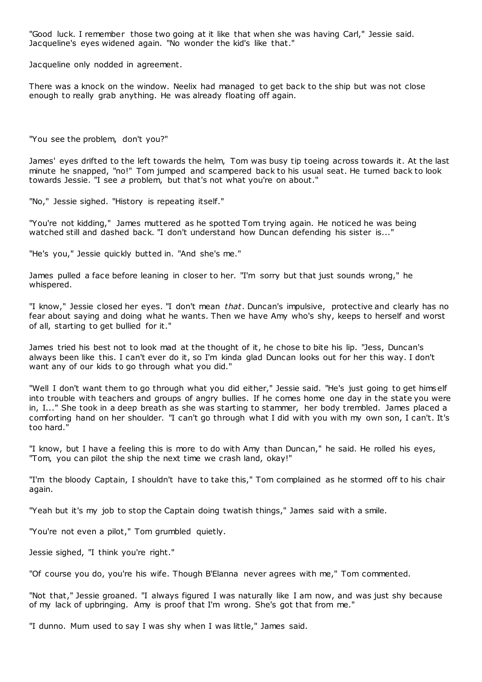"Good luck. I remember those two going at it like that when she was having Carl," Jessie said. Jacqueline's eyes widened again. "No wonder the kid's like that."

Jacqueline only nodded in agreement.

There was a knock on the window. Neelix had managed to get back to the ship but was not close enough to really grab anything. He was already floating off again.

"You see the problem, don't you?"

James' eyes drifted to the left towards the helm, Tom was busy tip toeing across towards it. At the last minute he snapped, "no!" Tom jumped and scampered back to his usual seat. He turned back to look towards Jessie. "I see *a* problem, but that's not what you're on about."

"No," Jessie sighed. "History is repeating itself."

"You're not kidding," James muttered as he spotted Tom trying again. He noticed he was being watched still and dashed back. "I don't understand how Duncan defending his sister is..."

"He's you," Jessie quickly butted in. "And she's me."

James pulled a face before leaning in closer to her. "I'm sorry but that just sounds wrong," he whispered.

"I know," Jessie closed her eyes. "I don't mean *that*. Duncan's impulsive, protective and clearly has no fear about saying and doing what he wants. Then we have Amy who's shy, keeps to herself and worst of all, starting to get bullied for it."

James tried his best not to look mad at the thought of it, he chose to bite his lip. "Jess, Duncan's always been like this. I can't ever do it, so I'm kinda glad Duncan looks out for her this way. I don't want any of our kids to go through what you did."

"Well I don't want them to go through what you did either," Jessie said. "He's just going to get himself into trouble with teachers and groups of angry bullies. If he comes home one day in the state you were in, I..." She took in a deep breath as she was starting to stammer, her body trembled. James placed a comforting hand on her shoulder. "I can't go through what I did with you with my own son, I can't. It's too hard."

"I know, but I have a feeling this is more to do with Amy than Duncan," he said. He rolled his eyes, "Tom, you can pilot the ship the next time we crash land, okay!"

"I'm the bloody Captain, I shouldn't have to take this," Tom complained as he stormed off to his chair again.

"Yeah but it's my job to stop the Captain doing twatish things," James said with a smile.

"You're not even a pilot," Tom grumbled quietly.

Jessie sighed, "I think you're right."

"Of course you do, you're his wife. Though B'Elanna never agrees with me," Tom commented.

"Not that," Jessie groaned. "I always figured I was naturally like I am now, and was just shy because of my lack of upbringing. Amy is proof that I'm wrong. She's got that from me."

"I dunno. Mum used to say I was shy when I was little," James said.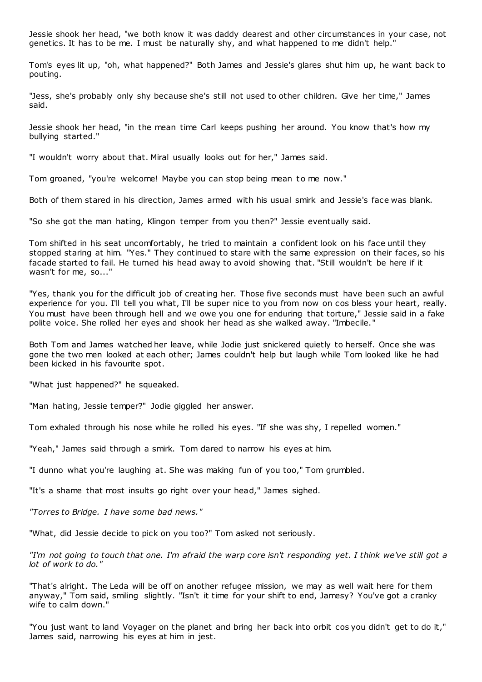Jessie shook her head, "we both know it was daddy dearest and other circumstances in your case, not genetics. It has to be me. I must be naturally shy, and what happened to me didn't help."

Tom's eyes lit up, "oh, what happened?" Both James and Jessie's glares shut him up, he want back to pouting.

"Jess, she's probably only shy because she's still not used to other children. Give her time," James said.

Jessie shook her head, "in the mean time Carl keeps pushing her around. You know that's how my bullying started."

"I wouldn't worry about that. Miral usually looks out for her," James said.

Tom groaned, "you're welcome! Maybe you can stop being mean to me now."

Both of them stared in his direction, James armed with his usual smirk and Jessie's face was blank.

"So she got the man hating, Klingon temper from you then?" Jessie eventually said.

Tom shifted in his seat uncomfortably, he tried to maintain a confident look on his face until they stopped staring at him. "Yes." They continued to stare with the same expression on their faces, so his facade started to fail. He turned his head away to avoid showing that. "Still wouldn't be here if it wasn't for me, so..."

"Yes, thank you for the difficult job of creating her. Those five seconds must have been such an awful experience for you. I'll tell you what, I'll be super nice to you from now on cos bless your heart, really. You must have been through hell and we owe you one for enduring that torture," Jessie said in a fake polite voice. She rolled her eyes and shook her head as she walked away. "Imbecile."

Both Tom and James watched her leave, while Jodie just snickered quietly to herself. Once she was gone the two men looked at each other; James couldn't help but laugh while Tom looked like he had been kicked in his favourite spot.

"What just happened?" he squeaked.

"Man hating, Jessie temper?" Jodie giggled her answer.

Tom exhaled through his nose while he rolled his eyes. "If she was shy, I repelled women."

"Yeah," James said through a smirk. Tom dared to narrow his eyes at him.

"I dunno what you're laughing at. She was making fun of you too," Tom grumbled.

"It's a shame that most insults go right over your head," James sighed.

*"Torres to Bridge. I have some bad news."*

"What, did Jessie decide to pick on you too?" Tom asked not seriously.

*"I'm not going to touch that one. I'm afraid the warp core isn't responding yet. I think we've still got a lot of work to do."*

"That's alright. The Leda will be off on another refugee mission, we may as well wait here for them anyway," Tom said, smiling slightly. "Isn't it time for your shift to end, Jamesy? You've got a cranky wife to calm down."

"You just want to land Voyager on the planet and bring her back into orbit cos you didn't get to do it," James said, narrowing his eyes at him in jest.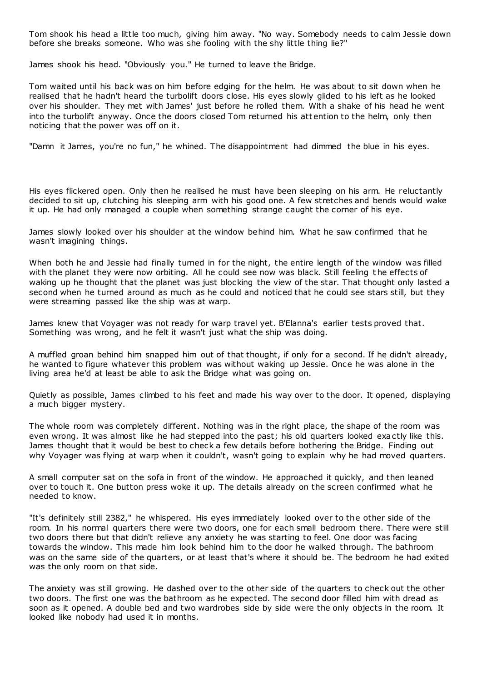Tom shook his head a little too much, giving him away. "No way. Somebody needs to calm Jessie down before she breaks someone. Who was she fooling with the shy little thing lie?"

James shook his head. "Obviously you." He turned to leave the Bridge.

Tom waited until his back was on him before edging for the helm. He was about to sit down when he realised that he hadn't heard the turbolift doors close. His eyes slowly glided to his left as he looked over his shoulder. They met with James' just before he rolled them. With a shake of his head he went into the turbolift anyway. Once the doors closed Tom returned his att ention to the helm, only then noticing that the power was off on it.

"Damn it James, you're no fun," he whined. The disappointment had dimmed the blue in his eyes.

His eyes flickered open. Only then he realised he must have been sleeping on his arm. He reluctantly decided to sit up, clutching his sleeping arm with his good one. A few stretches and bends would wake it up. He had only managed a couple when something strange caught the corner of his eye.

James slowly looked over his shoulder at the window behind him. What he saw confirmed that he wasn't imagining things.

When both he and Jessie had finally turned in for the night, the entire length of the window was filled with the planet they were now orbiting. All he could see now was black. Still feeling t he effects of waking up he thought that the planet was just blocking the view of the star. That thought only lasted a second when he turned around as much as he could and noticed that he could see stars still, but they were streaming passed like the ship was at warp.

James knew that Voyager was not ready for warp travel yet. B'Elanna's earlier tests proved that. Something was wrong, and he felt it wasn't just what the ship was doing.

A muffled groan behind him snapped him out of that thought, if only for a second. If he didn't already, he wanted to figure whatever this problem was without waking up Jessie. Once he was alone in the living area he'd at least be able to ask the Bridge what was going on.

Quietly as possible, James climbed to his feet and made his way over to the door. It opened, displaying a much bigger mystery.

The whole room was completely different. Nothing was in the right place, the shape of the room was even wrong. It was almost like he had stepped into the past; his old quarters looked exactly like this. James thought that it would be best to check a few details before bothering the Bridge. Finding out why Voyager was flying at warp when it couldn't, wasn't going to explain why he had moved quarters.

A small computer sat on the sofa in front of the window. He approached it quickly, and then leaned over to touch it. One button press woke it up. The details already on the screen confirmed what he needed to know.

"It's definitely still 2382," he whispered. His eyes immediately looked over to the other side of the room. In his normal quarters there were two doors, one for each small bedroom there. There were still two doors there but that didn't relieve any anxiety he was starting to feel. One door was facing towards the window. This made him look behind him to the door he walked through. The bathroom was on the same side of the quarters, or at least that's where it should be. The bedroom he had exited was the only room on that side.

The anxiety was still growing. He dashed over to the other side of the quarters to check out the other two doors. The first one was the bathroom as he expected. The second door filled him with dread as soon as it opened. A double bed and two wardrobes side by side were the only objects in the room. It looked like nobody had used it in months.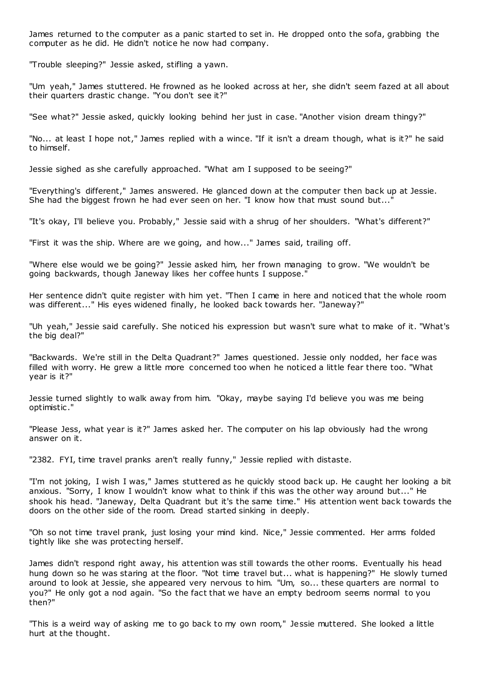James returned to the computer as a panic started to set in. He dropped onto the sofa, grabbing the computer as he did. He didn't notice he now had company.

"Trouble sleeping?" Jessie asked, stifling a yawn.

"Um yeah," James stuttered. He frowned as he looked across at her, she didn't seem fazed at all about their quarters drastic change. "You don't see it?"

"See what?" Jessie asked, quickly looking behind her just in case. "Another vision dream thingy?"

"No... at least I hope not," James replied with a wince. "If it isn't a dream though, what is it?" he said to himself.

Jessie sighed as she carefully approached. "What am I supposed to be seeing?"

"Everything's different," James answered. He glanced down at the computer then back up at Jessie. She had the biggest frown he had ever seen on her. "I know how that must sound but...'

"It's okay, I'll believe you. Probably," Jessie said with a shrug of her shoulders. "What's different?"

"First it was the ship. Where are we going, and how..." James said, trailing off.

"Where else would we be going?" Jessie asked him, her frown managing to grow. "We wouldn't be going backwards, though Janeway likes her coffee hunts I suppose."

Her sentence didn't quite register with him yet. "Then I came in here and noticed that the whole room was different..." His eyes widened finally, he looked back towards her. "Janeway?"

"Uh yeah," Jessie said carefully. She noticed his expression but wasn't sure what to make of it. "What's the big deal?"

"Backwards. We're still in the Delta Quadrant?" James questioned. Jessie only nodded, her face was filled with worry. He grew a little more concerned too when he noticed a little fear there too. "What year is it?"

Jessie turned slightly to walk away from him. "Okay, maybe saying I'd believe you was me being optimistic ."

"Please Jess, what year is it?" James asked her. The computer on his lap obviously had the wrong answer on it.

"2382. FYI, time travel pranks aren't really funny," Jessie replied with distaste.

"I'm not joking, I wish I was," James stuttered as he quickly stood back up. He caught her looking a bit anxious. "Sorry, I know I wouldn't know what to think if this was the other way around but..." He shook his head. "Janeway, Delta Quadrant but it's the same time." His attention went back towards the doors on the other side of the room. Dread started sinking in deeply.

"Oh so not time travel prank, just losing your mind kind. Nice," Jessie commented. Her arms folded tightly like she was protecting herself.

James didn't respond right away, his attention was still towards the other rooms. Eventually his head hung down so he was staring at the floor. "Not time travel but... what is happening?" He slowly turned around to look at Jessie, she appeared very nervous to him. "Um, so... these quarters are normal to you?" He only got a nod again. "So the fact that we have an empty bedroom seems normal to you then?"

"This is a weird way of asking me to go back to my own room," Jessie muttered. She looked a little hurt at the thought.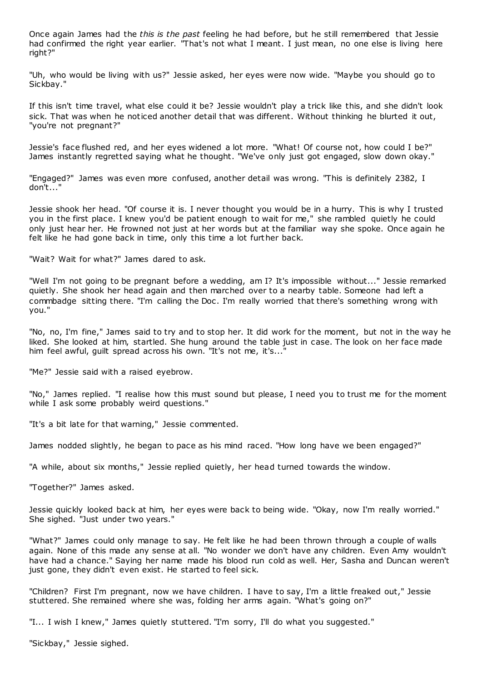Once again James had the *this is the past* feeling he had before, but he still remembered that Jessie had confirmed the right year earlier. "That's not what I meant. I just mean, no one else is living here right?"

"Uh, who would be living with us?" Jessie asked, her eyes were now wide. "Maybe you should go to Sickbay."

If this isn't time travel, what else could it be? Jessie wouldn't play a trick like this, and she didn't look sick. That was when he noticed another detail that was different. Without thinking he blurted it out, "you're not pregnant?"

Jessie's face flushed red, and her eyes widened a lot more. "What! Of course not, how could I be?" James instantly regretted saying what he thought. "We've only just got engaged, slow down okay."

"Engaged?" James was even more confused, another detail was wrong. "This is definitely 2382, I don't..."

Jessie shook her head. "Of course it is. I never thought you would be in a hurry. This is why I trusted you in the first place. I knew you'd be patient enough to wait for me," she rambled quietly he could only just hear her. He frowned not just at her words but at the familiar way she spoke. Once again he felt like he had gone back in time, only this time a lot further back.

"Wait? Wait for what?" James dared to ask.

"Well I'm not going to be pregnant before a wedding, am I? It's impossible without..." Jessie remarked quietly. She shook her head again and then marched over to a nearby table. Someone had left a commbadge sitting there. "I'm calling the Doc . I'm really worried that there's something wrong with you."

"No, no, I'm fine," James said to try and to stop her. It did work for the moment, but not in the way he liked. She looked at him, startled. She hung around the table just in case. The look on her face made him feel awful, guilt spread across his own. "It's not me, it's..."

"Me?" Jessie said with a raised eyebrow.

"No," James replied. "I realise how this must sound but please, I need you to trust me for the moment while I ask some probably weird questions."

"It's a bit late for that warning," Jessie commented.

James nodded slightly, he began to pace as his mind raced. "How long have we been engaged?"

"A while, about six months," Jessie replied quietly, her head turned towards the window.

"Together?" James asked.

Jessie quickly looked back at him, her eyes were back to being wide. "Okay, now I'm really worried." She sighed. "Just under two years."

"What?" James could only manage to say. He felt like he had been thrown through a couple of walls again. None of this made any sense at all. "No wonder we don't have any children. Even Amy wouldn't have had a chance." Saying her name made his blood run cold as well. Her, Sasha and Duncan weren't just gone, they didn't even exist. He started to feel sick.

"Children? First I'm pregnant, now we have children. I have to say, I'm a little freaked out," Jessie stuttered. She remained where she was, folding her arms again. "What's going on?"

"I... I wish I knew," James quietly stuttered. "I'm sorry, I'll do what you suggested."

"Sickbay," Jessie sighed.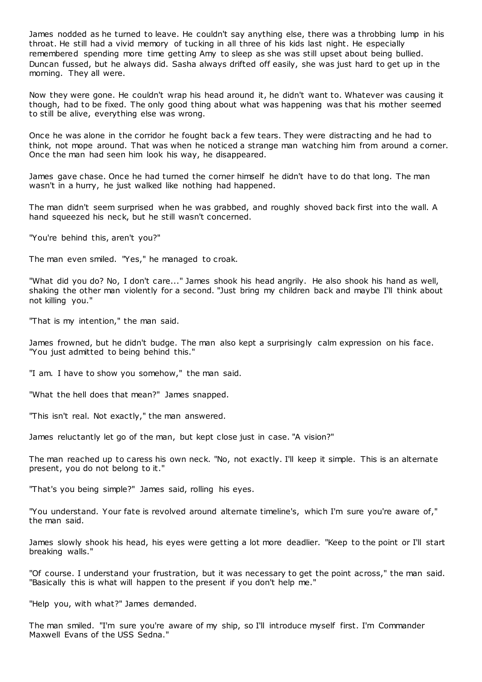James nodded as he turned to leave. He couldn't say anything else, there was a throbbing lump in his throat. He still had a vivid memory of tucking in all three of his kids last night. He especially remembered spending more time getting Amy to sleep as she was still upset about being bullied. Duncan fussed, but he always did. Sasha always drifted off easily, she was just hard to get up in the morning. They all were.

Now they were gone. He couldn't wrap his head around it, he didn't want to. Whatever was causing it though, had to be fixed. The only good thing about what was happening was that his mother seemed to still be alive, everything else was wrong.

Once he was alone in the corridor he fought back a few tears. They were distracting and he had to think, not mope around. That was when he noticed a strange man watching him from around a corner. Once the man had seen him look his way, he disappeared.

James gave chase. Once he had turned the corner himself he didn't have to do that long. The man wasn't in a hurry, he just walked like nothing had happened.

The man didn't seem surprised when he was grabbed, and roughly shoved back first into the wall. A hand squeezed his neck, but he still wasn't concerned.

"You're behind this, aren't you?"

The man even smiled. "Yes," he managed to croak.

"What did you do? No, I don't care..." James shook his head angrily. He also shook his hand as well, shaking the other man violently for a second. "Just bring my children back and maybe I'll think about not killing you."

"That is my intention," the man said.

James frowned, but he didn't budge. The man also kept a surprisingly calm expression on his face. "You just admitted to being behind this."

"I am. I have to show you somehow," the man said.

"What the hell does that mean?" James snapped.

"This isn't real. Not exactly," the man answered.

James reluctantly let go of the man, but kept close just in case. "A vision?"

The man reached up to caress his own neck. "No, not exactly. I'll keep it simple. This is an alternate present, you do not belong to it."

"That's you being simple?" James said, rolling his eyes.

"You understand. Your fate is revolved around alternate timeline's, which I'm sure you're aware of," the man said.

James slowly shook his head, his eyes were getting a lot more deadlier. "Keep to the point or I'll start breaking walls."

"Of course. I understand your frustration, but it was necessary to get the point across," the man said. "Basically this is what will happen to the present if you don't help me."

"Help you, with what?" James demanded.

The man smiled. "I'm sure you're aware of my ship, so I'll introduce myself first. I'm Commander Maxwell Evans of the USS Sedna."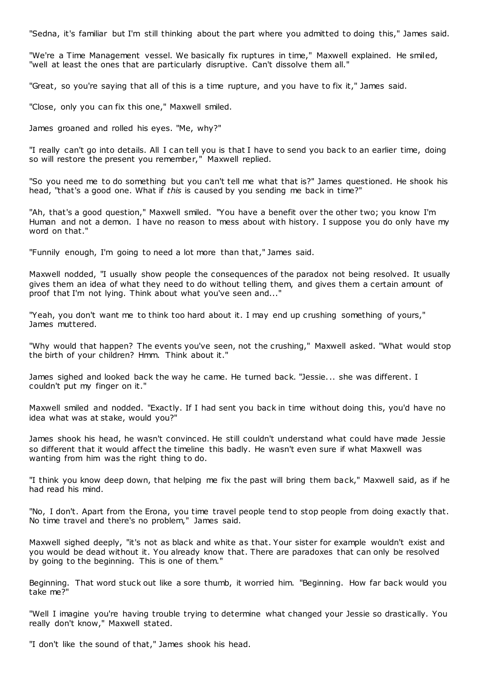"Sedna, it's familiar but I'm still thinking about the part where you admitted to doing this," James said.

"We're a Time Management vessel. We basically fix ruptures in time," Maxwell explained. He smiled, "well at least the ones that are particularly disruptive. Can't dissolve them all."

"Great, so you're saying that all of this is a time rupture, and you have to fix it," James said.

"Close, only you can fix this one," Maxwell smiled.

James groaned and rolled his eyes. "Me, why?"

"I really can't go into details. All I can tell you is that I have to send you back to an earlier time, doing so will restore the present you remember," Maxwell replied.

"So you need me to do something but you can't tell me what that is?" James questioned. He shook his head, "that's a good one. What if *this* is caused by you sending me back in time?"

"Ah, that's a good question," Maxwell smiled. "You have a benefit over the other two; you know I'm Human and not a demon. I have no reason to mess about with history. I suppose you do only have my word on that."

"Funnily enough, I'm going to need a lot more than that," James said.

Maxwell nodded, "I usually show people the consequences of the paradox not being resolved. It usually gives them an idea of what they need to do without telling them, and gives them a certain amount of proof that I'm not lying. Think about what you've seen and..."

"Yeah, you don't want me to think too hard about it. I may end up crushing something of yours," James muttered.

"Why would that happen? The events you've seen, not the crushing," Maxwell asked. "What would stop the birth of your children? Hmm. Think about it."

James sighed and looked back the way he came. He turned back. "Jessie... she was different. I couldn't put my finger on it."

Maxwell smiled and nodded. "Exactly. If I had sent you back in time without doing this, you'd have no idea what was at stake, would you?"

James shook his head, he wasn't convinced. He still couldn't understand what could have made Jessie so different that it would affect the timeline this badly. He wasn't even sure if what Maxwell was wanting from him was the right thing to do.

"I think you know deep down, that helping me fix the past will bring them back," Maxwell said, as if he had read his mind.

"No, I don't. Apart from the Erona, you time travel people tend to stop people from doing exactly that. No time travel and there's no problem," James said.

Maxwell sighed deeply, "it's not as black and white as that. Your sister for example wouldn't exist and you would be dead without it. You already know that. There are paradoxes that can only be resolved by going to the beginning. This is one of them."

Beginning. That word stuck out like a sore thumb, it worried him. "Beginning. How far back would you take me?"

"Well I imagine you're having trouble trying to determine what changed your Jessie so drastically. You really don't know," Maxwell stated.

"I don't like the sound of that," James shook his head.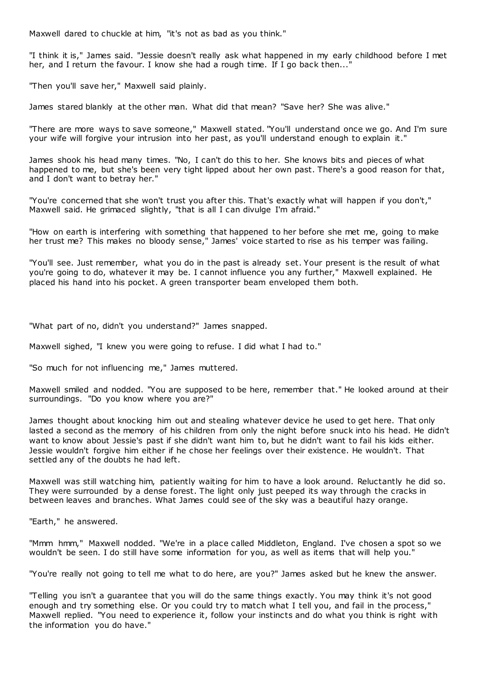Maxwell dared to chuckle at him, "it's not as bad as you think."

"I think it is," James said. "Jessie doesn't really ask what happened in my early childhood before I met her, and I return the favour. I know she had a rough time. If I go back then...'

"Then you'll save her," Maxwell said plainly.

James stared blankly at the other man. What did that mean? "Save her? She was alive."

"There are more ways to save someone," Maxwell stated. "You'll understand once we go. And I'm sure your wife will forgive your intrusion into her past, as you'll understand enough to explain it."

James shook his head many times. "No, I can't do this to her. She knows bits and pieces of what happened to me, but she's been very tight lipped about her own past. There's a good reason for that, and I don't want to betray her."

"You're concerned that she won't trust you after this. That's exactly what will happen if you don't," Maxwell said. He grimaced slightly, "that is all I can divulge I'm afraid."

"How on earth is interfering with something that happened to her before she met me, going to make her trust me? This makes no bloody sense," James' voice started to rise as his temper was failing.

"You'll see. Just remember, what you do in the past is already set. Your present is the result of what you're going to do, whatever it may be. I cannot influence you any further," Maxwell explained. He placed his hand into his pocket. A green transporter beam enveloped them both.

"What part of no, didn't you understand?" James snapped.

Maxwell sighed, "I knew you were going to refuse. I did what I had to."

"So much for not influencing me," James muttered.

Maxwell smiled and nodded. "You are supposed to be here, remember that." He looked around at their surroundings. "Do you know where you are?"

James thought about knocking him out and stealing whatever device he used to get here. That only lasted a second as the memory of his children from only the night before snuck into his head. He didn't want to know about Jessie's past if she didn't want him to, but he didn't want to fail his kids either. Jessie wouldn't forgive him either if he chose her feelings over their existence. He wouldn't. That settled any of the doubts he had left.

Maxwell was still watching him, patiently waiting for him to have a look around. Reluctantly he did so. They were surrounded by a dense forest. The light only just peeped its way through the cracks in between leaves and branches. What James could see of the sky was a beautiful hazy orange.

"Earth," he answered.

"Mmm hmm," Maxwell nodded. "We're in a place called Middleton, England. I've chosen a spot so we wouldn't be seen. I do still have some information for you, as well as items that will help you."

"You're really not going to tell me what to do here, are you?" James asked but he knew the answer.

"Telling you isn't a guarantee that you will do the same things exactly. You may think it's not good enough and try something else. Or you could try to match what I tell you, and fail in the process," Maxwell replied. "You need to experience it, follow your instincts and do what you think is right with the information you do have."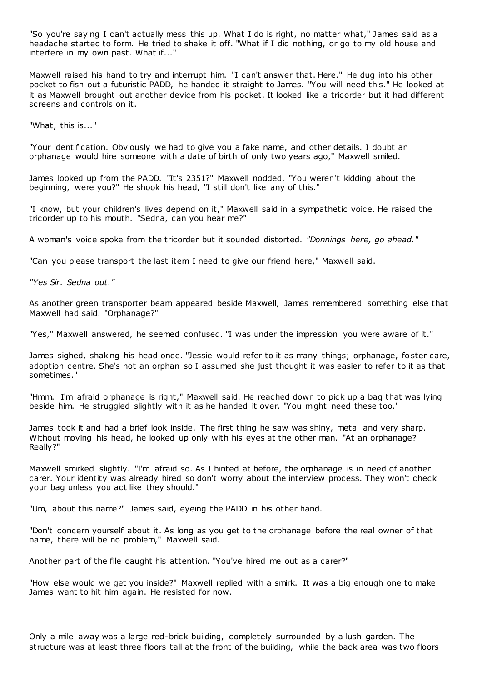"So you're saying I can't actually mess this up. What I do is right, no matter what," James said as a headache started to form. He tried to shake it off. "What if I did nothing, or go to my old house and interfere in my own past. What if..."

Maxwell raised his hand to try and interrupt him. "I can't answer that. Here." He dug into his other pocket to fish out a futuristic PADD, he handed it straight to James. "You will need this." He looked at it as Maxwell brought out another device from his pocket. It looked like a tricorder but it had different screens and controls on it.

"What, this is..."

"Your identification. Obviously we had to give you a fake name, and other details. I doubt an orphanage would hire someone with a date of birth of only two years ago," Maxwell smiled.

James looked up from the PADD. "It's 2351?" Maxwell nodded. "You weren't kidding about the beginning, were you?" He shook his head, "I still don't like any of this."

"I know, but your children's lives depend on it," Maxwell said in a sympathetic voice. He raised the tricorder up to his mouth. "Sedna, can you hear me?"

A woman's voice spoke from the tricorder but it sounded distorted. *"Donnings here, go ahead."*

"Can you please transport the last item I need to give our friend here," Maxwell said.

*"Yes Sir. Sedna out."*

As another green transporter beam appeared beside Maxwell, James remembered something else that Maxwell had said. "Orphanage?"

"Yes," Maxwell answered, he seemed confused. "I was under the impression you were aware of it."

James sighed, shaking his head once. "Jessie would refer to it as many things; orphanage, foster care, adoption centre. She's not an orphan so I assumed she just thought it was easier to refer to it as that sometimes."

"Hmm. I'm afraid orphanage is right," Maxwell said. He reached down to pick up a bag that was lying beside him. He struggled slightly with it as he handed it over. "You might need these too."

James took it and had a brief look inside. The first thing he saw was shiny, metal and very sharp. Without moving his head, he looked up only with his eyes at the other man. "At an orphanage? Really?"

Maxwell smirked slightly. "I'm afraid so. As I hinted at before, the orphanage is in need of another carer. Your identity was already hired so don't worry about the interview process. They won't check your bag unless you act like they should."

"Um, about this name?" James said, eyeing the PADD in his other hand.

"Don't concern yourself about it. As long as you get to the orphanage before the real owner of that name, there will be no problem," Maxwell said.

Another part of the file caught his attention. "You've hired me out as a carer?"

"How else would we get you inside?" Maxwell replied with a smirk. It was a big enough one to make James want to hit him again. He resisted for now.

Only a mile away was a large red-brick building, completely surrounded by a lush garden. The structure was at least three floors tall at the front of the building, while the back area was two floors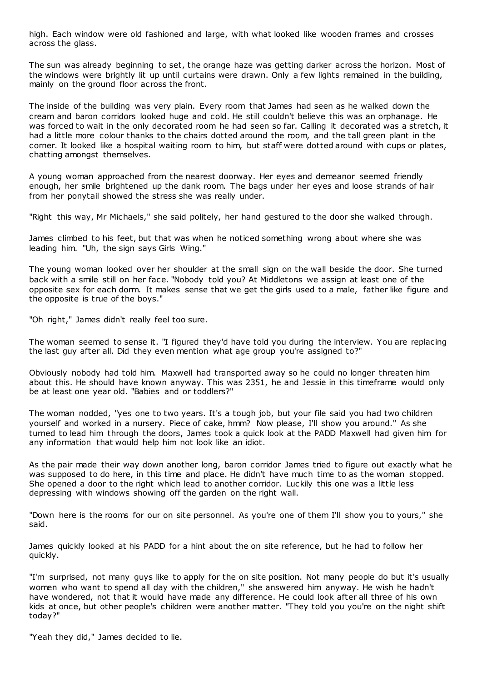high. Each window were old fashioned and large, with what looked like wooden frames and crosses across the glass.

The sun was already beginning to set, the orange haze was getting darker across the horizon. Most of the windows were brightly lit up until curtains were drawn. Only a few lights remained in the building, mainly on the ground floor across the front.

The inside of the building was very plain. Every room that James had seen as he walked down the cream and baron corridors looked huge and cold. He still couldn't believe this was an orphanage. He was forced to wait in the only decorated room he had seen so far. Calling it decorated was a stretch, it had a little more colour thanks to the chairs dotted around the room, and the tall green plant in the corner. It looked like a hospital waiting room to him, but staff were dotted around with cups or plates, chatting amongst themselves.

A young woman approached from the nearest doorway. Her eyes and demeanor seemed friendly enough, her smile brightened up the dank room. The bags under her eyes and loose strands of hair from her ponytail showed the stress she was really under.

"Right this way, Mr Michaels," she said politely, her hand gestured to the door she walked through.

James climbed to his feet, but that was when he noticed something wrong about where she was leading him. "Uh, the sign says Girls Wing."

The young woman looked over her shoulder at the small sign on the wall beside the door. She turned back with a smile still on her face. "Nobody told you? At Middletons we assign at least one of the opposite sex for each dorm. It makes sense that we get the girls used to a male, father like figure and the opposite is true of the boys."

"Oh right," James didn't really feel too sure.

The woman seemed to sense it. "I figured they'd have told you during the interview. You are replacing the last guy after all. Did they even mention what age group you're assigned to?"

Obviously nobody had told him. Maxwell had transported away so he could no longer threaten him about this. He should have known anyway. This was 2351, he and Jessie in this timeframe would only be at least one year old. "Babies and or toddlers?"

The woman nodded, "yes one to two years. It's a tough job, but your file said you had two children yourself and worked in a nursery. Piece of cake, hmm? Now please, I'll show you around." As she turned to lead him through the doors, James took a quick look at the PADD Maxwell had given him for any information that would help him not look like an idiot.

As the pair made their way down another long, baron corridor James tried to figure out exactly what he was supposed to do here, in this time and place. He didn't have much time to as the woman stopped. She opened a door to the right which lead to another corridor. Luckily this one was a little less depressing with windows showing off the garden on the right wall.

"Down here is the rooms for our on site personnel. As you're one of them I'll show you to yours," she said.

James quickly looked at his PADD for a hint about the on site reference, but he had to follow her quickly.

"I'm surprised, not many guys like to apply for the on site position. Not many people do but it's usually women who want to spend all day with the children," she answered him anyway. He wish he hadn't have wondered, not that it would have made any difference. He could look after all three of his own kids at once, but other people's children were another matter. "They told you you're on the night shift today?"

"Yeah they did," James decided to lie.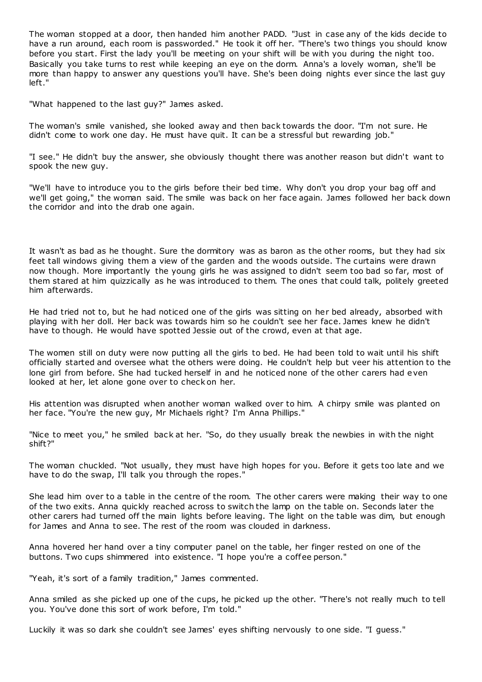The woman stopped at a door, then handed him another PADD. "Just in case any of the kids decide to have a run around, each room is passworded." He took it off her. "There's two things you should know before you start. First the lady you'll be meeting on your shift will be with you during the night too. Basically you take turns to rest while keeping an eye on the dorm. Anna's a lovely woman, she'll be more than happy to answer any questions you'll have. She's been doing nights ever since the last guy left."

"What happened to the last guy?" James asked.

The woman's smile vanished, she looked away and then back towards the door. "I'm not sure. He didn't come to work one day. He must have quit. It can be a stressful but rewarding job."

"I see." He didn't buy the answer, she obviously thought there was another reason but didn't want to spook the new guy.

"We'll have to introduce you to the girls before their bed time. Why don't you drop your bag off and we'll get going," the woman said. The smile was back on her face again. James followed her back down the corridor and into the drab one again.

It wasn't as bad as he thought. Sure the dormitory was as baron as the other rooms, but they had six feet tall windows giving them a view of the garden and the woods outside. The curtains were drawn now though. More importantly the young girls he was assigned to didn't seem too bad so far, most of them stared at him quizzically as he was introduced to them. The ones that could talk, politely greeted him afterwards.

He had tried not to, but he had noticed one of the girls was sitting on her bed already, absorbed with playing with her doll. Her back was towards him so he couldn't see her face. James knew he didn't have to though. He would have spotted Jessie out of the crowd, even at that age.

The women still on duty were now putting all the girls to bed. He had been told to wait until his shift officially started and oversee what the others were doing. He couldn't help but veer his attention to the lone girl from before. She had tucked herself in and he noticed none of the other carers had even looked at her, let alone gone over to check on her.

His attention was disrupted when another woman walked over to him. A chirpy smile was planted on her face. "You're the new guy, Mr Michaels right? I'm Anna Phillips."

"Nice to meet you," he smiled back at her. "So, do they usually break the newbies in with the night shift?"

The woman chuckled. "Not usually, they must have high hopes for you. Before it gets too late and we have to do the swap, I'll talk you through the ropes."

She lead him over to a table in the centre of the room. The other carers were making their way to one of the two exits. Anna quickly reached across to switch the lamp on the table on. Seconds later the other carers had turned off the main lights before leaving. The light on the table was dim, but enough for James and Anna to see. The rest of the room was clouded in darkness.

Anna hovered her hand over a tiny computer panel on the table, her finger rested on one of the buttons. Two cups shimmered into existence. "I hope you're a coffee person."

"Yeah, it's sort of a family tradition," James commented.

Anna smiled as she picked up one of the cups, he picked up the other. "There's not really much to tell you. You've done this sort of work before, I'm told."

Luckily it was so dark she couldn't see James' eyes shifting nervously to one side. "I guess."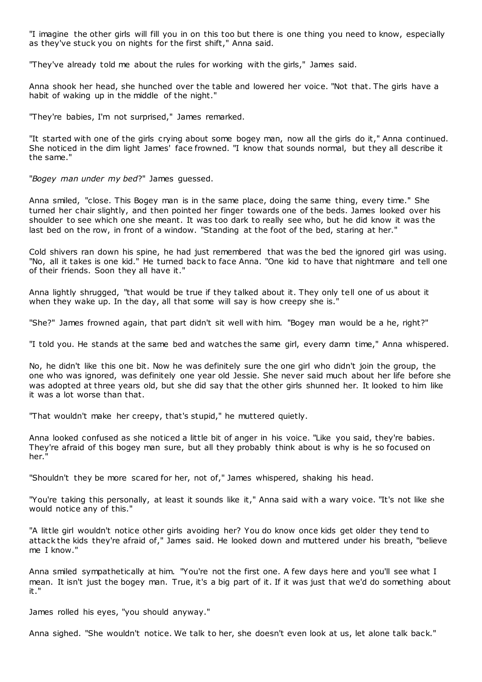"I imagine the other girls will fill you in on this too but there is one thing you need to know, especially as they've stuck you on nights for the first shift," Anna said.

"They've already told me about the rules for working with the girls," James said.

Anna shook her head, she hunched over the table and lowered her voice. "Not that. The girls have a habit of waking up in the middle of the night."

"They're babies, I'm not surprised," James remarked.

"It started with one of the girls crying about some bogey man, now all the girls do it," Anna continued. She noticed in the dim light James' face frowned. "I know that sounds normal, but they all describe it the same."

"*Bogey man under my bed*?" James guessed.

Anna smiled, "close. This Bogey man is in the same place, doing the same thing, every time." She turned her chair slightly, and then pointed her finger towards one of the beds. James looked over his shoulder to see which one she meant. It was too dark to really see who, but he did know it was the last bed on the row, in front of a window. "Standing at the foot of the bed, staring at her."

Cold shivers ran down his spine, he had just remembered that was the bed the ignored girl was using. "No, all it takes is one kid." He turned back to face Anna. "One kid to have that nightmare and tell one of their friends. Soon they all have it."

Anna lightly shrugged, "that would be true if they talked about it. They only tell one of us about it when they wake up. In the day, all that some will say is how creepy she is."

"She?" James frowned again, that part didn't sit well with him. "Bogey man would be a he, right?"

"I told you. He stands at the same bed and watches the same girl, every damn time," Anna whispered.

No, he didn't like this one bit. Now he was definitely sure the one girl who didn't join the group, the one who was ignored, was definitely one year old Jessie. She never said much about her life before she was adopted at three years old, but she did say that the other girls shunned her. It looked to him like it was a lot worse than that.

"That wouldn't make her creepy, that's stupid," he muttered quietly.

Anna looked confused as she noticed a little bit of anger in his voice. "Like you said, they're babies. They're afraid of this bogey man sure, but all they probably think about is why is he so focused on her."

"Shouldn't they be more scared for her, not of," James whispered, shaking his head.

"You're taking this personally, at least it sounds like it," Anna said with a wary voice. "It's not like she would notice any of this."

"A little girl wouldn't notice other girls avoiding her? You do know once kids get older they tend to attack the kids they're afraid of," James said. He looked down and muttered under his breath, "believe me I know."

Anna smiled sympathetically at him. "You're not the first one. A few days here and you'll see what I mean. It isn't just the bogey man. True, it's a big part of it. If it was just that we'd do something about it."

James rolled his eyes, "you should anyway."

Anna sighed. "She wouldn't notice. We talk to her, she doesn't even look at us, let alone talk back."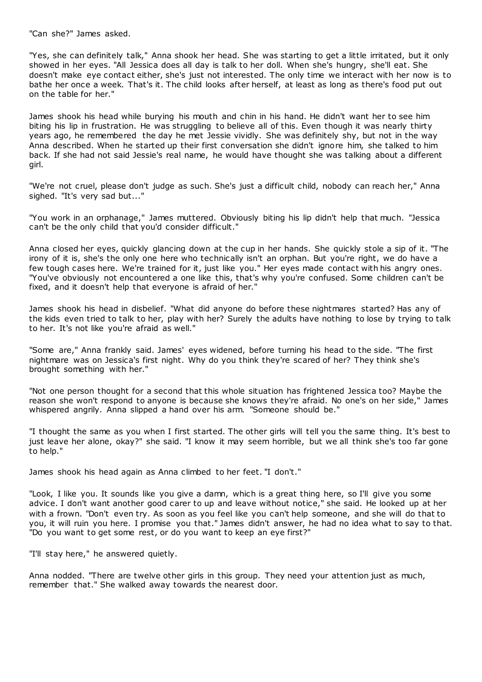"Can she?" James asked.

"Yes, she can definitely talk," Anna shook her head. She was starting to get a little irritated, but it only showed in her eyes. "All Jessica does all day is talk to her doll. When she's hungry, she'll eat. She doesn't make eye contact either, she's just not interested. The only time we interact with her now is to bathe her once a week. That's it. The child looks after herself, at least as long as there's food put out on the table for her."

James shook his head while burying his mouth and chin in his hand. He didn't want her to see him biting his lip in frustration. He was struggling to believe all of this. Even though it was nearly thirty years ago, he remembered the day he met Jessie vividly. She was definitely shy, but not in the way Anna described. When he started up their first conversation she didn't ignore him, she talked to him back. If she had not said Jessie's real name, he would have thought she was talking about a different girl.

"We're not cruel, please don't judge as such. She's just a difficult child, nobody can reach her," Anna sighed. "It's very sad but..."

"You work in an orphanage," James muttered. Obviously biting his lip didn't help that much. "Jessica can't be the only child that you'd consider difficult."

Anna closed her eyes, quickly glancing down at the cup in her hands. She quickly stole a sip of it. "The irony of it is, she's the only one here who technically isn't an orphan. But you're right, we do have a few tough cases here. We're trained for it, just like you." Her eyes made contact with his angry ones. "You've obviously not encountered a one like this, that's why you're confused. Some children can't be fixed, and it doesn't help that everyone is afraid of her."

James shook his head in disbelief. "What did anyone do before these nightmares started? Has any of the kids even tried to talk to her, play with her? Surely the adults have nothing to lose by trying to talk to her. It's not like you're afraid as well."

"Some are," Anna frankly said. James' eyes widened, before turning his head to the side. "The first nightmare was on Jessica's first night. Why do you think they're scared of her? They think she's brought something with her."

"Not one person thought for a second that this whole situation has frightened Jessica too? Maybe the reason she won't respond to anyone is because she knows they're afraid. No one's on her side," James whispered angrily. Anna slipped a hand over his arm. "Someone should be."

"I thought the same as you when I first started. The other girls will tell you the same thing. It's best to just leave her alone, okay?" she said. "I know it may seem horrible, but we all think she's too far gone to help."

James shook his head again as Anna climbed to her feet. "I don't."

"Look, I like you. It sounds like you give a damn, which is a great thing here, so I'll give you some advice. I don't want another good carer to up and leave without notice," she said. He looked up at her with a frown. "Don't even try. As soon as you feel like you can't help someone, and she will do that to you, it will ruin you here. I promise you that." James didn't answer, he had no idea what to say to that. "Do you want to get some rest, or do you want to keep an eye first?"

"I'll stay here," he answered quietly.

Anna nodded. "There are twelve other girls in this group. They need your attention just as much, remember that." She walked away towards the nearest door.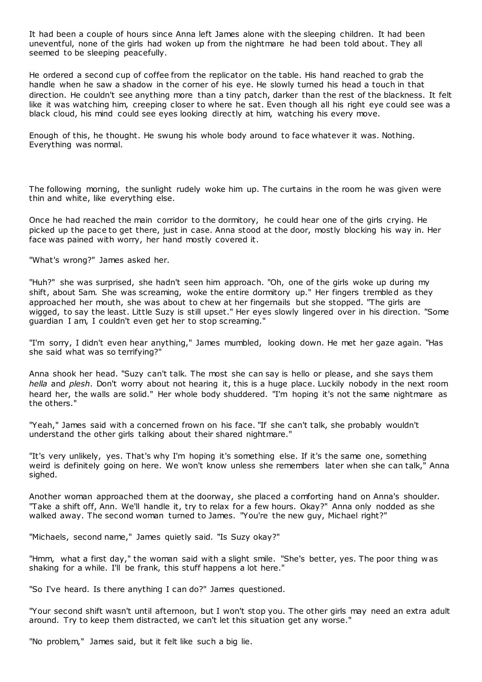It had been a couple of hours since Anna left James alone with the sleeping children. It had been uneventful, none of the girls had woken up from the nightmare he had been told about. They all seemed to be sleeping peacefully.

He ordered a second cup of coffee from the replicator on the table. His hand reached to grab the handle when he saw a shadow in the corner of his eye. He slowly turned his head a touch in that direction. He couldn't see anything more than a tiny patch, darker than the rest of the blackness. It felt like it was watching him, creeping closer to where he sat. Even though all his right eye could see was a black cloud, his mind could see eyes looking directly at him, watching his every move.

Enough of this, he thought. He swung his whole body around to face whatever it was. Nothing. Everything was normal.

The following morning, the sunlight rudely woke him up. The curtains in the room he was given were thin and white, like everything else.

Once he had reached the main corridor to the dormitory, he could hear one of the girls crying. He picked up the pace to get there, just in case. Anna stood at the door, mostly blocking his way in. Her face was pained with worry, her hand mostly covered it.

"What's wrong?" James asked her.

"Huh?" she was surprised, she hadn't seen him approach. "Oh, one of the girls woke up during my shift, about 5am. She was screaming, woke the entire dormitory up." Her fingers trembled as they approached her mouth, she was about to chew at her fingernails but she stopped. "The girls are wigged, to say the least. Little Suzy is still upset." Her eyes slowly lingered over in his direction. "Some guardian I am, I couldn't even get her to stop screaming."

"I'm sorry, I didn't even hear anything," James mumbled, looking down. He met her gaze again. "Has she said what was so terrifying?"

Anna shook her head. "Suzy can't talk. The most she can say is hello or please, and she says them *hella* and *plesh*. Don't worry about not hearing it, this is a huge place. Luckily nobody in the next room heard her, the walls are solid." Her whole body shuddered. "I'm hoping it's not the same nightmare as the others."

"Yeah," James said with a concerned frown on his face. "If she can't talk, she probably wouldn't understand the other girls talking about their shared nightmare."

"It's very unlikely, yes. That's why I'm hoping it's something else. If it's the same one, something weird is definitely going on here. We won't know unless she remembers later when she can talk," Anna sighed.

Another woman approached them at the doorway, she placed a comforting hand on Anna's shoulder. "Take a shift off, Ann. We'll handle it, try to relax for a few hours. Okay?" Anna only nodded as she walked away. The second woman turned to James. "You're the new guy, Michael right?"

"Michaels, second name," James quietly said. "Is Suzy okay?"

"Hmm, what a first day," the woman said with a slight smile. "She's better, yes. The poor thing w as shaking for a while. I'll be frank, this stuff happens a lot here."

"So I've heard. Is there anything I can do?" James questioned.

"Your second shift wasn't until afternoon, but I won't stop you. The other girls may need an extra adult around. Try to keep them distracted, we can't let this situation get any worse."

"No problem," James said, but it felt like such a big lie.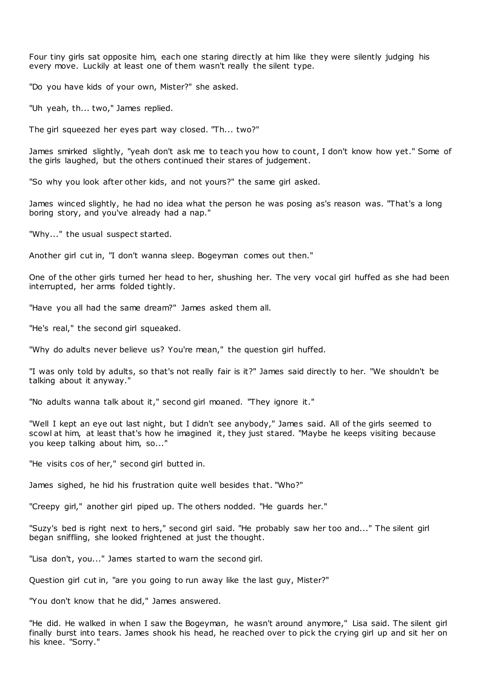Four tiny girls sat opposite him, each one staring directly at him like they were silently judging his every move. Luckily at least one of them wasn't really the silent type.

"Do you have kids of your own, Mister?" she asked.

"Uh yeah, th... two," James replied.

The girl squeezed her eyes part way closed. "Th... two?"

James smirked slightly, "yeah don't ask me to teach you how to count, I don't know how yet." Some of the girls laughed, but the others continued their stares of judgement.

"So why you look after other kids, and not yours?" the same girl asked.

James winced slightly, he had no idea what the person he was posing as's reason was. "That's a long boring story, and you've already had a nap."

"Why..." the usual suspect started.

Another girl cut in, "I don't wanna sleep. Bogeyman comes out then."

One of the other girls turned her head to her, shushing her. The very vocal girl huffed as she had been interrupted, her arms folded tightly.

"Have you all had the same dream?" James asked them all.

"He's real," the second girl squeaked.

"Why do adults never believe us? You're mean," the question girl huffed.

"I was only told by adults, so that's not really fair is it?" James said directly to her. "We shouldn't be talking about it anyway."

"No adults wanna talk about it," second girl moaned. "They ignore it."

"Well I kept an eye out last night, but I didn't see anybody," James said. All of the girls seemed to scowl at him, at least that's how he imagined it, they just stared. "Maybe he keeps visiting because you keep talking about him, so..."

"He visits cos of her," second girl butted in.

James sighed, he hid his frustration quite well besides that. "Who?"

"Creepy girl," another girl piped up. The others nodded. "He guards her."

"Suzy's bed is right next to hers," second girl said. "He probably saw her too and..." The silent girl began sniffling, she looked frightened at just the thought.

"Lisa don't, you..." James started to warn the second girl.

Question girl cut in, "are you going to run away like the last guy, Mister?"

"You don't know that he did," James answered.

"He did. He walked in when I saw the Bogeyman, he wasn't around anymore," Lisa said. The silent girl finally burst into tears. James shook his head, he reached over to pick the crying girl up and sit her on his knee. "Sorry."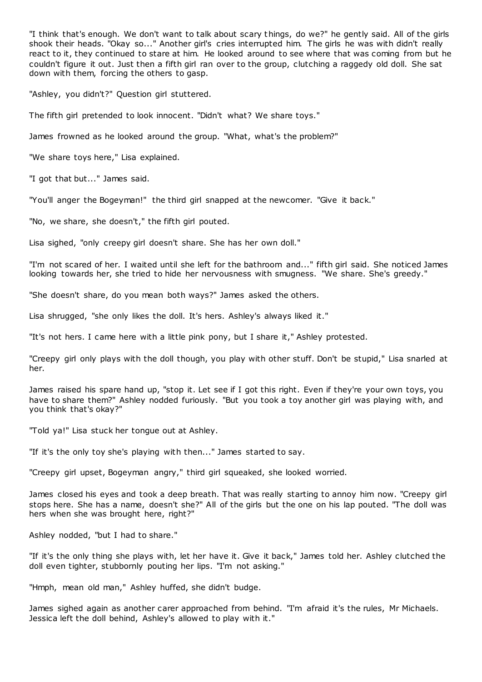"I think that's enough. We don't want to talk about scary things, do we?" he gently said. All of the girls shook their heads. "Okay so..." Another girl's cries interrupted him. The girls he was with didn't really react to it, they continued to stare at him. He looked around to see where that was coming from but he couldn't figure it out. Just then a fifth girl ran over to the group, clutching a raggedy old doll. She sat down with them, forcing the others to gasp.

"Ashley, you didn't?" Question girl stuttered.

The fifth girl pretended to look innocent. "Didn't what? We share toys."

James frowned as he looked around the group. "What, what's the problem?"

"We share toys here," Lisa explained.

"I got that but..." James said.

"You'll anger the Bogeyman!" the third girl snapped at the newcomer. "Give it back."

"No, we share, she doesn't," the fifth girl pouted.

Lisa sighed, "only creepy girl doesn't share. She has her own doll."

"I'm not scared of her. I waited until she left for the bathroom and..." fifth girl said. She noticed James looking towards her, she tried to hide her nervousness with smugness. "We share. She's greedy."

"She doesn't share, do you mean both ways?" James asked the others.

Lisa shrugged, "she only likes the doll. It's hers. Ashley's always liked it."

"It's not hers. I came here with a little pink pony, but I share it," Ashley protested.

"Creepy girl only plays with the doll though, you play with other stuff. Don't be stupid," Lisa snarled at her.

James raised his spare hand up, "stop it. Let see if I got this right. Even if they're your own toys, you have to share them?" Ashley nodded furiously. "But you took a toy another girl was playing with, and you think that's okay?"

"Told ya!" Lisa stuck her tongue out at Ashley.

"If it's the only toy she's playing with then..." James started to say.

"Creepy girl upset, Bogeyman angry," third girl squeaked, she looked worried.

James closed his eyes and took a deep breath. That was really starting to annoy him now. "Creepy girl stops here. She has a name, doesn't she?" All of the girls but the one on his lap pouted. "The doll was hers when she was brought here, right?"

Ashley nodded, "but I had to share."

"If it's the only thing she plays with, let her have it. Give it back," James told her. Ashley clutched the doll even tighter, stubbornly pouting her lips. "I'm not asking."

"Hmph, mean old man," Ashley huffed, she didn't budge.

James sighed again as another carer approached from behind. "I'm afraid it's the rules, Mr Michaels. Jessica left the doll behind, Ashley's allowed to play with it."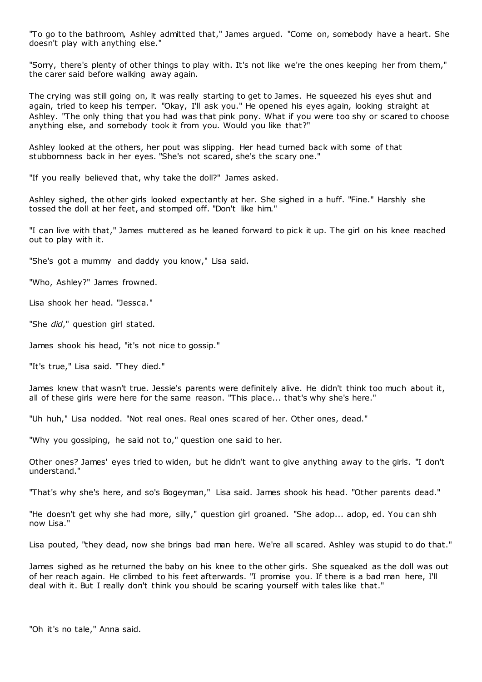"To go to the bathroom, Ashley admitted that," James argued. "Come on, somebody have a heart. She doesn't play with anything else."

"Sorry, there's plenty of other things to play with. It's not like we're the ones keeping her from them," the carer said before walking away again.

The crying was still going on, it was really starting to get to James. He squeezed his eyes shut and again, tried to keep his temper. "Okay, I'll ask you." He opened his eyes again, looking straight at Ashley. "The only thing that you had was that pink pony. What if you were too shy or scared to choose anything else, and somebody took it from you. Would you like that?"

Ashley looked at the others, her pout was slipping. Her head turned back with some of that stubbornness back in her eyes. "She's not scared, she's the scary one."

"If you really believed that, why take the doll?" James asked.

Ashley sighed, the other girls looked expectantly at her. She sighed in a huff. "Fine." Harshly she tossed the doll at her feet, and stomped off. "Don't like him."

"I can live with that," James muttered as he leaned forward to pick it up. The girl on his knee reached out to play with it.

"She's got a mummy and daddy you know," Lisa said.

"Who, Ashley?" James frowned.

Lisa shook her head. "Jessca."

"She *did*," question girl stated.

James shook his head, "it's not nice to gossip."

"It's true," Lisa said. "They died."

James knew that wasn't true. Jessie's parents were definitely alive. He didn't think too much about it, all of these girls were here for the same reason. "This place... that's why she's here."

"Uh huh," Lisa nodded. "Not real ones. Real ones scared of her. Other ones, dead."

"Why you gossiping, he said not to," question one said to her.

Other ones? James' eyes tried to widen, but he didn't want to give anything away to the girls. "I don't understand."

"That's why she's here, and so's Bogeyman," Lisa said. James shook his head. "Other parents dead."

"He doesn't get why she had more, silly," question girl groaned. "She adop... adop, ed. You can shh now Lisa."

Lisa pouted, "they dead, now she brings bad man here. We're all scared. Ashley was stupid to do that."

James sighed as he returned the baby on his knee to the other girls. She squeaked as the doll was out of her reach again. He climbed to his feet afterwards. "I promise you. If there is a bad man here, I'll deal with it. But I really don't think you should be scaring yourself with tales like that."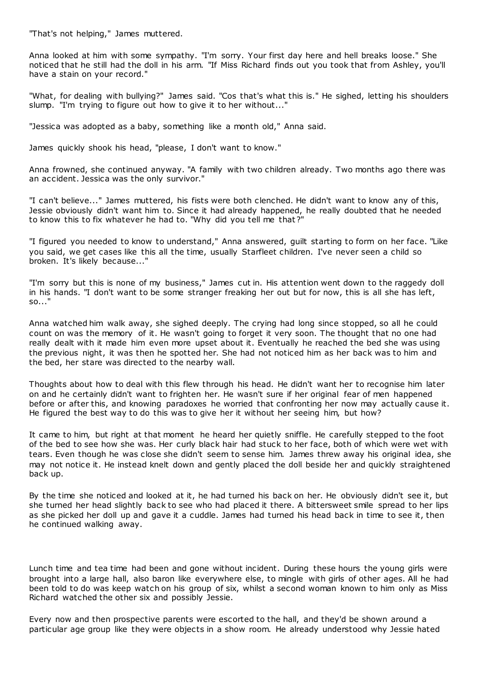"That's not helping," James muttered.

Anna looked at him with some sympathy. "I'm sorry. Your first day here and hell breaks loose." She noticed that he still had the doll in his arm. "If Miss Richard finds out you took that from Ashley, you'll have a stain on your record."

"What, for dealing with bullying?" James said. "Cos that's what this is." He sighed, letting his shoulders slump. "I'm trying to figure out how to give it to her without..."

"Jessica was adopted as a baby, something like a month old," Anna said.

James quickly shook his head, "please, I don't want to know."

Anna frowned, she continued anyway. "A family with two children already. Two months ago there was an accident. Jessica was the only survivor."

"I can't believe..." James muttered, his fists were both clenched. He didn't want to know any of this, Jessie obviously didn't want him to. Since it had already happened, he really doubted that he needed to know this to fix whatever he had to. "Why did you tell me that ?"

"I figured you needed to know to understand," Anna answered, guilt starting to form on her face. "Like you said, we get cases like this all the time, usually Starfleet children. I've never seen a child so broken. It's likely because..."

"I'm sorry but this is none of my business," James cut in. His attention went down to the raggedy doll in his hands. "I don't want to be some stranger freaking her out but for now, this is all she has left, so..."

Anna watched him walk away, she sighed deeply. The crying had long since stopped, so all he could count on was the memory of it. He wasn't going to forget it very soon. The thought that no one had really dealt with it made him even more upset about it. Eventually he reached the bed she was using the previous night, it was then he spotted her. She had not noticed him as her back was to him and the bed, her stare was directed to the nearby wall.

Thoughts about how to deal with this flew through his head. He didn't want her to recognise him later on and he certainly didn't want to frighten her. He wasn't sure if her original fear of men happened before or after this, and knowing paradoxes he worried that confronting her now may actually cause it. He figured the best way to do this was to give her it without her seeing him, but how?

It came to him, but right at that moment he heard her quietly sniffle. He carefully stepped to the foot of the bed to see how she was. Her curly black hair had stuck to her face, both of which were wet with tears. Even though he was close she didn't seem to sense him. James threw away his original idea, she may not notice it. He instead knelt down and gently placed the doll beside her and quickly straightened back up.

By the time she noticed and looked at it, he had turned his back on her. He obviously didn't see it, but she turned her head slightly back to see who had placed it there. A bittersweet smile spread to her lips as she picked her doll up and gave it a cuddle. James had turned his head back in time to see it, then he continued walking away.

Lunch time and tea time had been and gone without incident. During these hours the young girls were brought into a large hall, also baron like everywhere else, to mingle with girls of other ages. All he had been told to do was keep watch on his group of six, whilst a second woman known to him only as Miss Richard watched the other six and possibly Jessie.

Every now and then prospective parents were escorted to the hall, and they'd be shown around a particular age group like they were objects in a show room. He already understood why Jessie hated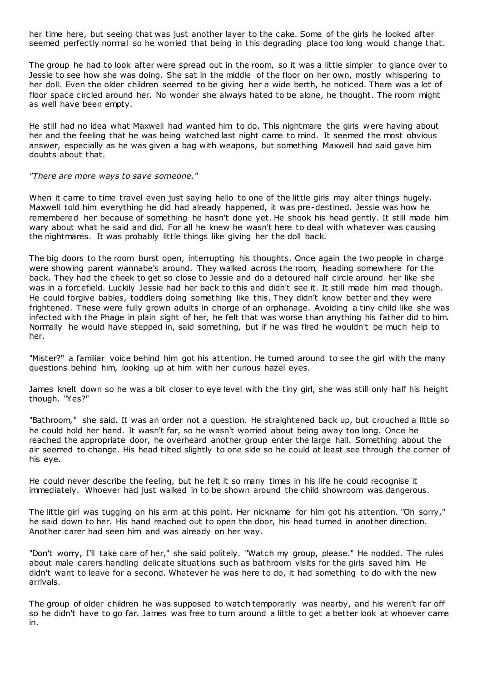her time here, but seeing that was just another layer to the cake. Some of the girls he looked after seemed perfectly normal so he worried that being in this degrading place too long would change that.

The group he had to look after were spread out in the room, so it was a little simpler to glance over to Jessie to see how she was doing. She sat in the middle of the floor on her own, mostly whispering to her doll. Even the older children seemed to be giving her a wide berth, he noticed. There was a lot of floor space circled around her. No wonder she always hated to be alone, he thought. The room might as well have been empty.

He still had no idea what Maxwell had wanted him to do. This nightmare the girls were having about her and the feeling that he was being watched last night came to mind. It seemed the most obvious answer, especially as he was given a bag with weapons, but something Maxwell had said gave him doubts about that.

## *"There are more ways to save someone."*

When it came to time travel even just saying hello to one of the little girls may alter things hugely. Maxwell told him everything he did had already happened, it was pre-destined. Jessie was how he remembered her because of something he hasn't done yet. He shook his head gently. It still made him wary about what he said and did. For all he knew he wasn't here to deal with whatever was causing the nightmares. It was probably little things like giving her the doll back.

The big doors to the room burst open, interrupting his thoughts. Once again the two people in charge were showing parent wannabe's around. They walked across the room, heading somewhere for the back. They had the cheek to get so close to Jessie and do a detoured half circle around her like she was in a forcefield. Luckily Jessie had her back to this and didn't see it. It still made him mad though. He could forgive babies, toddlers doing something like this. They didn't know better and they were frightened. These were fully grown adults in charge of an orphanage. Avoiding a tiny child like she was infected with the Phage in plain sight of her, he felt that was worse than anything his father did to him. Normally he would have stepped in, said something, but if he was fired he wouldn't be much help to her.

"Mister?" a familiar voice behind him got his attention. He turned around to see the girl with the many questions behind him, looking up at him with her curious hazel eyes.

James knelt down so he was a bit closer to eye level with the tiny girl, she was still only half his height though. "Yes?"

"Bathroom," she said. It was an order not a question. He straightened back up, but crouched a little so he could hold her hand. It wasn't far, so he wasn't worried about being away too long. Once he reached the appropriate door, he overheard another group enter the large hall. Something about the air seemed to change. His head tilted slightly to one side so he could at least see through the corner of his eye.

He could never describe the feeling, but he felt it so many times in his life he could recognise it immediately. Whoever had just walked in to be shown around the child showroom was dangerous.

The little girl was tugging on his arm at this point. Her nickname for him got his attention. "Oh sorry," he said down to her. His hand reached out to open the door, his head turned in another direction. Another carer had seen him and was already on her way.

"Don't worry, I'll take care of her," she said politely. "Watch my group, please." He nodded. The rules about male carers handling delicate situations such as bathroom visits for the girls saved him. He didn't want to leave for a second. Whatever he was here to do, it had something to do with the new arrivals.

The group of older children he was supposed to watch temporarily was nearby, and his weren't far off so he didn't have to go far. James was free to turn around a little to get a better look at whoever came in.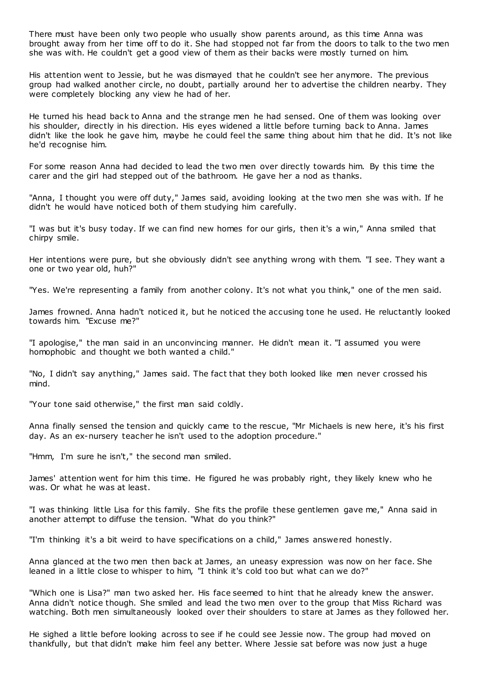There must have been only two people who usually show parents around, as this time Anna was brought away from her time off to do it. She had stopped not far from the doors to talk to the two men she was with. He couldn't get a good view of them as their backs were mostly turned on him.

His attention went to Jessie, but he was dismayed that he couldn't see her anymore. The previous group had walked another circle, no doubt, partially around her to advertise the children nearby. They were completely blocking any view he had of her.

He turned his head back to Anna and the strange men he had sensed. One of them was looking over his shoulder, directly in his direction. His eyes widened a little before turning back to Anna. James didn't like the look he gave him, maybe he could feel the same thing about him that he did. It's not like he'd recognise him.

For some reason Anna had decided to lead the two men over directly towards him. By this time the carer and the girl had stepped out of the bathroom. He gave her a nod as thanks.

"Anna, I thought you were off duty," James said, avoiding looking at the two men she was with. If he didn't he would have noticed both of them studying him carefully.

"I was but it's busy today. If we can find new homes for our girls, then it's a win," Anna smiled that chirpy smile.

Her intentions were pure, but she obviously didn't see anything wrong with them. "I see. They want a one or two year old, huh?"

"Yes. We're representing a family from another colony. It's not what you think," one of the men said.

James frowned. Anna hadn't noticed it, but he noticed the accusing tone he used. He reluctantly looked towards him. "Excuse me?"

"I apologise," the man said in an unconvincing manner. He didn't mean it. "I assumed you were homophobic and thought we both wanted a child."

"No, I didn't say anything," James said. The fact that they both looked like men never crossed his mind.

"Your tone said otherwise," the first man said coldly.

Anna finally sensed the tension and quickly came to the rescue, "Mr Michaels is new here, it's his first day. As an ex-nursery teacher he isn't used to the adoption procedure."

"Hmm, I'm sure he isn't," the second man smiled.

James' attention went for him this time. He figured he was probably right, they likely knew who he was. Or what he was at least.

"I was thinking little Lisa for this family. She fits the profile these gentlemen gave me," Anna said in another attempt to diffuse the tension. "What do you think?"

"I'm thinking it's a bit weird to have specifications on a child," James answered honestly.

Anna glanced at the two men then back at James, an uneasy expression was now on her face. She leaned in a little close to whisper to him, "I think it's cold too but what can we do?"

"Which one is Lisa?" man two asked her. His face seemed to hint that he already knew the answer. Anna didn't notice though. She smiled and lead the two men over to the group that Miss Richard was watching. Both men simultaneously looked over their shoulders to stare at James as they followed her.

He sighed a little before looking across to see if he could see Jessie now. The group had moved on thankfully, but that didn't make him feel any better. Where Jessie sat before was now just a huge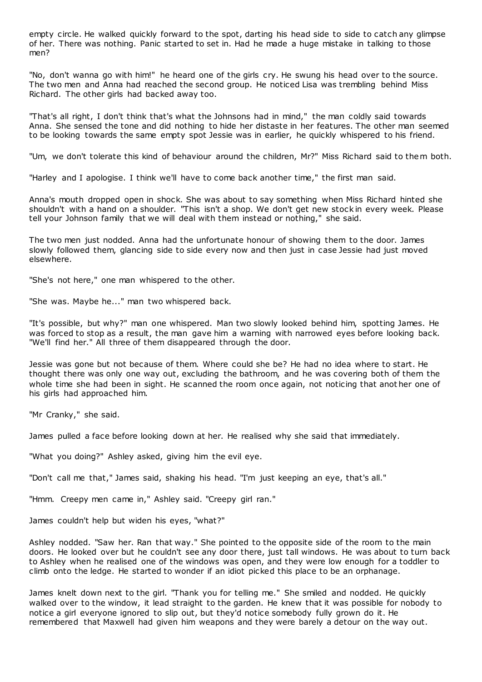empty circle. He walked quickly forward to the spot, darting his head side to side to catch any glimpse of her. There was nothing. Panic started to set in. Had he made a huge mistake in talking to those men?

"No, don't wanna go with him!" he heard one of the girls cry. He swung his head over to the source. The two men and Anna had reached the second group. He noticed Lisa was trembling behind Miss Richard. The other girls had backed away too.

"That's all right, I don't think that's what the Johnsons had in mind," the man coldly said towards Anna. She sensed the tone and did nothing to hide her distaste in her features. The other man seemed to be looking towards the same empty spot Jessie was in earlier, he quickly whispered to his friend.

"Um, we don't tolerate this kind of behaviour around the children, Mr?" Miss Richard said to them both.

"Harley and I apologise. I think we'll have to come back another time," the first man said.

Anna's mouth dropped open in shock. She was about to say something when Miss Richard hinted she shouldn't with a hand on a shoulder. "This isn't a shop. We don't get new stock in every week. Please tell your Johnson family that we will deal with them instead or nothing," she said.

The two men just nodded. Anna had the unfortunate honour of showing them to the door. James slowly followed them, glancing side to side every now and then just in case Jessie had just moved elsewhere.

"She's not here," one man whispered to the other.

"She was. Maybe he..." man two whispered back.

"It's possible, but why?" man one whispered. Man two slowly looked behind him, spotting James. He was forced to stop as a result, the man gave him a warning with narrowed eyes before looking back. "We'll find her." All three of them disappeared through the door.

Jessie was gone but not because of them. Where could she be? He had no idea where to start. He thought there was only one way out, excluding the bathroom, and he was covering both of them the whole time she had been in sight. He scanned the room once again, not noticing that anot her one of his girls had approached him.

"Mr Cranky," she said.

James pulled a face before looking down at her. He realised why she said that immediately.

"What you doing?" Ashley asked, giving him the evil eye.

"Don't call me that," James said, shaking his head. "I'm just keeping an eye, that's all."

"Hmm. Creepy men came in," Ashley said. "Creepy girl ran."

James couldn't help but widen his eyes, "what?"

Ashley nodded. "Saw her. Ran that way." She pointed to the opposite side of the room to the main doors. He looked over but he couldn't see any door there, just tall windows. He was about to turn back to Ashley when he realised one of the windows was open, and they were low enough for a toddler to climb onto the ledge. He started to wonder if an idiot picked this place to be an orphanage.

James knelt down next to the girl. "Thank you for telling me." She smiled and nodded. He quickly walked over to the window, it lead straight to the garden. He knew that it was possible for nobody to notice a girl everyone ignored to slip out, but they'd notice somebody fully grown do it. He remembered that Maxwell had given him weapons and they were barely a detour on the way out.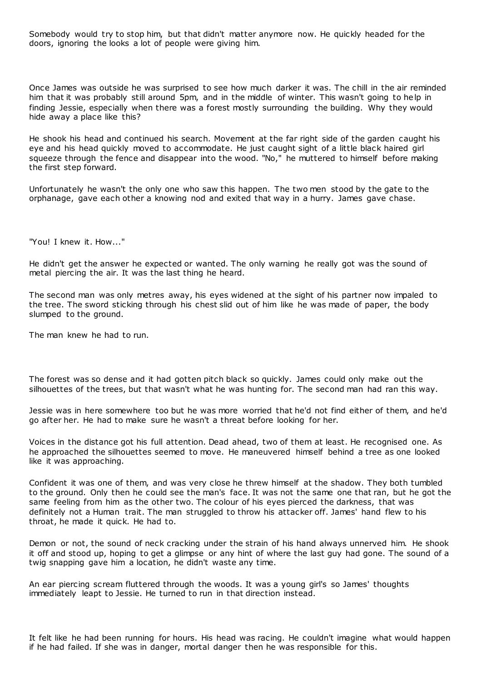Somebody would try to stop him, but that didn't matter anymore now. He quickly headed for the doors, ignoring the looks a lot of people were giving him.

Once James was outside he was surprised to see how much darker it was. The chill in the air reminded him that it was probably still around 5pm, and in the middle of winter. This wasn't going to help in finding Jessie, especially when there was a forest mostly surrounding the building. Why they would hide away a place like this?

He shook his head and continued his search. Movement at the far right side of the garden caught his eye and his head quickly moved to accommodate. He just caught sight of a little black haired girl squeeze through the fence and disappear into the wood. "No," he muttered to himself before making the first step forward.

Unfortunately he wasn't the only one who saw this happen. The two men stood by the gate to the orphanage, gave each other a knowing nod and exited that way in a hurry. James gave chase.

"You! I knew it. How..."

He didn't get the answer he expected or wanted. The only warning he really got was the sound of metal piercing the air. It was the last thing he heard.

The second man was only metres away, his eyes widened at the sight of his partner now impaled to the tree. The sword sticking through his chest slid out of him like he was made of paper, the body slumped to the ground.

The man knew he had to run.

The forest was so dense and it had gotten pitch black so quickly. James could only make out the silhouettes of the trees, but that wasn't what he was hunting for. The second man had ran this way.

Jessie was in here somewhere too but he was more worried that he'd not find either of them, and he'd go after her. He had to make sure he wasn't a threat before looking for her.

Voices in the distance got his full attention. Dead ahead, two of them at least. He recognised one. As he approached the silhouettes seemed to move. He maneuvered himself behind a tree as one looked like it was approaching.

Confident it was one of them, and was very close he threw himself at the shadow. They both tumbled to the ground. Only then he could see the man's face. It was not the same one that ran, but he got the same feeling from him as the other two. The colour of his eyes pierced the darkness, that was definitely not a Human trait. The man struggled to throw his attacker off. James' hand flew to his throat, he made it quick. He had to.

Demon or not, the sound of neck cracking under the strain of his hand always unnerved him. He shook it off and stood up, hoping to get a glimpse or any hint of where the last guy had gone. The sound of a twig snapping gave him a location, he didn't waste any time.

An ear piercing scream fluttered through the woods. It was a young girl's so James' thoughts immediately leapt to Jessie. He turned to run in that direction instead.

It felt like he had been running for hours. His head was racing. He couldn't imagine what would happen if he had failed. If she was in danger, mortal danger then he was responsible for this.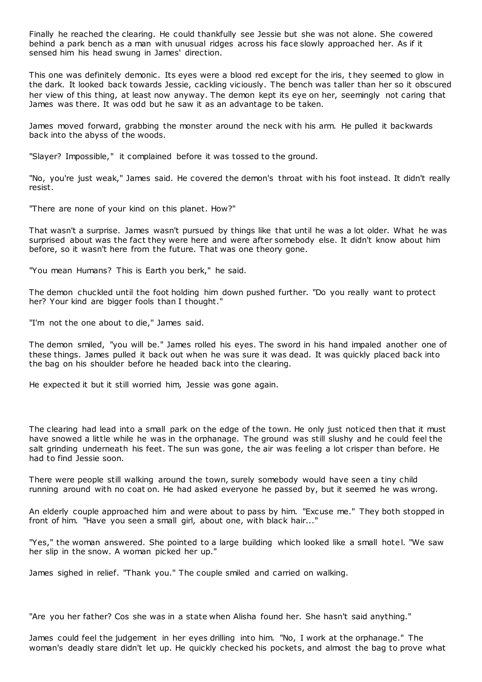Finally he reached the clearing. He could thankfully see Jessie but she was not alone. She cowered behind a park bench as a man with unusual ridges across his face slowly approached her. As if it sensed him his head swung in James' direction.

This one was definitely demonic. Its eyes were a blood red except for the iris, they seemed to glow in the dark. It looked back towards Jessie, cackling viciously. The bench was taller than her so it obscured her view of this thing, at least now anyway. The demon kept its eye on her, seemingly not caring that James was there. It was odd but he saw it as an advantage to be taken.

James moved forward, grabbing the monster around the neck with his arm. He pulled it backwards back into the abyss of the woods.

"Slayer? Impossible," it complained before it was tossed to the ground.

"No, you're just weak," James said. He covered the demon's throat with his foot instead. It didn't really resist.

"There are none of your kind on this planet. How?"

That wasn't a surprise. James wasn't pursued by things like that until he was a lot older. What he was surprised about was the fact they were here and were after somebody else. It didn't know about him before, so it wasn't here from the future. That was one theory gone.

"You mean Humans? This is Earth you berk," he said.

The demon chuckled until the foot holding him down pushed further. "Do you really want to protect her? Your kind are bigger fools than I thought."

"I'm not the one about to die," James said.

The demon smiled, "you will be." James rolled his eyes. The sword in his hand impaled another one of these things. James pulled it back out when he was sure it was dead. It was quickly placed back into the bag on his shoulder before he headed back into the clearing.

He expected it but it still worried him, Jessie was gone again.

The clearing had lead into a small park on the edge of the town. He only just noticed then that it must have snowed a little while he was in the orphanage. The ground was still slushy and he could feel the salt grinding underneath his feet. The sun was gone, the air was feeling a lot crisper than before. He had to find Jessie soon.

There were people still walking around the town, surely somebody would have seen a tiny child running around with no coat on. He had asked everyone he passed by, but it seemed he was wrong.

An elderly couple approached him and were about to pass by him. "Excuse me." They both stopped in front of him. "Have you seen a small girl, about one, with black hair..."

"Yes," the woman answered. She pointed to a large building which looked like a small hotel. "We saw her slip in the snow. A woman picked her up."

James sighed in relief. "Thank you." The couple smiled and carried on walking.

"Are you her father? Cos she was in a state when Alisha found her. She hasn't said anything."

James could feel the judgement in her eyes drilling into him. "No, I work at the orphanage." The woman's deadly stare didn't let up. He quickly checked his pockets, and almost the bag to prove what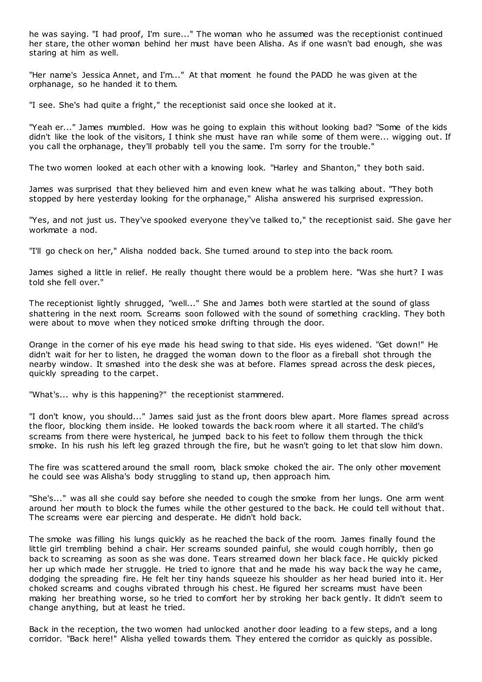he was saying. "I had proof, I'm sure..." The woman who he assumed was the receptionist continued her stare, the other woman behind her must have been Alisha. As if one wasn't bad enough, she was staring at him as well.

"Her name's Jessica Annet, and I'm..." At that moment he found the PADD he was given at the orphanage, so he handed it to them.

"I see. She's had quite a fright," the receptionist said once she looked at it.

"Yeah er..." James mumbled. How was he going to explain this without looking bad? "Some of the kids didn't like the look of the visitors, I think she must have ran while some of them were... wigging out. If you call the orphanage, they'll probably tell you the same. I'm sorry for the trouble."

The two women looked at each other with a knowing look. "Harley and Shanton," they both said.

James was surprised that they believed him and even knew what he was talking about. "They both stopped by here yesterday looking for the orphanage," Alisha answered his surprised expression.

"Yes, and not just us. They've spooked everyone they've talked to," the receptionist said. She gave her workmate a nod.

"I'll go check on her," Alisha nodded back. She turned around to step into the back room.

James sighed a little in relief. He really thought there would be a problem here. "Was she hurt? I was told she fell over."

The receptionist lightly shrugged, "well..." She and James both were startled at the sound of glass shattering in the next room. Screams soon followed with the sound of something crackling. They both were about to move when they noticed smoke drifting through the door.

Orange in the corner of his eye made his head swing to that side. His eyes widened. "Get down!" He didn't wait for her to listen, he dragged the woman down to the floor as a fireball shot through the nearby window. It smashed into the desk she was at before. Flames spread across the desk pieces, quickly spreading to the carpet.

"What's... why is this happening?" the receptionist stammered.

"I don't know, you should..." James said just as the front doors blew apart. More flames spread across the floor, blocking them inside. He looked towards the back room where it all started. The child's screams from there were hysterical, he jumped back to his feet to follow them through the thick smoke. In his rush his left leg grazed through the fire, but he wasn't going to let that slow him down.

The fire was scattered around the small room, black smoke choked the air. The only other movement he could see was Alisha's body struggling to stand up, then approach him.

"She's..." was all she could say before she needed to cough the smoke from her lungs. One arm went around her mouth to block the fumes while the other gestured to the back. He could tell without that. The screams were ear piercing and desperate. He didn't hold back.

The smoke was filling his lungs quickly as he reached the back of the room. James finally found the little girl trembling behind a chair. Her screams sounded painful, she would cough horribly, then go back to screaming as soon as she was done. Tears streamed down her black face. He quickly picked her up which made her struggle. He tried to ignore that and he made his way back the way he came, dodging the spreading fire. He felt her tiny hands squeeze his shoulder as her head buried into it. Her choked screams and coughs vibrated through his chest. He figured her screams must have been making her breathing worse, so he tried to comfort her by stroking her back gently. It didn't seem to change anything, but at least he tried.

Back in the reception, the two women had unlocked another door leading to a few steps, and a long corridor. "Back here!" Alisha yelled towards them. They entered the corridor as quickly as possible.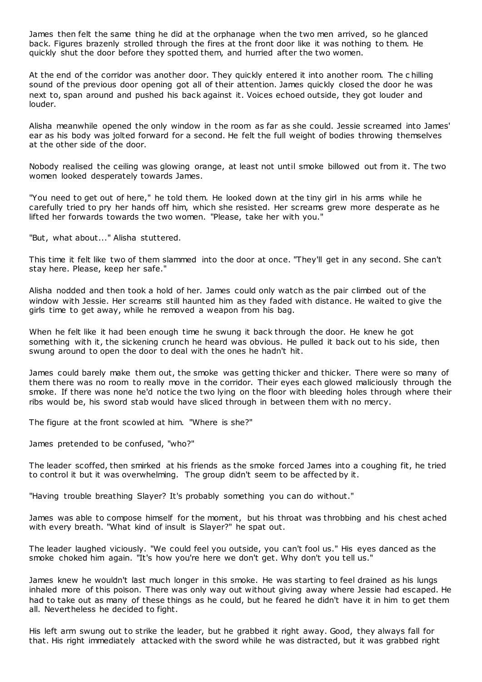James then felt the same thing he did at the orphanage when the two men arrived, so he glanced back. Figures brazenly strolled through the fires at the front door like it was nothing to them. He quickly shut the door before they spotted them, and hurried after the two women.

At the end of the corridor was another door. They quickly entered it into another room. The c hilling sound of the previous door opening got all of their attention. James quickly closed the door he was next to, span around and pushed his back against it. Voices echoed outside, they got louder and louder.

Alisha meanwhile opened the only window in the room as far as she could. Jessie screamed into James' ear as his body was jolted forward for a second. He felt the full weight of bodies throwing themselves at the other side of the door.

Nobody realised the ceiling was glowing orange, at least not until smoke billowed out from it. The two women looked desperately towards James.

"You need to get out of here," he told them. He looked down at the tiny girl in his arms while he carefully tried to pry her hands off him, which she resisted. Her screams grew more desperate as he lifted her forwards towards the two women. "Please, take her with you."

"But, what about..." Alisha stuttered.

This time it felt like two of them slammed into the door at once. "They'll get in any second. She can't stay here. Please, keep her safe."

Alisha nodded and then took a hold of her. James could only watch as the pair climbed out of the window with Jessie. Her screams still haunted him as they faded with distance. He waited to give the girls time to get away, while he removed a weapon from his bag.

When he felt like it had been enough time he swung it back through the door. He knew he got something with it, the sickening crunch he heard was obvious. He pulled it back out to his side, then swung around to open the door to deal with the ones he hadn't hit.

James could barely make them out, the smoke was getting thicker and thicker. There were so many of them there was no room to really move in the corridor. Their eyes each glowed maliciously through the smoke. If there was none he'd notice the two lying on the floor with bleeding holes through where their ribs would be, his sword stab would have sliced through in between them with no mercy.

The figure at the front scowled at him. "Where is she?"

James pretended to be confused, "who?"

The leader scoffed, then smirked at his friends as the smoke forced James into a coughing fit, he tried to control it but it was overwhelming. The group didn't seem to be affected by it.

"Having trouble breathing Slayer? It's probably something you can do without."

James was able to compose himself for the moment, but his throat was throbbing and his chest ached with every breath. "What kind of insult is Slayer?" he spat out.

The leader laughed viciously. "We could feel you outside, you can't fool us." His eyes danced as the smoke choked him again. "It's how you're here we don't get. Why don't you tell us."

James knew he wouldn't last much longer in this smoke. He was starting to feel drained as his lungs inhaled more of this poison. There was only way out without giving away where Jessie had escaped. He had to take out as many of these things as he could, but he feared he didn't have it in him to get them all. Nevertheless he decided to fight.

His left arm swung out to strike the leader, but he grabbed it right away. Good, they always fall for that. His right immediately attacked with the sword while he was distracted, but it was grabbed right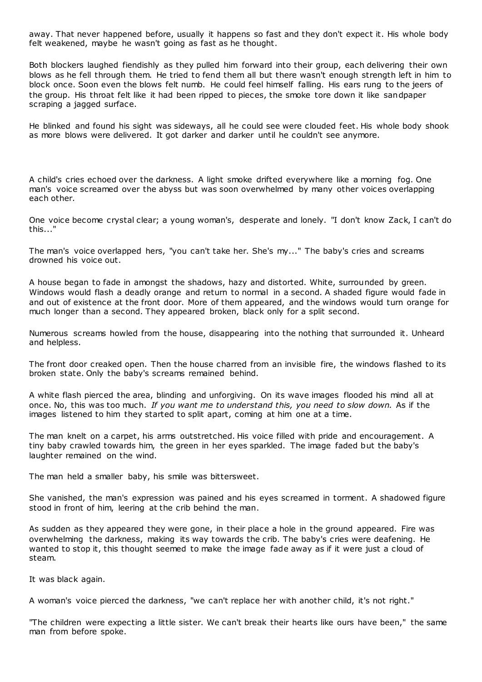away. That never happened before, usually it happens so fast and they don't expect it. His whole body felt weakened, maybe he wasn't going as fast as he thought.

Both blockers laughed fiendishly as they pulled him forward into their group, each delivering their own blows as he fell through them. He tried to fend them all but there wasn't enough strength left in him to block once. Soon even the blows felt numb. He could feel himself falling. His ears rung to the jeers of the group. His throat felt like it had been ripped to pieces, the smoke tore down it like sandpaper scraping a jagged surface.

He blinked and found his sight was sideways, all he could see were clouded feet. His whole body shook as more blows were delivered. It got darker and darker until he couldn't see anymore.

A child's cries echoed over the darkness. A light smoke drifted everywhere like a morning fog. One man's voice screamed over the abyss but was soon overwhelmed by many other voices overlapping each other.

One voice become crystal clear; a young woman's, desperate and lonely. "I don't know Zack, I can't do this..."

The man's voice overlapped hers, "you can't take her. She's my..." The baby's cries and screams drowned his voice out.

A house began to fade in amongst the shadows, hazy and distorted. White, surrounded by green. Windows would flash a deadly orange and return to normal in a second. A shaded figure would fade in and out of existence at the front door. More of them appeared, and the windows would turn orange for much longer than a second. They appeared broken, black only for a split second.

Numerous screams howled from the house, disappearing into the nothing that surrounded it. Unheard and helpless.

The front door creaked open. Then the house charred from an invisible fire, the windows flashed to its broken state. Only the baby's screams remained behind.

A white flash pierced the area, blinding and unforgiving. On its wave images flooded his mind all at once. No, this was too much. *If you want me to understand this, you need to slow down.* As if the images listened to him they started to split apart, coming at him one at a time.

The man knelt on a carpet, his arms outstretched. His voice filled with pride and encouragement. A tiny baby crawled towards him, the green in her eyes sparkled. The image faded but the baby's laughter remained on the wind.

The man held a smaller baby, his smile was bittersweet.

She vanished, the man's expression was pained and his eyes screamed in torment. A shadowed figure stood in front of him, leering at the crib behind the man.

As sudden as they appeared they were gone, in their place a hole in the ground appeared. Fire was overwhelming the darkness, making its way towards the crib. The baby's cries were deafening. He wanted to stop it, this thought seemed to make the image fade away as if it were just a cloud of steam.

It was black again.

A woman's voice pierced the darkness, "we can't replace her with another child, it's not right."

"The children were expecting a little sister. We can't break their hearts like ours have been," the same man from before spoke.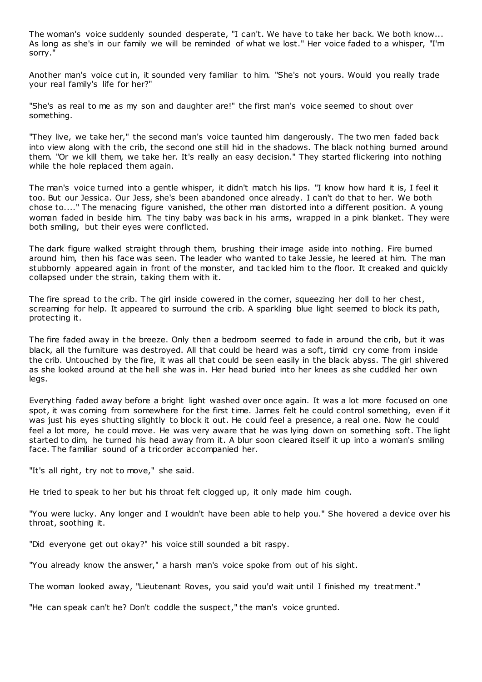The woman's voice suddenly sounded desperate, "I can't. We have to take her back. We both know... As long as she's in our family we will be reminded of what we lost." Her voice faded to a whisper, "I'm sorry."

Another man's voice cut in, it sounded very familiar to him. "She's not yours. Would you really trade your real family's life for her?"

"She's as real to me as my son and daughter are!" the first man's voice seemed to shout over something.

"They live, we take her," the second man's voice taunted him dangerously. The two men faded back into view along with the crib, the second one still hid in the shadows. The black nothing burned around them. "Or we kill them, we take her. It's really an easy decision." They started flickering into nothing while the hole replaced them again.

The man's voice turned into a gentle whisper, it didn't match his lips. "I know how hard it is, I feel it too. But our Jessica. Our Jess, she's been abandoned once already. I can't do that to her. We both chose to...." The menacing figure vanished, the other man distorted into a different position. A young woman faded in beside him. The tiny baby was back in his arms, wrapped in a pink blanket. They were both smiling, but their eyes were conflicted.

The dark figure walked straight through them, brushing their image aside into nothing. Fire burned around him, then his face was seen. The leader who wanted to take Jessie, he leered at him. The man stubbornly appeared again in front of the monster, and tac kled him to the floor. It creaked and quickly collapsed under the strain, taking them with it.

The fire spread to the crib. The girl inside cowered in the corner, squeezing her doll to her chest, screaming for help. It appeared to surround the crib. A sparkling blue light seemed to block its path, protecting it.

The fire faded away in the breeze. Only then a bedroom seemed to fade in around the crib, but it was black, all the furniture was destroyed. All that could be heard was a soft, timid cry come from inside the crib. Untouched by the fire, it was all that could be seen easily in the black abyss. The girl shivered as she looked around at the hell she was in. Her head buried into her knees as she cuddled her own legs.

Everything faded away before a bright light washed over once again. It was a lot more focused on one spot, it was coming from somewhere for the first time. James felt he could control something, even if it was just his eyes shutting slightly to block it out. He could feel a presence, a real one. Now he could feel a lot more, he could move. He was very aware that he was lying down on something soft. The light started to dim, he turned his head away from it. A blur soon cleared itself it up into a woman's smiling face. The familiar sound of a tricorder accompanied her.

"It's all right, try not to move," she said.

He tried to speak to her but his throat felt clogged up, it only made him cough.

"You were lucky. Any longer and I wouldn't have been able to help you." She hovered a device over his throat, soothing it.

"Did everyone get out okay?" his voice still sounded a bit raspy.

"You already know the answer," a harsh man's voice spoke from out of his sight.

The woman looked away, "Lieutenant Roves, you said you'd wait until I finished my treatment."

"He can speak can't he? Don't coddle the suspect," the man's voice grunted.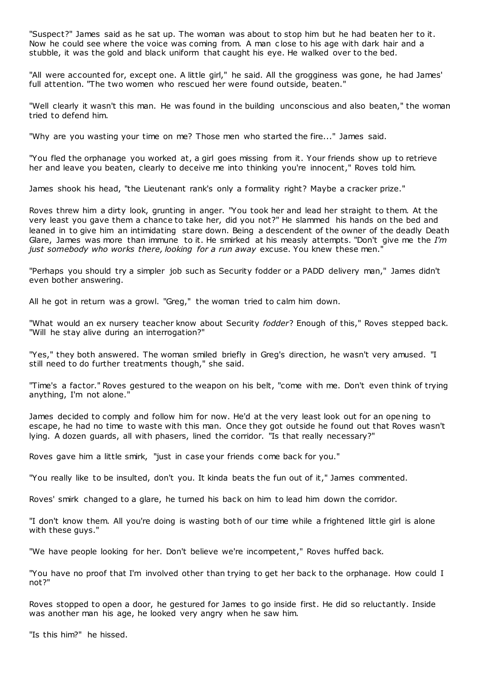"Suspect?" James said as he sat up. The woman was about to stop him but he had beaten her to it. Now he could see where the voice was coming from. A man c lose to his age with dark hair and a stubble, it was the gold and black uniform that caught his eye. He walked over to the bed.

"All were accounted for, except one. A little girl," he said. All the grogginess was gone, he had James' full attention. "The two women who rescued her were found outside, beaten."

"Well clearly it wasn't this man. He was found in the building unconscious and also beaten," the woman tried to defend him.

"Why are you wasting your time on me? Those men who started the fire..." James said.

"You fled the orphanage you worked at, a girl goes missing from it. Your friends show up to retrieve her and leave you beaten, clearly to deceive me into thinking you're innocent," Roves told him.

James shook his head, "the Lieutenant rank's only a formality right? Maybe a cracker prize."

Roves threw him a dirty look, grunting in anger. "You took her and lead her straight to them. At the very least you gave them a chance to take her, did you not?" He slammed his hands on the bed and leaned in to give him an intimidating stare down. Being a descendent of the owner of the deadly Death Glare, James was more than immune to it. He smirked at his measly attempts. "Don't give me the *I'm just somebody who works there, looking for a run away* excuse. You knew these men."

"Perhaps you should try a simpler job such as Security fodder or a PADD delivery man," James didn't even bother answering.

All he got in return was a growl. "Greg," the woman tried to calm him down.

"What would an ex nursery teacher know about Security *fodder*? Enough of this," Roves stepped back. "Will he stay alive during an interrogation?"

"Yes," they both answered. The woman smiled briefly in Greg's direction, he wasn't very amused. "I still need to do further treatments though," she said.

"Time's a factor." Roves gestured to the weapon on his belt, "come with me. Don't even think of trying anything, I'm not alone."

James decided to comply and follow him for now. He'd at the very least look out for an opening to escape, he had no time to waste with this man. Once they got outside he found out that Roves wasn't lying. A dozen guards, all with phasers, lined the corridor. "Is that really necessary?"

Roves gave him a little smirk, "just in case your friends c ome back for you."

"You really like to be insulted, don't you. It kinda beats the fun out of it," James commented.

Roves' smirk changed to a glare, he turned his back on him to lead him down the corridor.

"I don't know them. All you're doing is wasting both of our time while a frightened little girl is alone with these guys."

"We have people looking for her. Don't believe we're incompetent," Roves huffed back.

"You have no proof that I'm involved other than trying to get her back to the orphanage. How could I not?"

Roves stopped to open a door, he gestured for James to go inside first. He did so reluctantly. Inside was another man his age, he looked very angry when he saw him.

"Is this him?" he hissed.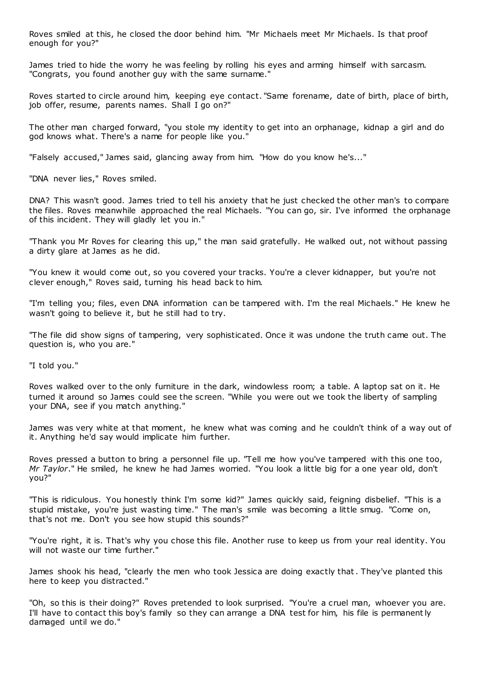Roves smiled at this, he closed the door behind him. "Mr Michaels meet Mr Michaels. Is that proof enough for you?"

James tried to hide the worry he was feeling by rolling his eyes and arming himself with sarcasm. "Congrats, you found another guy with the same surname."

Roves started to circle around him, keeping eye contact. "Same forename, date of birth, place of birth, job offer, resume, parents names. Shall I go on?"

The other man charged forward, "you stole my identity to get into an orphanage, kidnap a girl and do god knows what. There's a name for people like you."

"Falsely accused," James said, glancing away from him. "How do you know he's..."

"DNA never lies," Roves smiled.

DNA? This wasn't good. James tried to tell his anxiety that he just checked the other man's to compare the files. Roves meanwhile approached the real Michaels. "You can go, sir. I've informed the orphanage of this incident. They will gladly let you in."

"Thank you Mr Roves for clearing this up," the man said gratefully. He walked out, not without passing a dirty glare at James as he did.

"You knew it would come out, so you covered your tracks. You're a clever kidnapper, but you're not clever enough," Roves said, turning his head back to him.

"I'm telling you; files, even DNA information can be tampered with. I'm the real Michaels." He knew he wasn't going to believe it, but he still had to try.

"The file did show signs of tampering, very sophisticated. Once it was undone the truth came out. The question is, who you are."

"I told you."

Roves walked over to the only furniture in the dark, windowless room; a table. A laptop sat on it. He turned it around so James could see the screen. "While you were out we took the liberty of sampling your DNA, see if you match anything."

James was very white at that moment, he knew what was coming and he couldn't think of a way out of it. Anything he'd say would implicate him further.

Roves pressed a button to bring a personnel file up. "Tell me how you've tampered with this one too, *Mr Taylor*." He smiled, he knew he had James worried. "You look a little big for a one year old, don't you?"

"This is ridiculous. You honestly think I'm some kid?" James quickly said, feigning disbelief. "This is a stupid mistake, you're just wasting time." The man's smile was becoming a little smug. "Come on, that's not me. Don't you see how stupid this sounds?"

"You're right, it is. That's why you chose this file. Another ruse to keep us from your real identity. You will not waste our time further."

James shook his head, "clearly the men who took Jessica are doing exactly that. They've planted this here to keep you distracted."

"Oh, so this is their doing?" Roves pretended to look surprised. "You're a cruel man, whoever you are. I'll have to contact this boy's family so they can arrange a DNA test for him, his file is permanently damaged until we do."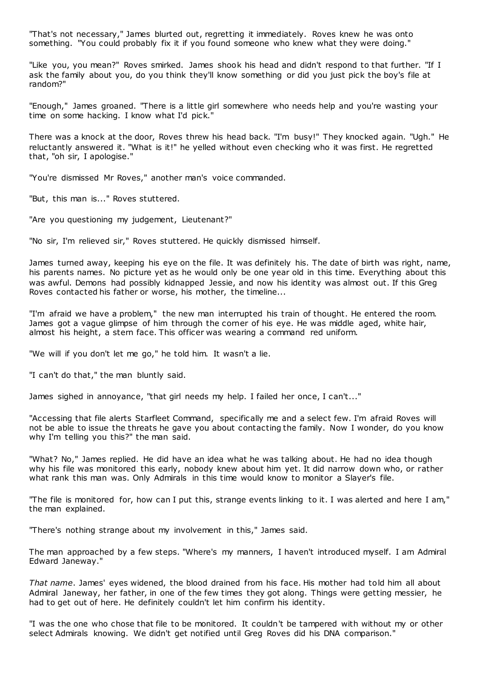"That's not necessary," James blurted out, regretting it immediately. Roves knew he was onto something. "You could probably fix it if you found someone who knew what they were doing."

"Like you, you mean?" Roves smirked. James shook his head and didn't respond to that further. "If I ask the family about you, do you think they'll know something or did you just pick the boy's file at random?"

"Enough," James groaned. "There is a little girl somewhere who needs help and you're wasting your time on some hacking. I know what I'd pick."

There was a knock at the door, Roves threw his head back. "I'm busy!" They knocked again. "Ugh." He reluctantly answered it. "What is it!" he yelled without even checking who it was first. He regretted that, "oh sir, I apologise."

"You're dismissed Mr Roves," another man's voice commanded.

"But, this man is..." Roves stuttered.

"Are you questioning my judgement, Lieutenant?"

"No sir, I'm relieved sir," Roves stuttered. He quickly dismissed himself.

James turned away, keeping his eye on the file. It was definitely his. The date of birth was right, name, his parents names. No picture yet as he would only be one year old in this time. Everything about this was awful. Demons had possibly kidnapped Jessie, and now his identity was almost out. If this Greg Roves contacted his father or worse, his mother, the timeline...

"I'm afraid we have a problem," the new man interrupted his train of thought. He entered the room. James got a vague glimpse of him through the corner of his eye. He was middle aged, white hair, almost his height, a stern face. This officer was wearing a command red uniform.

"We will if you don't let me go," he told him. It wasn't a lie.

"I can't do that," the man bluntly said.

James sighed in annoyance, "that girl needs my help. I failed her once, I can't..."

"Accessing that file alerts Starfleet Command, specifically me and a select few. I'm afraid Roves will not be able to issue the threats he gave you about contacting the family. Now I wonder, do you know why I'm telling you this?" the man said.

"What? No," James replied. He did have an idea what he was talking about. He had no idea though why his file was monitored this early, nobody knew about him yet. It did narrow down who, or rather what rank this man was. Only Admirals in this time would know to monitor a Slayer's file.

"The file is monitored for, how can I put this, strange events linking to it. I was alerted and here I am," the man explained.

"There's nothing strange about my involvement in this," James said.

The man approached by a few steps. "Where's my manners, I haven't introduced myself. I am Admiral Edward Janeway."

*That name*. James' eyes widened, the blood drained from his face. His mother had told him all about Admiral Janeway, her father, in one of the few times they got along. Things were getting messier, he had to get out of here. He definitely couldn't let him confirm his identity.

"I was the one who chose that file to be monitored. It couldn't be tampered with without my or other select Admirals knowing. We didn't get notified until Greg Roves did his DNA comparison."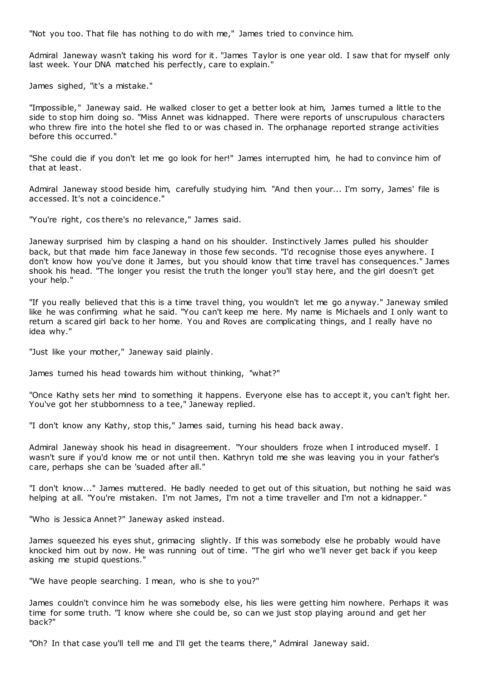"Not you too. That file has nothing to do with me," James tried to convince him.

Admiral Janeway wasn't taking his word for it. "James Taylor is one year old. I saw that for myself only last week. Your DNA matched his perfectly, care to explain."

James sighed, "it's a mistake."

"Impossible," Janeway said. He walked closer to get a better look at him, James turned a little to the side to stop him doing so. "Miss Annet was kidnapped. There were reports of unscrupulous characters who threw fire into the hotel she fled to or was chased in. The orphanage reported strange activities before this occurred."

"She could die if you don't let me go look for her!" James interrupted him, he had to convince him of that at least.

Admiral Janeway stood beside him, carefully studying him. "And then your... I'm sorry, James' file is accessed. It's not a coincidence."

"You're right, cos there's no relevance," James said.

Janeway surprised him by clasping a hand on his shoulder. Instinctively James pulled his shoulder back, but that made him face Janeway in those few seconds. "I'd recognise those eyes anywhere. I don't know how you've done it James, but you should know that time travel has consequences." James shook his head. "The longer you resist the truth the longer you'll stay here, and the girl doesn't get your help."

"If you really believed that this is a time travel thing, you wouldn't let me go anyway." Janeway smiled like he was confirming what he said. "You can't keep me here. My name is Michaels and I only want to return a scared girl back to her home. You and Roves are complicating things, and I really have no idea why."

"Just like your mother," Janeway said plainly.

James turned his head towards him without thinking, "what?"

"Once Kathy sets her mind to something it happens. Everyone else has to accept it, you can't fight her. You've got her stubbornness to a tee," Janeway replied.

"I don't know any Kathy, stop this," James said, turning his head back away.

Admiral Janeway shook his head in disagreement. "Your shoulders froze when I introduced myself. I wasn't sure if you'd know me or not until then. Kathryn told me she was leaving you in your father's care, perhaps she can be 'suaded after all."

"I don't know..." James muttered. He badly needed to get out of this situation, but nothing he said was helping at all. "You're mistaken. I'm not James, I'm not a time traveller and I'm not a kidnapper."

"Who is Jessica Annet?" Janeway asked instead.

James squeezed his eyes shut, grimacing slightly. If this was somebody else he probably would have knocked him out by now. He was running out of time. "The girl who we'll never get back if you keep asking me stupid questions."

"We have people searching. I mean, who is she to you?"

James couldn't convince him he was somebody else, his lies were getting him nowhere. Perhaps it was time for some truth. "I know where she could be, so can we just stop playing around and get her back?"

"Oh? In that case you'll tell me and I'll get the teams there," Admiral Janeway said.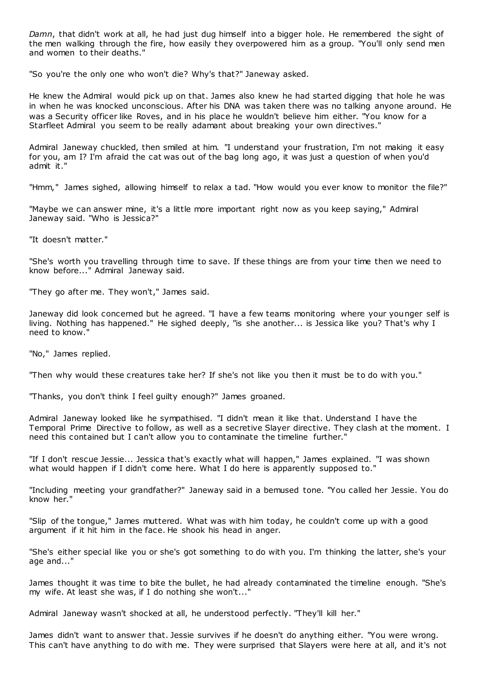*Damn*, that didn't work at all, he had just dug himself into a bigger hole. He remembered the sight of the men walking through the fire, how easily they overpowered him as a group. "You'll only send men and women to their deaths."

"So you're the only one who won't die? Why's that?" Janeway asked.

He knew the Admiral would pick up on that. James also knew he had started digging that hole he was in when he was knocked unconscious. After his DNA was taken there was no talking anyone around. He was a Security officer like Roves, and in his place he wouldn't believe him either. "You know for a Starfleet Admiral you seem to be really adamant about breaking your own directives."

Admiral Janeway chuckled, then smiled at him. "I understand your frustration, I'm not making it easy for you, am I? I'm afraid the cat was out of the bag long ago, it was just a question of when you'd admit it."

"Hmm," James sighed, allowing himself to relax a tad. "How would you ever know to monitor the file?"

"Maybe we can answer mine, it's a little more important right now as you keep saying," Admiral Janeway said. "Who is Jessica?"

"It doesn't matter."

"She's worth you travelling through time to save. If these things are from your time then we need to know before..." Admiral Janeway said.

"They go after me. They won't," James said.

Janeway did look concerned but he agreed. "I have a few teams monitoring where your younger self is living. Nothing has happened." He sighed deeply, "is she another... is Jessica like you? That's why I need to know."

"No," James replied.

"Then why would these creatures take her? If she's not like you then it must be to do with you."

"Thanks, you don't think I feel guilty enough?" James groaned.

Admiral Janeway looked like he sympathised. "I didn't mean it like that. Understand I have the Temporal Prime Directive to follow, as well as a secretive Slayer directive. They clash at the moment. I need this contained but I can't allow you to contaminate the timeline further."

"If I don't rescue Jessie... Jessica that's exactly what will happen," James explained. "I was shown what would happen if I didn't come here. What I do here is apparently supposed to."

"Including meeting your grandfather?" Janeway said in a bemused tone. "You called her Jessie. You do know her."

"Slip of the tongue," James muttered. What was with him today, he couldn't come up with a good argument if it hit him in the face. He shook his head in anger.

"She's either special like you or she's got something to do with you. I'm thinking the latter, she's your age and..."

James thought it was time to bite the bullet, he had already contaminated the timeline enough. "She's my wife. At least she was, if I do nothing she won't..."

Admiral Janeway wasn't shocked at all, he understood perfectly. "They'll kill her."

James didn't want to answer that. Jessie survives if he doesn't do anything either. "You were wrong. This can't have anything to do with me. They were surprised that Slayers were here at all, and it's not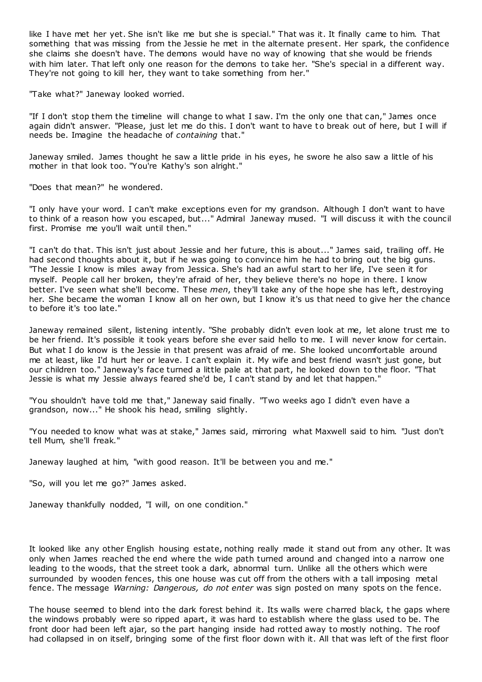like I have met her yet. She isn't like me but she is special." That was it. It finally came to him. That something that was missing from the Jessie he met in the alternate present. Her spark, the confidence she claims she doesn't have. The demons would have no way of knowing that she would be friends with him later. That left only one reason for the demons to take her. "She's special in a different way. They're not going to kill her, they want to take something from her."

"Take what?" Janeway looked worried.

"If I don't stop them the timeline will change to what I saw. I'm the only one that can," James once again didn't answer. "Please, just let me do this. I don't want to have to break out of here, but I will if needs be. Imagine the headache of *containing* that."

Janeway smiled. James thought he saw a little pride in his eyes, he swore he also saw a little of his mother in that look too. "You're Kathy's son alright."

"Does that mean?" he wondered.

"I only have your word. I can't make exceptions even for my grandson. Although I don't want to have to think of a reason how you escaped, but..." Admiral Janeway mused. "I will discuss it with the council first. Promise me you'll wait until then."

"I can't do that. This isn't just about Jessie and her future, this is about..." James said, trailing off. He had second thoughts about it, but if he was going to convince him he had to bring out the big guns. "The Jessie I know is miles away from Jessica. She's had an awful start to her life, I've seen it for myself. People call her broken, they're afraid of her, they believe there's no hope in there. I know better. I've seen what she'll become. These *men*, they'll take any of the hope she has left, destroying her. She became the woman I know all on her own, but I know it's us that need to give her the chance to before it's too late."

Janeway remained silent, listening intently. "She probably didn't even look at me, let alone trust me to be her friend. It's possible it took years before she ever said hello to me. I will never know for certain. But what I do know is the Jessie in that present was afraid of me. She looked uncomfortable around me at least, like I'd hurt her or leave. I can't explain it. My wife and best friend wasn't just gone, but our children too." Janeway's face turned a little pale at that part, he looked down to the floor. "That Jessie is what my Jessie always feared she'd be, I can't stand by and let that happen."

"You shouldn't have told me that," Janeway said finally. "Two weeks ago I didn't even have a grandson, now..." He shook his head, smiling slightly.

"You needed to know what was at stake," James said, mirroring what Maxwell said to him. "Just don't tell Mum, she'll freak."

Janeway laughed at him, "with good reason. It'll be between you and me."

"So, will you let me go?" James asked.

Janeway thankfully nodded, "I will, on one condition."

It looked like any other English housing estate, nothing really made it stand out from any other. It was only when James reached the end where the wide path turned around and changed into a narrow one leading to the woods, that the street took a dark, abnormal turn. Unlike all the others which were surrounded by wooden fences, this one house was cut off from the others with a tall imposing metal fence. The message *Warning: Dangerous, do not enter* was sign posted on many spots on the fence.

The house seemed to blend into the dark forest behind it. Its walls were charred black, t he gaps where the windows probably were so ripped apart, it was hard to establish where the glass used to be. The front door had been left ajar, so the part hanging inside had rotted away to mostly nothing. The roof had collapsed in on itself, bringing some of the first floor down with it. All that was left of the first floor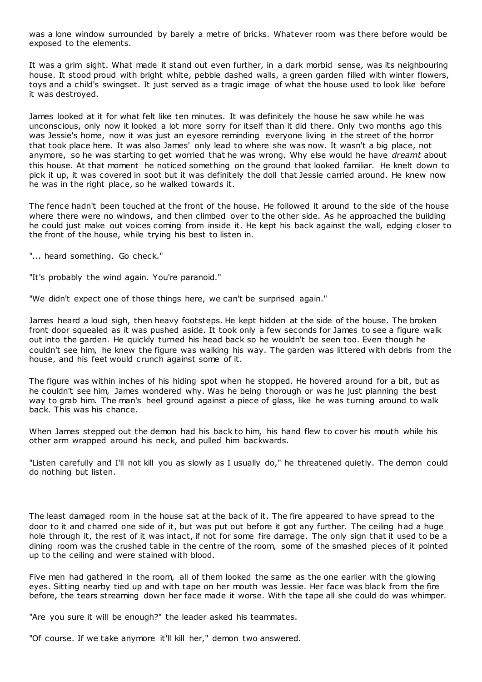was a lone window surrounded by barely a metre of bricks. Whatever room was there before would be exposed to the elements.

It was a grim sight. What made it stand out even further, in a dark morbid sense, was its neighbouring house. It stood proud with bright white, pebble dashed walls, a green garden filled with winter flowers, toys and a child's swingset. It just served as a tragic image of what the house used to look like before it was destroyed.

James looked at it for what felt like ten minutes. It was definitely the house he saw while he was unconscious, only now it looked a lot more sorry for itself than it did there. Only two months ago this was Jessie's home, now it was just an eyesore reminding everyone living in the street of the horror that took place here. It was also James' only lead to where she was now. It wasn't a big place, not anymore, so he was starting to get worried that he was wrong. Why else would he have *dreamt* about this house. At that moment he noticed something on the ground that looked familiar. He knelt down to pick it up, it was covered in soot but it was definitely the doll that Jessie carried around. He knew now he was in the right place, so he walked towards it.

The fence hadn't been touched at the front of the house. He followed it around to the side of the house where there were no windows, and then climbed over to the other side. As he approached the building he could just make out voices coming from inside it. He kept his back against the wall, edging closer to the front of the house, while trying his best to listen in.

"... heard something. Go check."

"It's probably the wind again. You're paranoid."

"We didn't expect one of those things here, we can't be surprised again."

James heard a loud sigh, then heavy footsteps. He kept hidden at the side of the house. The broken front door squealed as it was pushed aside. It took only a few seconds for James to see a figure walk out into the garden. He quickly turned his head back so he wouldn't be seen too. Even though he couldn't see him, he knew the figure was walking his way. The garden was littered with debris from the house, and his feet would crunch against some of it.

The figure was within inches of his hiding spot when he stopped. He hovered around for a bit, but as he couldn't see him, James wondered why. Was he being thorough or was he just planning the best way to grab him. The man's heel ground against a piece of glass, like he was turning around to walk back. This was his chance.

When James stepped out the demon had his back to him, his hand flew to cover his mouth while his other arm wrapped around his neck, and pulled him backwards.

"Listen carefully and I'll not kill you as slowly as I usually do," he threatened quietly. The demon could do nothing but listen.

The least damaged room in the house sat at the back of it. The fire appeared to have spread to the door to it and charred one side of it, but was put out before it got any further. The ceiling had a huge hole through it, the rest of it was intact, if not for some fire damage. The only sign that it used to be a dining room was the crushed table in the centre of the room, some of the smashed pieces of it pointed up to the ceiling and were stained with blood.

Five men had gathered in the room, all of them looked the same as the one earlier with the glowing eyes. Sitting nearby tied up and with tape on her mouth was Jessie. Her face was black from the fire before, the tears streaming down her face made it worse. With the tape all she could do was whimper.

"Are you sure it will be enough?" the leader asked his teammates.

"Of course. If we take anymore it'll kill her," demon two answered.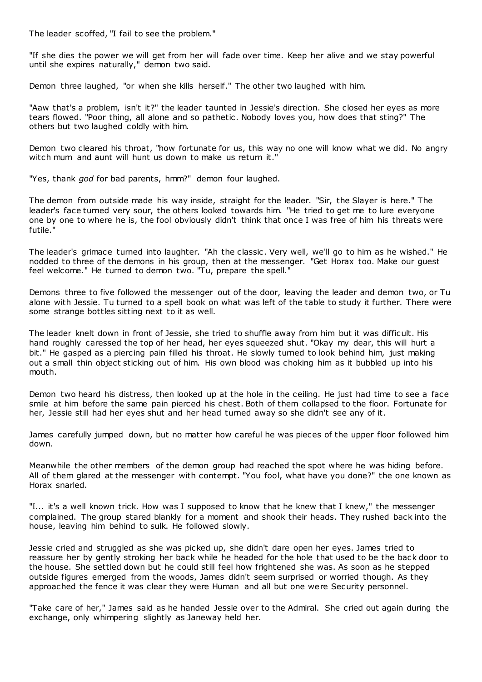The leader scoffed, "I fail to see the problem."

"If she dies the power we will get from her will fade over time. Keep her alive and we stay powerful until she expires naturally," demon two said.

Demon three laughed, "or when she kills herself." The other two laughed with him.

"Aaw that's a problem, isn't it?" the leader taunted in Jessie's direction. She closed her eyes as more tears flowed. "Poor thing, all alone and so pathetic . Nobody loves you, how does that sting?" The others but two laughed coldly with him.

Demon two cleared his throat, "how fortunate for us, this way no one will know what we did. No angry witch mum and aunt will hunt us down to make us return it."

"Yes, thank *god* for bad parents, hmm?" demon four laughed.

The demon from outside made his way inside, straight for the leader. "Sir, the Slayer is here." The leader's face turned very sour, the others looked towards him. "He tried to get me to lure everyone one by one to where he is, the fool obviously didn't think that once I was free of him his threats were futile."

The leader's grimace turned into laughter. "Ah the classic . Very well, we'll go to him as he wished." He nodded to three of the demons in his group, then at the messenger. "Get Horax too. Make our guest feel welcome." He turned to demon two. "Tu, prepare the spell."

Demons three to five followed the messenger out of the door, leaving the leader and demon two, or Tu alone with Jessie. Tu turned to a spell book on what was left of the table to study it further. There were some strange bottles sitting next to it as well.

The leader knelt down in front of Jessie, she tried to shuffle away from him but it was difficult. His hand roughly caressed the top of her head, her eyes squeezed shut. "Okay my dear, this will hurt a bit." He gasped as a piercing pain filled his throat. He slowly turned to look behind him, just making out a small thin object sticking out of him. His own blood was choking him as it bubbled up into his mouth.

Demon two heard his distress, then looked up at the hole in the ceiling. He just had time to see a face smile at him before the same pain pierced his chest. Both of them collapsed to the floor. Fortunate for her, Jessie still had her eyes shut and her head turned away so she didn't see any of it.

James carefully jumped down, but no matter how careful he was pieces of the upper floor followed him down.

Meanwhile the other members of the demon group had reached the spot where he was hiding before. All of them glared at the messenger with contempt. "You fool, what have you done?" the one known as Horax snarled.

"I... it's a well known trick. How was I supposed to know that he knew that I knew," the messenger complained. The group stared blankly for a moment and shook their heads. They rushed back into the house, leaving him behind to sulk. He followed slowly.

Jessie cried and struggled as she was picked up, she didn't dare open her eyes. James tried to reassure her by gently stroking her back while he headed for the hole that used to be the back door to the house. She settled down but he could still feel how frightened she was. As soon as he stepped outside figures emerged from the woods, James didn't seem surprised or worried though. As they approached the fence it was clear they were Human and all but one were Security personnel.

"Take care of her," James said as he handed Jessie over to the Admiral. She cried out again during the exchange, only whimpering slightly as Janeway held her.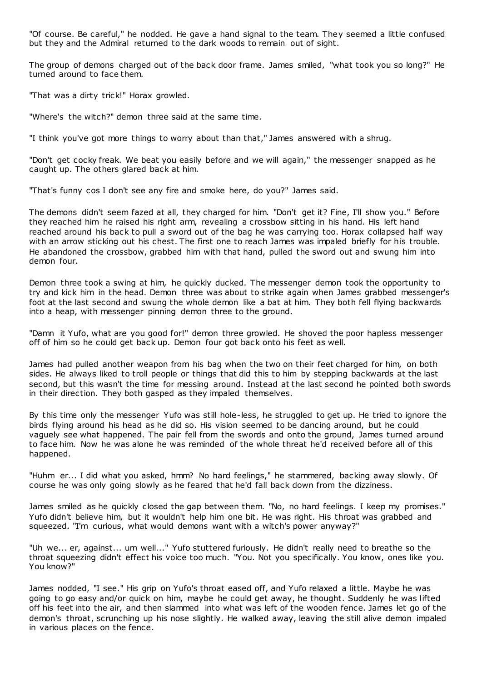"Of course. Be careful," he nodded. He gave a hand signal to the team. They seemed a little confused but they and the Admiral returned to the dark woods to remain out of sight.

The group of demons charged out of the back door frame. James smiled, "what took you so long?" He turned around to face them.

"That was a dirty trick!" Horax growled.

"Where's the witch?" demon three said at the same time.

"I think you've got more things to worry about than that," James answered with a shrug.

"Don't get cocky freak. We beat you easily before and we will again," the messenger snapped as he caught up. The others glared back at him.

"That's funny cos I don't see any fire and smoke here, do you?" James said.

The demons didn't seem fazed at all, they charged for him. "Don't get it? Fine, I'll show you." Before they reached him he raised his right arm, revealing a crossbow sitting in his hand. His left hand reached around his back to pull a sword out of the bag he was carrying too. Horax collapsed half way with an arrow sticking out his chest. The first one to reach James was impaled briefly for his trouble. He abandoned the crossbow, grabbed him with that hand, pulled the sword out and swung him into demon four.

Demon three took a swing at him, he quickly ducked. The messenger demon took the opportunity to try and kick him in the head. Demon three was about to strike again when James grabbed messenger's foot at the last second and swung the whole demon like a bat at him. They both fell flying backwards into a heap, with messenger pinning demon three to the ground.

"Damn it Yufo, what are you good for!" demon three growled. He shoved the poor hapless messenger off of him so he could get back up. Demon four got back onto his feet as well.

James had pulled another weapon from his bag when the two on their feet charged for him, on both sides. He always liked to troll people or things that did this to him by stepping backwards at the last second, but this wasn't the time for messing around. Instead at the last second he pointed both swords in their direction. They both gasped as they impaled themselves.

By this time only the messenger Yufo was still hole-less, he struggled to get up. He tried to ignore the birds flying around his head as he did so. His vision seemed to be dancing around, but he could vaguely see what happened. The pair fell from the swords and onto the ground, James turned around to face him. Now he was alone he was reminded of the whole threat he'd received before all of this happened.

"Huhm er... I did what you asked, hmm? No hard feelings," he stammered, backing away slowly. Of course he was only going slowly as he feared that he'd fall back down from the dizziness.

James smiled as he quickly closed the gap between them. "No, no hard feelings. I keep my promises." Yufo didn't believe him, but it wouldn't help him one bit. He was right. His throat was grabbed and squeezed. "I'm curious, what would demons want with a witch's power anyway?"

"Uh we... er, against... um well..." Yufo stuttered furiously. He didn't really need to breathe so the throat squeezing didn't effect his voice too much. "You. Not you specifically. You know, ones like you. You know?"

James nodded, "I see." His grip on Yufo's throat eased off, and Yufo relaxed a little. Maybe he was going to go easy and/or quick on him, maybe he could get away, he thought. Suddenly he was lifted off his feet into the air, and then slammed into what was left of the wooden fence. James let go of the demon's throat, scrunching up his nose slightly. He walked away, leaving the still alive demon impaled in various places on the fence.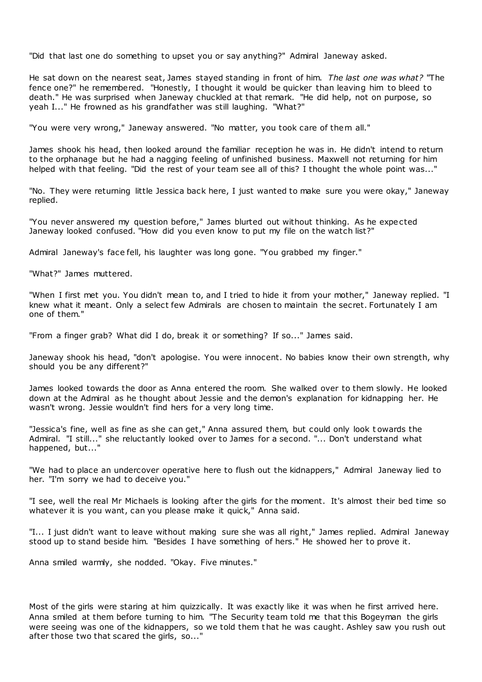"Did that last one do something to upset you or say anything?" Admiral Janeway asked.

He sat down on the nearest seat, James stayed standing in front of him. *The last one was what?* "The fence one?" he remembered. "Honestly, I thought it would be quicker than leaving him to bleed to death." He was surprised when Janeway chuckled at that remark. "He did help, not on purpose, so yeah I..." He frowned as his grandfather was still laughing. "What?"

"You were very wrong," Janeway answered. "No matter, you took care of them all."

James shook his head, then looked around the familiar reception he was in. He didn't intend to return to the orphanage but he had a nagging feeling of unfinished business. Maxwell not returning for him helped with that feeling. "Did the rest of your team see all of this? I thought the whole point was..."

"No. They were returning little Jessica back here, I just wanted to make sure you were okay," Janeway replied.

"You never answered my question before," James blurted out without thinking. As he expected Janeway looked confused. "How did you even know to put my file on the watch list?"

Admiral Janeway's face fell, his laughter was long gone. "You grabbed my finger."

"What?" James muttered.

"When I first met you. You didn't mean to, and I tried to hide it from your mother," Janeway replied. "I knew what it meant. Only a select few Admirals are chosen to maintain the secret. Fortunately I am one of them."

"From a finger grab? What did I do, break it or something? If so..." James said.

Janeway shook his head, "don't apologise. You were innocent. No babies know their own strength, why should you be any different?"

James looked towards the door as Anna entered the room. She walked over to them slowly. He looked down at the Admiral as he thought about Jessie and the demon's explanation for kidnapping her. He wasn't wrong. Jessie wouldn't find hers for a very long time.

"Jessica's fine, well as fine as she can get," Anna assured them, but could only look t owards the Admiral. "I still..." she reluctantly looked over to James for a second. "... Don't understand what happened, but..."

"We had to place an undercover operative here to flush out the kidnappers," Admiral Janeway lied to her. "I'm sorry we had to deceive you."

"I see, well the real Mr Michaels is looking after the girls for the moment. It's almost their bed time so whatever it is you want, can you please make it quick," Anna said.

"I... I just didn't want to leave without making sure she was all right," James replied. Admiral Janeway stood up to stand beside him. "Besides I have something of hers." He showed her to prove it.

Anna smiled warmly, she nodded. "Okay. Five minutes."

Most of the girls were staring at him quizzically. It was exactly like it was when he first arrived here. Anna smiled at them before turning to him. "The Security team told me that this Bogeyman the girls were seeing was one of the kidnappers, so we told them that he was caught. Ashley saw you rush out after those two that scared the girls, so..."